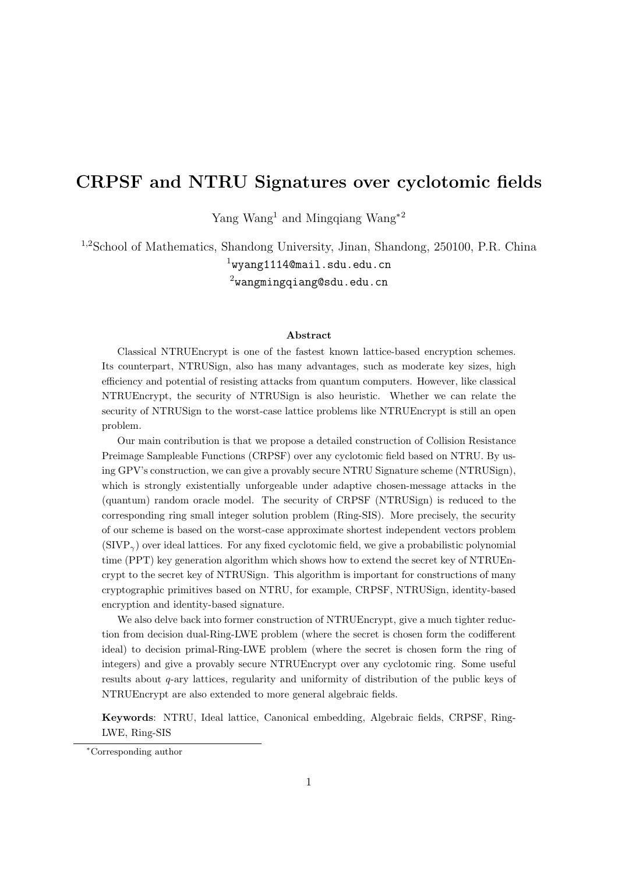# CRPSF and NTRU Signatures over cyclotomic fields

Yang Wang<sup>1</sup> and Mingqiang Wang<sup>∗2</sup>

1,2School of Mathematics, Shandong University, Jinan, Shandong, 250100, P.R. China  $1$ wyang1114@mail.sdu.edu.cn

 $2$ wangmingqiang@sdu.edu.cn

#### Abstract

Classical NTRUEncrypt is one of the fastest known lattice-based encryption schemes. Its counterpart, NTRUSign, also has many advantages, such as moderate key sizes, high efficiency and potential of resisting attacks from quantum computers. However, like classical NTRUEncrypt, the security of NTRUSign is also heuristic. Whether we can relate the security of NTRUSign to the worst-case lattice problems like NTRUEncrypt is still an open problem.

Our main contribution is that we propose a detailed construction of Collision Resistance Preimage Sampleable Functions (CRPSF) over any cyclotomic field based on NTRU. By using GPV's construction, we can give a provably secure NTRU Signature scheme (NTRUSign), which is strongly existentially unforgeable under adaptive chosen-message attacks in the (quantum) random oracle model. The security of CRPSF (NTRUSign) is reduced to the corresponding ring small integer solution problem (Ring-SIS). More precisely, the security of our scheme is based on the worst-case approximate shortest independent vectors problem  $(SIVP<sub>\gamma</sub>)$  over ideal lattices. For any fixed cyclotomic field, we give a probabilistic polynomial time (PPT) key generation algorithm which shows how to extend the secret key of NTRUEncrypt to the secret key of NTRUSign. This algorithm is important for constructions of many cryptographic primitives based on NTRU, for example, CRPSF, NTRUSign, identity-based encryption and identity-based signature.

We also delve back into former construction of NTRUEncrypt, give a much tighter reduction from decision dual-Ring-LWE problem (where the secret is chosen form the codifferent ideal) to decision primal-Ring-LWE problem (where the secret is chosen form the ring of integers) and give a provably secure NTRUEncrypt over any cyclotomic ring. Some useful results about q-ary lattices, regularity and uniformity of distribution of the public keys of NTRUEncrypt are also extended to more general algebraic fields.

Keywords: NTRU, Ideal lattice, Canonical embedding, Algebraic fields, CRPSF, Ring-LWE, Ring-SIS

<sup>∗</sup>Corresponding author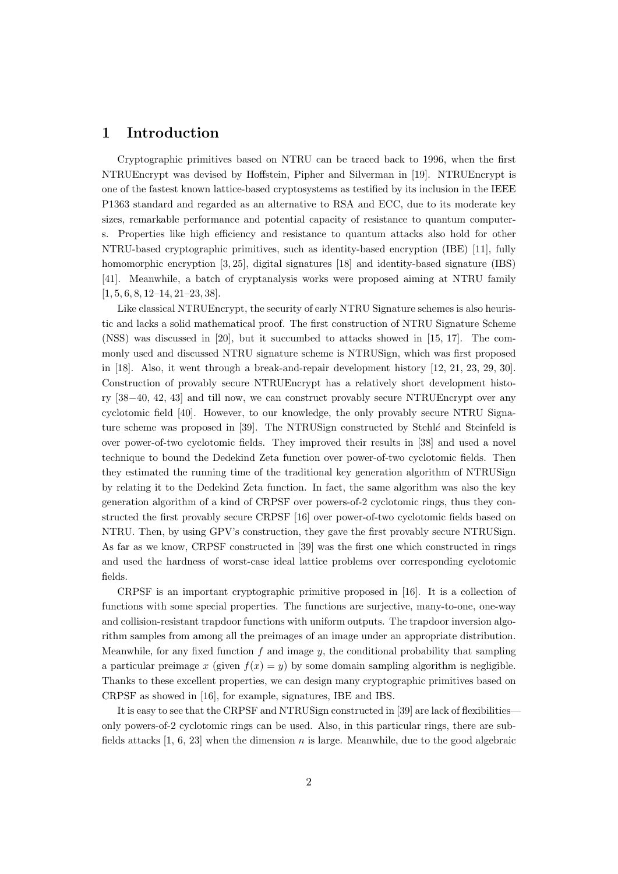# 1 Introduction

Cryptographic primitives based on NTRU can be traced back to 1996, when the first NTRUEncrypt was devised by Hoffstein, Pipher and Silverman in [19]. NTRUEncrypt is one of the fastest known lattice-based cryptosystems as testified by its inclusion in the IEEE P1363 standard and regarded as an alternative to RSA and ECC, due to its moderate key sizes, remarkable performance and potential capacity of resistance to quantum computers. Properties like high efficiency and resistance to quantum attacks also hold for other NTRU-based cryptographic primitives, such as identity-based encryption (IBE) [11], fully homomorphic encryption [3, 25], digital signatures [18] and identity-based signature (IBS) [41]. Meanwhile, a batch of cryptanalysis works were proposed aiming at NTRU family  $[1, 5, 6, 8, 12–14, 21–23, 38]$ .

Like classical NTRUEncrypt, the security of early NTRU Signature schemes is also heuristic and lacks a solid mathematical proof. The first construction of NTRU Signature Scheme (NSS) was discussed in [20], but it succumbed to attacks showed in [15, 17]. The commonly used and discussed NTRU signature scheme is NTRUSign, which was first proposed in [18]. Also, it went through a break-and-repair development history [12, 21, 23, 29, 30]. Construction of provably secure NTRUEncrypt has a relatively short development history [38−40, 42, 43] and till now, we can construct provably secure NTRUEncrypt over any cyclotomic field [40]. However, to our knowledge, the only provably secure NTRU Signature scheme was proposed in [39]. The NTRUSign constructed by Stehl $\acute{e}$  and Steinfeld is over power-of-two cyclotomic fields. They improved their results in [38] and used a novel technique to bound the Dedekind Zeta function over power-of-two cyclotomic fields. Then they estimated the running time of the traditional key generation algorithm of NTRUSign by relating it to the Dedekind Zeta function. In fact, the same algorithm was also the key generation algorithm of a kind of CRPSF over powers-of-2 cyclotomic rings, thus they constructed the first provably secure CRPSF [16] over power-of-two cyclotomic fields based on NTRU. Then, by using GPV's construction, they gave the first provably secure NTRUSign. As far as we know, CRPSF constructed in [39] was the first one which constructed in rings and used the hardness of worst-case ideal lattice problems over corresponding cyclotomic fields.

CRPSF is an important cryptographic primitive proposed in [16]. It is a collection of functions with some special properties. The functions are surjective, many-to-one, one-way and collision-resistant trapdoor functions with uniform outputs. The trapdoor inversion algorithm samples from among all the preimages of an image under an appropriate distribution. Meanwhile, for any fixed function  $f$  and image  $y$ , the conditional probability that sampling a particular preimage x (given  $f(x) = y$ ) by some domain sampling algorithm is negligible. Thanks to these excellent properties, we can design many cryptographic primitives based on CRPSF as showed in [16], for example, signatures, IBE and IBS.

It is easy to see that the CRPSF and NTRUSign constructed in [39] are lack of flexibilities only powers-of-2 cyclotomic rings can be used. Also, in this particular rings, there are subfields attacks [1, 6, 23] when the dimension n is large. Meanwhile, due to the good algebraic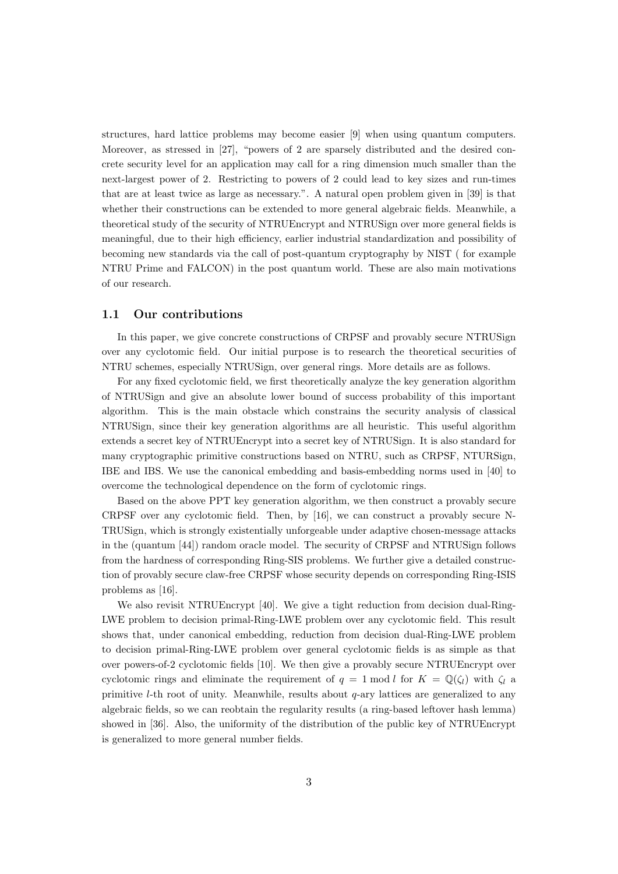structures, hard lattice problems may become easier [9] when using quantum computers. Moreover, as stressed in [27], "powers of 2 are sparsely distributed and the desired concrete security level for an application may call for a ring dimension much smaller than the next-largest power of 2. Restricting to powers of 2 could lead to key sizes and run-times that are at least twice as large as necessary.". A natural open problem given in [39] is that whether their constructions can be extended to more general algebraic fields. Meanwhile, a theoretical study of the security of NTRUEncrypt and NTRUSign over more general fields is meaningful, due to their high efficiency, earlier industrial standardization and possibility of becoming new standards via the call of post-quantum cryptography by NIST ( for example NTRU Prime and FALCON) in the post quantum world. These are also main motivations of our research.

#### 1.1 Our contributions

In this paper, we give concrete constructions of CRPSF and provably secure NTRUSign over any cyclotomic field. Our initial purpose is to research the theoretical securities of NTRU schemes, especially NTRUSign, over general rings. More details are as follows.

For any fixed cyclotomic field, we first theoretically analyze the key generation algorithm of NTRUSign and give an absolute lower bound of success probability of this important algorithm. This is the main obstacle which constrains the security analysis of classical NTRUSign, since their key generation algorithms are all heuristic. This useful algorithm extends a secret key of NTRUEncrypt into a secret key of NTRUSign. It is also standard for many cryptographic primitive constructions based on NTRU, such as CRPSF, NTURSign, IBE and IBS. We use the canonical embedding and basis-embedding norms used in [40] to overcome the technological dependence on the form of cyclotomic rings.

Based on the above PPT key generation algorithm, we then construct a provably secure CRPSF over any cyclotomic field. Then, by [16], we can construct a provably secure N-TRUSign, which is strongly existentially unforgeable under adaptive chosen-message attacks in the (quantum [44]) random oracle model. The security of CRPSF and NTRUSign follows from the hardness of corresponding Ring-SIS problems. We further give a detailed construction of provably secure claw-free CRPSF whose security depends on corresponding Ring-ISIS problems as [16].

We also revisit NTRUEncrypt [40]. We give a tight reduction from decision dual-Ring-LWE problem to decision primal-Ring-LWE problem over any cyclotomic field. This result shows that, under canonical embedding, reduction from decision dual-Ring-LWE problem to decision primal-Ring-LWE problem over general cyclotomic fields is as simple as that over powers-of-2 cyclotomic fields [10]. We then give a provably secure NTRUEncrypt over cyclotomic rings and eliminate the requirement of  $q = 1 \text{ mod } l$  for  $K = \mathbb{Q}(\zeta_l)$  with  $\zeta_l$  a primitive *l*-th root of unity. Meanwhile, results about  $q$ -ary lattices are generalized to any algebraic fields, so we can reobtain the regularity results (a ring-based leftover hash lemma) showed in [36]. Also, the uniformity of the distribution of the public key of NTRUEncrypt is generalized to more general number fields.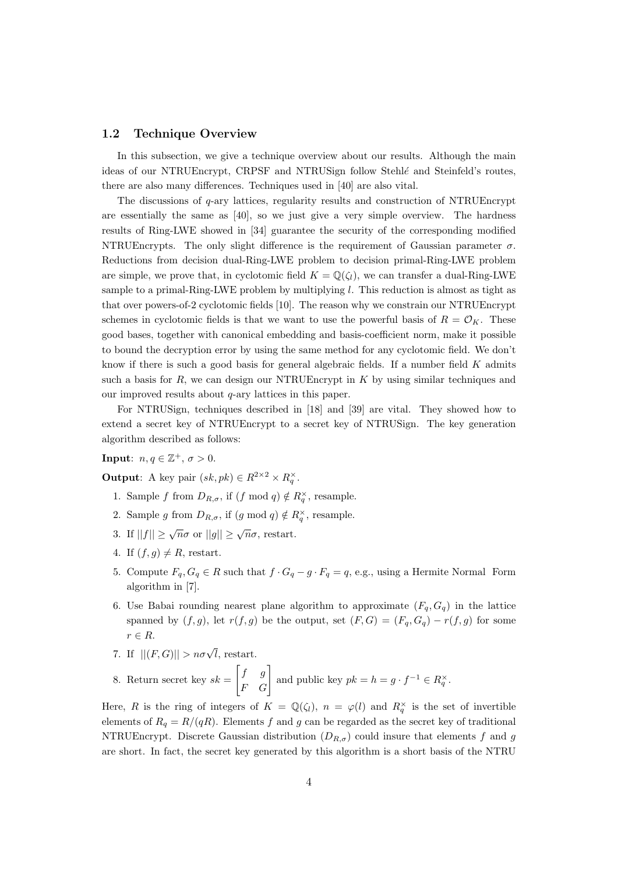#### 1.2 Technique Overview

In this subsection, we give a technique overview about our results. Although the main ideas of our NTRUEncrypt, CRPSF and NTRUSign follow Stehlé and Steinfeld's routes, there are also many differences. Techniques used in [40] are also vital.

The discussions of  $q$ -ary lattices, regularity results and construction of NTRUEncrypt are essentially the same as [40], so we just give a very simple overview. The hardness results of Ring-LWE showed in [34] guarantee the security of the corresponding modified NTRUEncrypts. The only slight difference is the requirement of Gaussian parameter  $\sigma$ . Reductions from decision dual-Ring-LWE problem to decision primal-Ring-LWE problem are simple, we prove that, in cyclotomic field  $K = \mathbb{Q}(\zeta_l)$ , we can transfer a dual-Ring-LWE sample to a primal-Ring-LWE problem by multiplying l. This reduction is almost as tight as that over powers-of-2 cyclotomic fields [10]. The reason why we constrain our NTRUEncrypt schemes in cyclotomic fields is that we want to use the powerful basis of  $R = \mathcal{O}_K$ . These good bases, together with canonical embedding and basis-coefficient norm, make it possible to bound the decryption error by using the same method for any cyclotomic field. We don't know if there is such a good basis for general algebraic fields. If a number field  $K$  admits such a basis for  $R$ , we can design our NTRUEncrypt in  $K$  by using similar techniques and our improved results about  $q$ -ary lattices in this paper.

For NTRUSign, techniques described in [18] and [39] are vital. They showed how to extend a secret key of NTRUEncrypt to a secret key of NTRUSign. The key generation algorithm described as follows:

**Input**:  $n, q \in \mathbb{Z}^+, \sigma > 0$ .

**Output:** A key pair  $(sk, pk) \in R^{2 \times 2} \times R_q^{\times}$ .

- 1. Sample f from  $D_{R,\sigma}$ , if  $(f \mod q) \notin R_q^{\times}$ , resample.
- 2. Sample g from  $D_{R,\sigma}$ , if  $(g \mod q) \notin R_q^{\times}$ , resample.
- 3. If  $||f|| \ge \sqrt{n}\sigma$  or  $||g|| \ge \sqrt{n}\sigma$ , restart.
- 4. If  $(f, q) \neq R$ , restart.
- 5. Compute  $F_q, G_q \in R$  such that  $f \cdot G_q g \cdot F_q = q$ , e.g., using a Hermite Normal Form algorithm in [7].
- 6. Use Babai rounding nearest plane algorithm to approximate  $(F_q, G_q)$  in the lattice spanned by  $(f, g)$ , let  $r(f, g)$  be the output, set  $(F, G) = (F_q, G_q) - r(f, g)$  for some  $r \in R$ .
- 7. If  $||(F,G)|| > n\sigma\sqrt{l}$ , restart.

8. Return secret key  $sk =$  $\begin{bmatrix} f & g \\ F & G \end{bmatrix}$  and public key  $pk = h = g \cdot f^{-1} \in R_q^{\times}$ .

Here, R is the ring of integers of  $K = \mathbb{Q}(\zeta_l)$ ,  $n = \varphi(l)$  and  $R_q^{\times}$  is the set of invertible elements of  $R_q = R/(qR)$ . Elements f and g can be regarded as the secret key of traditional NTRUEncrypt. Discrete Gaussian distribution  $(D_{R,\sigma})$  could insure that elements f and g are short. In fact, the secret key generated by this algorithm is a short basis of the NTRU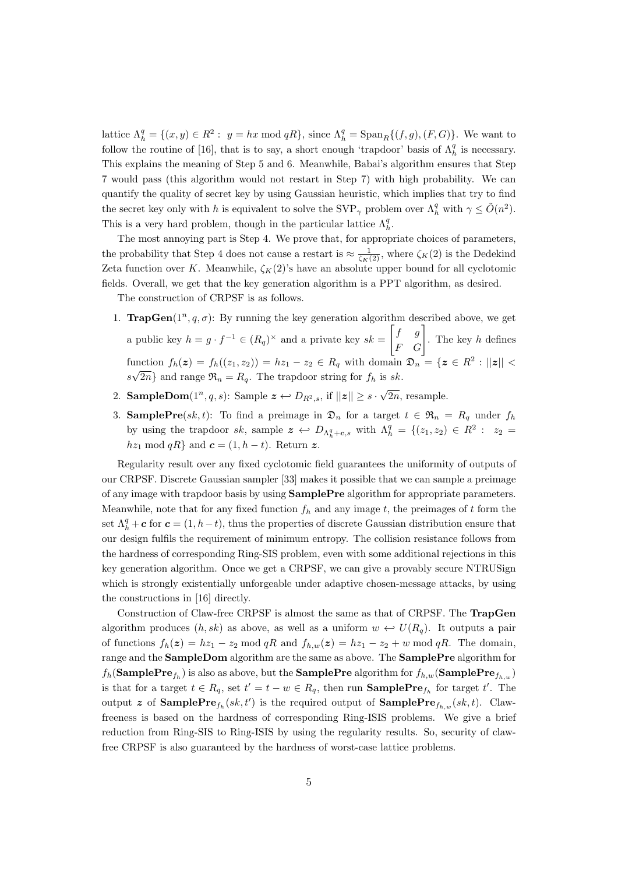lattice  $\Lambda_h^q = \{(x, y) \in R^2 : y = hx \mod qR\}$ , since  $\Lambda_h^q = \text{Span}_R\{(f, g), (F, G)\}$ . We want to follow the routine of [16], that is to say, a short enough 'trapdoor' basis of  $\Lambda_h^q$  is necessary. This explains the meaning of Step 5 and 6. Meanwhile, Babai's algorithm ensures that Step 7 would pass (this algorithm would not restart in Step 7) with high probability. We can quantify the quality of secret key by using Gaussian heuristic, which implies that try to find the secret key only with h is equivalent to solve the SVP<sub>γ</sub> problem over  $\Lambda_h^q$  with  $\gamma \leq \tilde{O}(n^2)$ . This is a very hard problem, though in the particular lattice  $\Lambda_h^q$ .

The most annoying part is Step 4. We prove that, for appropriate choices of parameters, the probability that Step 4 does not cause a restart is  $\approx \frac{1}{\zeta_K(2)}$ , where  $\zeta_K(2)$  is the Dedekind Zeta function over K. Meanwhile,  $\zeta_K(2)$ 's have an absolute upper bound for all cyclotomic fields. Overall, we get that the key generation algorithm is a PPT algorithm, as desired.

The construction of CRPSF is as follows.

- 1. **TrapGen** $(1^n, q, \sigma)$ : By running the key generation algorithm described above, we get a public key  $h = g \cdot f^{-1} \in (R_q)^{\times}$  and a private key  $sk =$  $\begin{bmatrix} f & g \\ F & G \end{bmatrix}$ . The key h defines function  $f_h(z) = f_h((z_1, z_2)) = h z_1 - z_2 \in R_q$  with domain  $\mathfrak{D}_n = \{z \in R^2 : ||z|| < \infty\}$  $s\sqrt{2n}$  and range  $\mathfrak{R}_n = R_q$ . The trapdoor string for  $f_h$  is sk.
- 2. **SampleDom** $(1^n, q, s)$ : Sample  $\boldsymbol{z} \leftarrow D_{R^2, s}$ , if  $||\boldsymbol{z}|| \geq s \cdot \sqrt{\frac{2}{\sum_{i=1}^{k} a_i^2}}$ 2n, resample.
- 3. **SamplePre**(sk, t): To find a preimage in  $\mathfrak{D}_n$  for a target  $t \in \mathfrak{R}_n = R_q$  under  $f_h$ by using the trapdoor sk, sample  $\boldsymbol{z} \leftrightarrow D_{\Lambda_h^q + \boldsymbol{c}, s}$  with  $\Lambda_h^q = \{(z_1, z_2) \in R^2 : z_2 =$  $hz_1 \mod qR$  and  $c = (1, h - t)$ . Return z.

Regularity result over any fixed cyclotomic field guarantees the uniformity of outputs of our CRPSF. Discrete Gaussian sampler [33] makes it possible that we can sample a preimage of any image with trapdoor basis by using SamplePre algorithm for appropriate parameters. Meanwhile, note that for any fixed function  $f_h$  and any image t, the preimages of t form the set  $\Lambda_h^q + c$  for  $c = (1, h - t)$ , thus the properties of discrete Gaussian distribution ensure that our design fulfils the requirement of minimum entropy. The collision resistance follows from the hardness of corresponding Ring-SIS problem, even with some additional rejections in this key generation algorithm. Once we get a CRPSF, we can give a provably secure NTRUSign which is strongly existentially unforgeable under adaptive chosen-message attacks, by using the constructions in [16] directly.

Construction of Claw-free CRPSF is almost the same as that of CRPSF. The TrapGen algorithm produces  $(h, sk)$  as above, as well as a uniform  $w \leftrightarrow U(R_q)$ . It outputs a pair of functions  $f_h(z) = h z_1 - z_2 \mod qR$  and  $f_{h,w}(z) = h z_1 - z_2 + w \mod qR$ . The domain, range and the SampleDom algorithm are the same as above. The SamplePre algorithm for  $f_h(\textbf{SamplePre}_{f_h})$  is also as above, but the  $\textbf{SamplePre}$  algorithm for  $f_{h,w}(\textbf{SamplePre}_{f_{h,w}})$ is that for a target  $t \in R_q$ , set  $t' = t - w \in R_q$ , then run **SamplePre**<sub>fh</sub> for target  $t'$ . The output z of  $\text{SamplePre}_{f_h}(sk, t')$  is the required output of  $\text{SamplePre}_{f_{h,w}}(sk, t)$ . Clawfreeness is based on the hardness of corresponding Ring-ISIS problems. We give a brief reduction from Ring-SIS to Ring-ISIS by using the regularity results. So, security of clawfree CRPSF is also guaranteed by the hardness of worst-case lattice problems.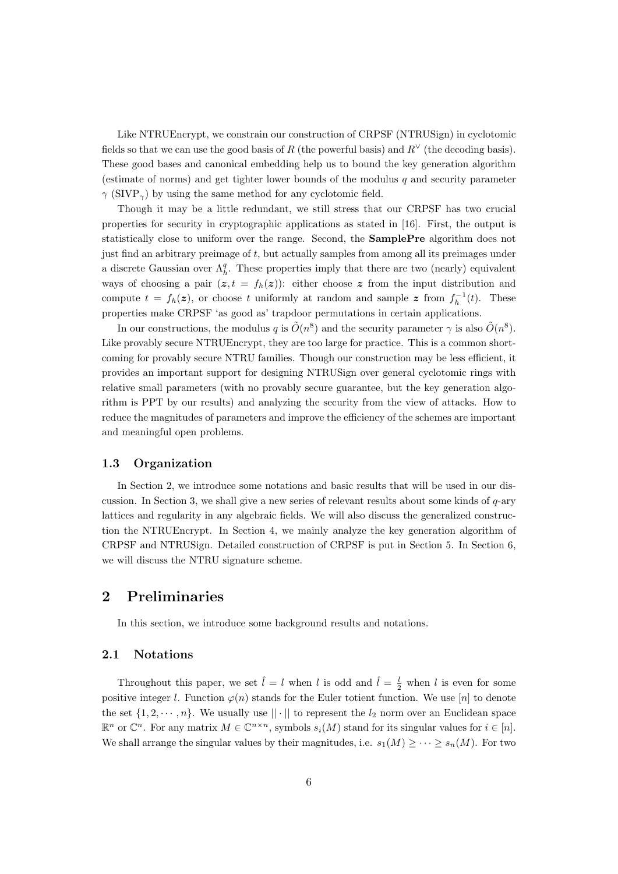Like NTRUEncrypt, we constrain our construction of CRPSF (NTRUSign) in cyclotomic fields so that we can use the good basis of R (the powerful basis) and  $R<sup>∨</sup>$  (the decoding basis). These good bases and canonical embedding help us to bound the key generation algorithm (estimate of norms) and get tighter lower bounds of the modulus  $q$  and security parameter  $\gamma$  (SIVP<sub> $\gamma$ </sub>) by using the same method for any cyclotomic field.

Though it may be a little redundant, we still stress that our CRPSF has two crucial properties for security in cryptographic applications as stated in [16]. First, the output is statistically close to uniform over the range. Second, the SamplePre algorithm does not just find an arbitrary preimage of t, but actually samples from among all its preimages under a discrete Gaussian over  $\Lambda_h^q$ . These properties imply that there are two (nearly) equivalent ways of choosing a pair  $(z, t = f_h(z))$ : either choose z from the input distribution and compute  $t = f_h(z)$ , or choose t uniformly at random and sample z from  $f_h^{-1}(t)$ . These properties make CRPSF 'as good as' trapdoor permutations in certain applications.

In our constructions, the modulus q is  $\tilde{O}(n^8)$  and the security parameter  $\gamma$  is also  $\tilde{O}(n^8)$ . Like provably secure NTRUEncrypt, they are too large for practice. This is a common shortcoming for provably secure NTRU families. Though our construction may be less efficient, it provides an important support for designing NTRUSign over general cyclotomic rings with relative small parameters (with no provably secure guarantee, but the key generation algorithm is PPT by our results) and analyzing the security from the view of attacks. How to reduce the magnitudes of parameters and improve the efficiency of the schemes are important and meaningful open problems.

#### 1.3 Organization

In Section 2, we introduce some notations and basic results that will be used in our discussion. In Section 3, we shall give a new series of relevant results about some kinds of  $q$ -ary lattices and regularity in any algebraic fields. We will also discuss the generalized construction the NTRUEncrypt. In Section 4, we mainly analyze the key generation algorithm of CRPSF and NTRUSign. Detailed construction of CRPSF is put in Section 5. In Section 6, we will discuss the NTRU signature scheme.

# 2 Preliminaries

In this section, we introduce some background results and notations.

#### 2.1 Notations

Throughout this paper, we set  $\hat{l} = l$  when l is odd and  $\hat{l} = \frac{l}{2}$  when l is even for some positive integer l. Function  $\varphi(n)$  stands for the Euler totient function. We use [n] to denote the set  $\{1, 2, \dots, n\}$ . We usually use  $||\cdot||$  to represent the  $l_2$  norm over an Euclidean space  $\mathbb{R}^n$  or  $\mathbb{C}^n$ . For any matrix  $M \in \mathbb{C}^{n \times n}$ , symbols  $s_i(M)$  stand for its singular values for  $i \in [n]$ . We shall arrange the singular values by their magnitudes, i.e.  $s_1(M) \geq \cdots \geq s_n(M)$ . For two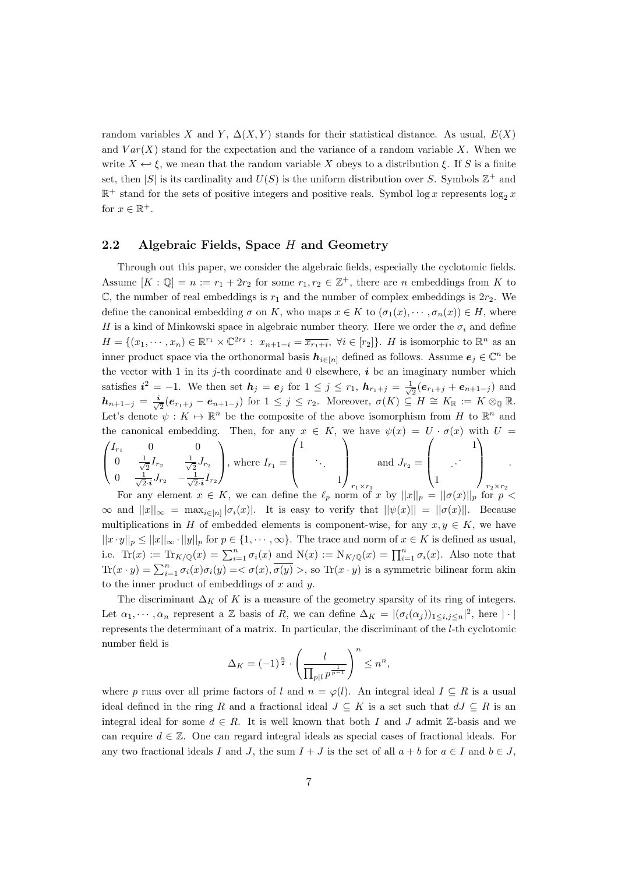random variables X and Y,  $\Delta(X, Y)$  stands for their statistical distance. As usual,  $E(X)$ and  $Var(X)$  stand for the expectation and the variance of a random variable X. When we write  $X \leftrightarrow \xi$ , we mean that the random variable X obeys to a distribution  $\xi$ . If S is a finite set, then |S| is its cardinality and  $U(S)$  is the uniform distribution over S. Symbols  $\mathbb{Z}^+$  and  $\mathbb{R}^+$  stand for the sets of positive integers and positive reals. Symbol log x represents  $\log_2 x$ for  $x \in \mathbb{R}^+$ .

### 2.2 Algebraic Fields, Space  $H$  and Geometry

Through out this paper, we consider the algebraic fields, especially the cyclotomic fields. Assume  $[K : \mathbb{Q}] = n := r_1 + 2r_2$  for some  $r_1, r_2 \in \mathbb{Z}^+$ , there are n embeddings from K to  $\mathbb{C}$ , the number of real embeddings is  $r_1$  and the number of complex embeddings is  $2r_2$ . We define the canonical embedding  $\sigma$  on K, who maps  $x \in K$  to  $(\sigma_1(x), \dots, \sigma_n(x)) \in H$ , where H is a kind of Minkowski space in algebraic number theory. Here we order the  $\sigma_i$  and define  $H = \{(x_1, \dots, x_n) \in \mathbb{R}^{r_1} \times \mathbb{C}^{2r_2} : x_{n+1-i} = \overline{x_{r_1+i}}, \ \forall i \in [r_2]\}.$  H is isomorphic to  $\mathbb{R}^n$  as an inner product space via the orthonormal basis  $h_{i\in[n]}$  defined as follows. Assume  $e_j \in \mathbb{C}^n$  be the vector with 1 in its j-th coordinate and 0 elsewhere,  $\boldsymbol{i}$  be an imaginary number which satisfies  $i^2 = -1$ . We then set  $h_j = e_j$  for  $1 \leq j \leq r_1$ ,  $h_{r_1+j} = \frac{1}{\sqrt{2}}$  $\frac{1}{2}(e_{r_1+j}+e_{n+1-j})$  and  $h_{n+1-j} = \frac{i}{\sqrt{2}}$  $\frac{1}{2}(e_{r_1+j}-e_{n+1-j})$  for  $1 \leq j \leq r_2$ . Moreover,  $\sigma(K) \subseteq H \cong K_{\mathbb{R}} := K \otimes_{\mathbb{Q}} \mathbb{R}$ . Let's denote  $\psi: K \mapsto \mathbb{R}^n$  be the composite of the above isomorphism from H to  $\mathbb{R}^n$  and the canonical embedding. Then, for any  $x \in K$ , we have  $\psi(x) = U \cdot \sigma(x)$  with  $U =$  $\begin{pmatrix} I_{r_1} & 0 & 0 \end{pmatrix}$   $\begin{pmatrix} 1 & 1 \end{pmatrix}$   $\begin{pmatrix} 1 & 1 \end{pmatrix}$ 

$$
\begin{pmatrix}\nI_{r_1} & 0 & 0 \\
0 & \frac{1}{\sqrt{2}}I_{r_2} & \frac{1}{\sqrt{2}}J_{r_2} \\
0 & \frac{1}{\sqrt{2}\cdot i}J_{r_2} & -\frac{1}{\sqrt{2}\cdot i}I_{r_2}\n\end{pmatrix}
$$
\n, where  $I_{r_1} = \begin{pmatrix} 1 & 0 & 0 \\
0 & 0 & 0 \\
0 & 1 & 0 \\
0 & 0 & 0\n\end{pmatrix}$  and  $J_{r_2} = \begin{pmatrix} 1 & 0 & 0 \\
0 & 0 & 0 \\
0 & 0 & 0 \\
0 & 0 & 0\n\end{pmatrix}$  and  $J_{r_2} = \begin{pmatrix} 1 & 0 & 0 \\
0 & 0 & 0 \\
0 & 0 & 0 \\
0 & 0 & 0\n\end{pmatrix}$  and  $J_{r_2} = \begin{pmatrix} 1 & 0 & 0 \\
0 & 0 & 0 \\
0 & 0 & 0 \\
0 & 0 & 0\n\end{pmatrix}$  and  $J_{r_2} = \begin{pmatrix} 1 & 0 & 0 \\
0 & 0 & 0 \\
0 & 0 & 0 \\
0 & 0 & 0\n\end{pmatrix}$ 

.

 $\infty$  and  $||x||_{\infty} = \max_{i \in [n]} |\sigma_i(x)|$ . It is easy to verify that  $||\psi(x)|| = ||\sigma(x)||$ . Because multiplications in H of embedded elements is component-wise, for any  $x, y \in K$ , we have  $||x \cdot y||_p \le ||x||_\infty \cdot ||y||_p$  for  $p \in \{1, \dots, \infty\}$ . The trace and norm of  $x \in K$  is defined as usual, i.e.  $\text{Tr}(x) := \text{Tr}_{K/\mathbb{Q}}(x) = \sum_{i=1}^n \sigma_i(x)$  and  $\text{N}(x) := \text{N}_{K/\mathbb{Q}}(x) = \prod_{i=1}^n \sigma_i(x)$ . Also note that  $\text{Tr}(x \cdot y) = \sum_{i=1}^{n} \sigma_i(x)\sigma_i(y) = \langle \sigma(x), \overline{\sigma(y)} \rangle$ , so  $\text{Tr}(x \cdot y)$  is a symmetric bilinear form akin to the inner product of embeddings of  $x$  and  $y$ .

The discriminant  $\Delta_K$  of K is a measure of the geometry sparsity of its ring of integers. Let  $\alpha_1, \dots, \alpha_n$  represent a Z basis of R, we can define  $\Delta_K = |(\sigma_i(\alpha_j))_{1 \le i,j \le n}|^2$ , here  $|\cdot|$ represents the determinant of a matrix. In particular, the discriminant of the l-th cyclotomic number field is

$$
\Delta_K = (-1)^{\frac{n}{2}} \cdot \left(\frac{l}{\prod_{p|l} p^{\frac{1}{p-1}}}\right)^n \le n^n,
$$

where p runs over all prime factors of l and  $n = \varphi(l)$ . An integral ideal  $I \subseteq R$  is a usual ideal defined in the ring R and a fractional ideal  $J \subseteq K$  is a set such that  $dJ \subseteq R$  is an integral ideal for some  $d \in R$ . It is well known that both I and J admit Z-basis and we can require  $d \in \mathbb{Z}$ . One can regard integral ideals as special cases of fractional ideals. For any two fractional ideals I and J, the sum  $I + J$  is the set of all  $a + b$  for  $a \in I$  and  $b \in J$ ,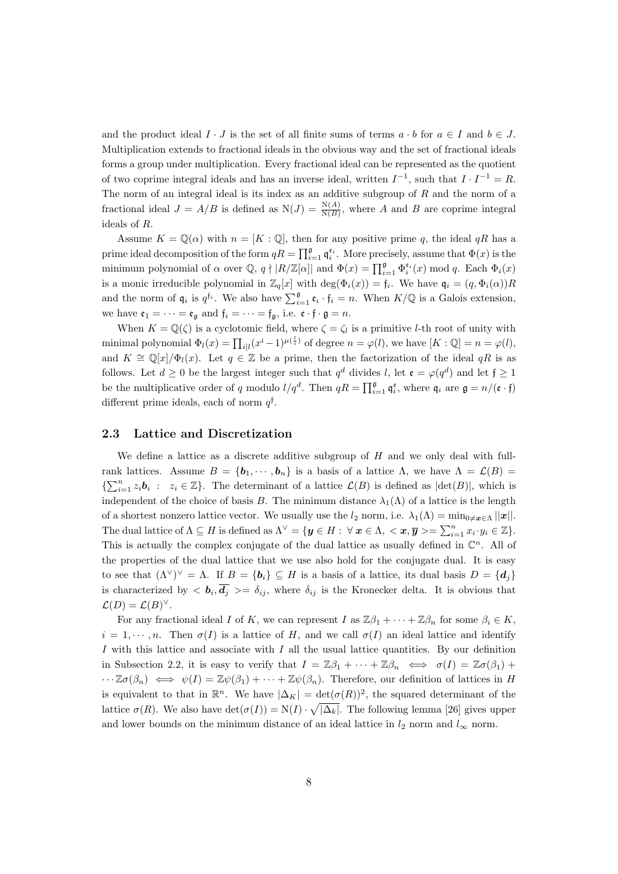and the product ideal  $I \cdot J$  is the set of all finite sums of terms  $a \cdot b$  for  $a \in I$  and  $b \in J$ . Multiplication extends to fractional ideals in the obvious way and the set of fractional ideals forms a group under multiplication. Every fractional ideal can be represented as the quotient of two coprime integral ideals and has an inverse ideal, written  $I^{-1}$ , such that  $I \cdot I^{-1} = R$ . The norm of an integral ideal is its index as an additive subgroup of  $R$  and the norm of a fractional ideal  $J = A/B$  is defined as  $N(J) = \frac{N(A)}{N(B)}$ , where A and B are coprime integral ideals of R.

Assume  $K = \mathbb{Q}(\alpha)$  with  $n = [K : \mathbb{Q}]$ , then for any positive prime q, the ideal qR has a prime ideal decomposition of the form  $qR = \prod_{i=1}^{\mathfrak{g}} \mathfrak{q}_i^{\epsilon_i}$ . More precisely, assume that  $\Phi(x)$  is the minimum polynomial of  $\alpha$  over  $\mathbb{Q}$ ,  $q \nmid |R/\mathbb{Z}[\alpha]|$  and  $\Phi(x) = \prod_{i=1}^{\mathfrak{g}} \Phi_i^{\epsilon_i}(x) \mod q$ . Each  $\Phi_i(x)$ is a monic irreducible polynomial in  $\mathbb{Z}_q[x]$  with  $\deg(\Phi_i(x)) = \mathfrak{f}_i$ . We have  $\mathfrak{q}_i = (q, \Phi_i(\alpha))R$ and the norm of  $\mathfrak{q}_i$  is  $q^{f_i}$ . We also have  $\sum_{i=1}^{\mathfrak{g}} \mathfrak{e}_i \cdot \mathfrak{f}_i = n$ . When  $K/\mathbb{Q}$  is a Galois extension, we have  $\mathfrak{e}_1 = \cdots = \mathfrak{e}_{\mathfrak{a}}$  and  $\mathfrak{f}_i = \cdots = \mathfrak{f}_{\mathfrak{a}}$ , i.e.  $\mathfrak{e} \cdot \mathfrak{f} \cdot \mathfrak{g} = n$ .

When  $K = \mathbb{Q}(\zeta)$  is a cyclotomic field, where  $\zeta = \zeta_l$  is a primitive *l*-th root of unity with minimal polynomial  $\Phi_l(x) = \prod_{i|l} (x^i - 1)^{\mu(\frac{l}{i})}$  of degree  $n = \varphi(l)$ , we have  $[K : \mathbb{Q}] = n = \varphi(l)$ , and  $K \cong \mathbb{Q}[x]/\Phi_l(x)$ . Let  $q \in \mathbb{Z}$  be a prime, then the factorization of the ideal  $qR$  is as follows. Let  $d \geq 0$  be the largest integer such that  $q^d$  divides l, let  $\mathfrak{e} = \varphi(q^d)$  and let  $\mathfrak{f} \geq 1$ be the multiplicative order of q modulo  $l/q^d$ . Then  $qR = \prod_{i=1}^{\mathfrak{g}} \mathfrak{q}_i^{\mathfrak{e}}$ , where  $\mathfrak{q}_i$  are  $\mathfrak{g} = n/(\mathfrak{e} \cdot \mathfrak{f})$ different prime ideals, each of norm  $q^{\dagger}$ .

#### 2.3 Lattice and Discretization

We define a lattice as a discrete additive subgroup of  $H$  and we only deal with fullrank lattices. Assume  $B = \{b_1, \dots, b_n\}$  is a basis of a lattice  $\Lambda$ , we have  $\Lambda = \mathcal{L}(B)$  $\{\sum_{i=1}^n z_i \mathbf{b}_i : z_i \in \mathbb{Z}\}\.$  The determinant of a lattice  $\mathcal{L}(B)$  is defined as  $|\text{det}(B)|$ , which is independent of the choice of basis B. The minimum distance  $\lambda_1(\Lambda)$  of a lattice is the length of a shortest nonzero lattice vector. We usually use the  $l_2$  norm, i.e.  $\lambda_1(\Lambda) = \min_{0 \neq x \in \Lambda} ||x||$ . The dual lattice of  $\Lambda \subseteq H$  is defined as  $\Lambda^{\vee} = {\mathbf{y} \in H : \forall \mathbf{x} \in \Lambda, \langle \mathbf{x}, \overline{\mathbf{y}} \rangle = \sum_{i=1}^{n} x_i \cdot y_i \in \mathbb{Z}}.$ This is actually the complex conjugate of the dual lattice as usually defined in  $\mathbb{C}^n$ . All of the properties of the dual lattice that we use also hold for the conjugate dual. It is easy to see that  $(\Lambda^{\vee})^{\vee} = \Lambda$ . If  $B = \{b_i\} \subseteq H$  is a basis of a lattice, its dual basis  $D = \{d_j\}$ is characterized by  $\langle \mathbf{b}_i, \mathbf{d}_j \rangle = \delta_{ij}$ , where  $\delta_{ij}$  is the Kronecker delta. It is obvious that  $\mathcal{L}(D) = \mathcal{L}(B)^{\vee}.$ 

For any fractional ideal I of K, we can represent I as  $\mathbb{Z}\beta_1 + \cdots + \mathbb{Z}\beta_n$  for some  $\beta_i \in K$ .  $i = 1, \dots, n$ . Then  $\sigma(I)$  is a lattice of H, and we call  $\sigma(I)$  an ideal lattice and identify I with this lattice and associate with I all the usual lattice quantities. By our definition in Subsection 2.2, it is easy to verify that  $I = \mathbb{Z}\beta_1 + \cdots + \mathbb{Z}\beta_n \iff \sigma(I) = \mathbb{Z}\sigma(\beta_1) +$  $\cdots \mathbb{Z}\sigma(\beta_n) \iff \psi(I) = \mathbb{Z}\psi(\beta_1) + \cdots + \mathbb{Z}\psi(\beta_n)$ . Therefore, our definition of lattices in H is equivalent to that in  $\mathbb{R}^n$ . We have  $|\Delta_K| = \det(\sigma(R))^2$ , the squared determinant of the lattice  $\sigma(R)$ . We also have  $\det(\sigma(I)) = N(I) \cdot \sqrt{|\Delta_k|}$ . The following lemma [26] gives upper and lower bounds on the minimum distance of an ideal lattice in  $l_2$  norm and  $l_{\infty}$  norm.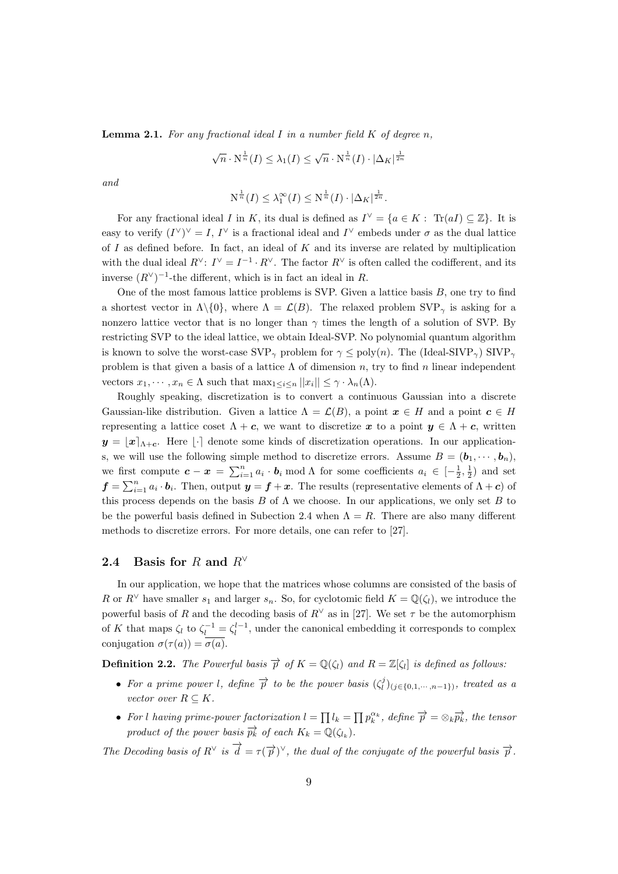**Lemma 2.1.** For any fractional ideal I in a number field  $K$  of degree n,

$$
\sqrt{n} \cdot N^{\frac{1}{n}}(I) \leq \lambda_1(I) \leq \sqrt{n} \cdot N^{\frac{1}{n}}(I) \cdot |\Delta_K|^{\frac{1}{2n}}
$$

and

$$
N^{\frac{1}{n}}(I) \leq \lambda_1^{\infty}(I) \leq N^{\frac{1}{n}}(I) \cdot |\Delta_K|^{\frac{1}{2n}}.
$$

For any fractional ideal I in K, its dual is defined as  $I^{\vee} = \{a \in K : \text{Tr}(aI) \subseteq \mathbb{Z}\}\.$  It is easy to verify  $(I^{\vee})^{\vee} = I, I^{\vee}$  is a fractional ideal and  $I^{\vee}$  embeds under  $\sigma$  as the dual lattice of I as defined before. In fact, an ideal of K and its inverse are related by multiplication with the dual ideal  $R^{\vee}$ :  $I^{\vee} = I^{-1} \cdot R^{\vee}$ . The factor  $R^{\vee}$  is often called the codifferent, and its inverse  $(R^{\vee})^{-1}$ -the different, which is in fact an ideal in R.

One of the most famous lattice problems is SVP. Given a lattice basis  $B$ , one try to find a shortest vector in  $\Lambda \setminus \{0\}$ , where  $\Lambda = \mathcal{L}(B)$ . The relaxed problem SVP<sub> $\gamma$ </sub> is asking for a nonzero lattice vector that is no longer than  $\gamma$  times the length of a solution of SVP. By restricting SVP to the ideal lattice, we obtain Ideal-SVP. No polynomial quantum algorithm is known to solve the worst-case  $SVP_{\gamma}$  problem for  $\gamma \leq poly(n)$ . The (Ideal-SIVP<sub> $\gamma$ </sub>) SIVP<sub> $_{\gamma}$ </sub> problem is that given a basis of a lattice  $\Lambda$  of dimension n, try to find n linear independent vectors  $x_1, \dots, x_n \in \Lambda$  such that  $\max_{1 \leq i \leq n} ||x_i|| \leq \gamma \cdot \lambda_n(\Lambda)$ .

Roughly speaking, discretization is to convert a continuous Gaussian into a discrete Gaussian-like distribution. Given a lattice  $\Lambda = \mathcal{L}(B)$ , a point  $x \in H$  and a point  $c \in H$ representing a lattice coset  $\Lambda + c$ , we want to discretize x to a point  $y \in \Lambda + c$ , written  $y = |x|_{\Lambda+\epsilon}$ . Here  $|\cdot|$  denote some kinds of discretization operations. In our applications, we will use the following simple method to discretize errors. Assume  $B = (\boldsymbol{b}_1, \dots, \boldsymbol{b}_n)$ , we first compute  $c - x = \sum_{i=1}^{n} a_i \cdot b_i \mod \Lambda$  for some coefficients  $a_i \in \left[-\frac{1}{2}, \frac{1}{2}\right)$  and set  $f = \sum_{i=1}^{n} a_i \cdot b_i$ . Then, output  $y = f + x$ . The results (representative elements of  $\Lambda + c$ ) of this process depends on the basis B of  $\Lambda$  we choose. In our applications, we only set B to be the powerful basis defined in Subection 2.4 when  $\Lambda = R$ . There are also many different methods to discretize errors. For more details, one can refer to [27].

### 2.4 Basis for R and  $R^{\vee}$

In our application, we hope that the matrices whose columns are consisted of the basis of R or  $R^{\vee}$  have smaller  $s_1$  and larger  $s_n$ . So, for cyclotomic field  $K = \mathbb{Q}(\zeta_l)$ , we introduce the powerful basis of R and the decoding basis of  $R^{\vee}$  as in [27]. We set  $\tau$  be the automorphism of K that maps  $\zeta_l$  to  $\zeta_l^{-1} = \zeta_l^{l-1}$ , under the canonical embedding it corresponds to complex conjugation  $\sigma(\tau(a)) = \overline{\sigma(a)}$ .

**Definition 2.2.** The Powerful basis  $\overrightarrow{p}$  of  $K = \mathbb{Q}(\zeta_l)$  and  $R = \mathbb{Z}[\zeta_l]$  is defined as follows:

- For a prime power l, define  $\overrightarrow{p}$  to be the power basis  $(\zeta_i^j)_{(j \in \{0,1,\dots,n-1\})}$ , treated as a vector over  $R \subseteq K$ .
- For l having prime-power factorization  $l = \prod_l l_k = \prod_p p_k^{\alpha_k}$ , define  $\overrightarrow{p} = \otimes_k \overrightarrow{p_k}$ , the tensor product of the power basis  $\overrightarrow{p_k}$  of each  $K_k = \mathbb{Q}(\zeta_{l_k})$ .

The Decoding basis of  $R^{\vee}$  is  $\overrightarrow{d} = \tau(\overrightarrow{p})^{\vee}$ , the dual of the conjugate of the powerful basis  $\overrightarrow{p}$ .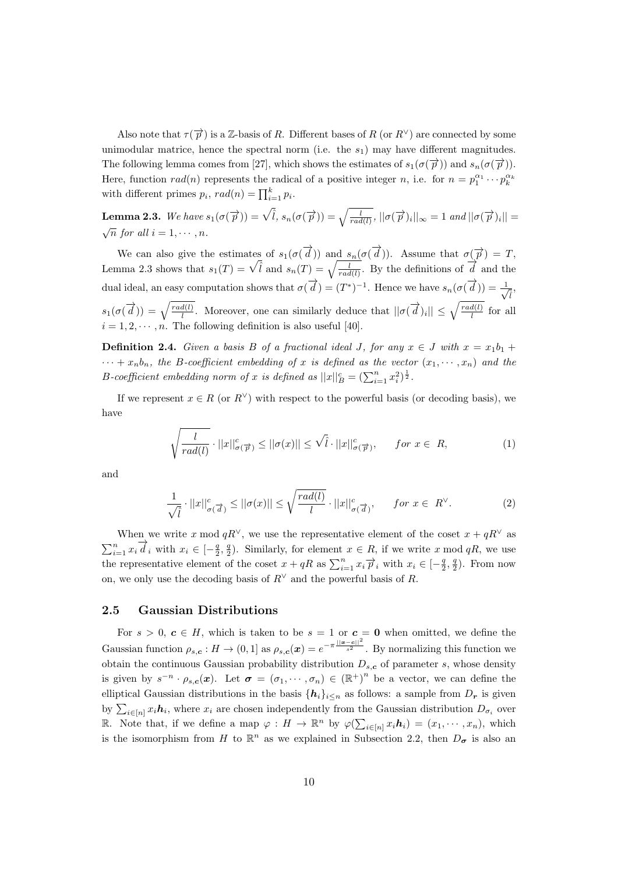Also note that  $\tau(\vec{p})$  is a Z-basis of R. Different bases of R (or  $R^{\vee}$ ) are connected by some unimodular matrice, hence the spectral norm (i.e. the  $s_1$ ) may have different magnitudes. The following lemma comes from [27], which shows the estimates of  $s_1(\sigma(\vec{p}))$  and  $s_n(\sigma(\vec{p}))$ . Here, function  $rad(n)$  represents the radical of a positive integer n, i.e. for  $n = p_1^{\alpha_1} \cdots p_k^{\alpha_k}$ with different primes  $p_i$ ,  $rad(n) = \prod_{i=1}^{k} p_i$ .

**Lemma 2.3.** We have  $s_1(\sigma(\overrightarrow{p})) = \sqrt{\overline{l}}, s_n(\sigma(\overrightarrow{p})) = \sqrt{\frac{l}{rad(l)}}, ||\sigma(\overrightarrow{p})_i||_{\infty} = 1$  and  $||\sigma(\overrightarrow{p})_i|| =$  $\sqrt{n}$  for all  $i = 1, \cdots, n$ .

We can also give the estimates of  $s_1(\sigma(\vec{d}))$  and  $s_n(\sigma(\vec{d}))$ . Assume that  $\sigma(\vec{p}) = T$ , Lemma 2.3 shows that  $s_1(T) = \sqrt{\hat{l}}$  and  $s_n(T) = \sqrt{\frac{l}{rad(l)}}$ . By the definitions of  $\overrightarrow{d}$  and the dual ideal, an easy computation shows that  $\sigma(\vec{d}) = (T^*)^{-1}$ . Hence we have  $s_n(\sigma(\vec{d})) = \frac{1}{4}$  $\bar{\hat{i}}$  $s_1(\sigma(\overrightarrow{d})) = \sqrt{\frac{rad(l)}{l}}$  $\frac{d(l)}{l}$ . Moreover, one can similarly deduce that  $||\sigma(\vec{d})_i|| \leq \sqrt{\frac{rad(l)}{l}}$  $\frac{d(l)}{l}$  for all  $i = 1, 2, \cdots, n$ . The following definition is also useful [40].

**Definition 2.4.** Given a basis B of a fractional ideal J, for any  $x \in J$  with  $x = x_1b_1 +$  $\cdots + x_n b_n$ , the B-coefficient embedding of x is defined as the vector  $(x_1, \dots, x_n)$  and the B-coefficient embedding norm of x is defined as  $||x||_B^c = \left(\sum_{i=1}^n x_i^2\right)^{\frac{1}{2}}$ .

If we represent  $x \in R$  (or  $R^{\vee}$ ) with respect to the powerful basis (or decoding basis), we have

$$
\sqrt{\frac{l}{rad(l)}} \cdot ||x||_{\sigma(\overrightarrow{p})}^{c} \le ||\sigma(x)|| \le \sqrt{\hat{l}} \cdot ||x||_{\sigma(\overrightarrow{p})}^{c}, \quad \text{for } x \in R,
$$
\n(1)

and

$$
\frac{1}{\sqrt{\hat{l}}}\cdot||x||_{\sigma(\overrightarrow{d})}^{c}\leq||\sigma(x)||\leq\sqrt{\frac{rad(l)}{l}}\cdot||x||_{\sigma(\overrightarrow{d})}^{c},\quad \text{for }x\in R^{\vee}.\tag{2}
$$

When we write x mod  $qR^{\vee}$ , we use the representative element of the coset  $x + qR^{\vee}$  as  $\sum_{i=1}^{n} x_i \overrightarrow{d}_i$  with  $x_i \in [-\frac{q}{2}, \frac{q}{2})$ . Similarly, for element  $x \in R$ , if we write x mod qR, we use the representative element of the coset  $x + qR$  as  $\sum_{i=1}^{n} x_i \overrightarrow{p}_i$  with  $x_i \in \left[-\frac{q}{2}, \frac{q}{2}\right)$ . From now on, we only use the decoding basis of  $R<sup>∨</sup>$  and the powerful basis of R.

#### 2.5 Gaussian Distributions

For  $s > 0$ ,  $c \in H$ , which is taken to be  $s = 1$  or  $c = 0$  when omitted, we define the Gaussian function  $\rho_{s,c}: H \to (0,1]$  as  $\rho_{s,c}(x) = e^{-\pi \frac{||x-c||^2}{s^2}}$ . By normalizing this function we obtain the continuous Gaussian probability distribution  $D_{s,c}$  of parameter s, whose density is given by  $s^{-n} \cdot \rho_{s,c}(x)$ . Let  $\sigma = (\sigma_1, \dots, \sigma_n) \in (\mathbb{R}^+)^n$  be a vector, we can define the elliptical Gaussian distributions in the basis  $\{h_i\}_{i\leq n}$  as follows: a sample from  $D_r$  is given by  $\sum_{i\in[n]} x_i \mathbf{h}_i$ , where  $x_i$  are chosen independently from the Gaussian distribution  $D_{\sigma_i}$  over R. Note that, if we define a map  $\varphi: H \to \mathbb{R}^n$  by  $\varphi(\sum_{i \in [n]} x_i \mathbf{h}_i) = (x_1, \dots, x_n)$ , which is the isomorphism from H to  $\mathbb{R}^n$  as we explained in Subsection 2.2, then  $D_{\sigma}$  is also an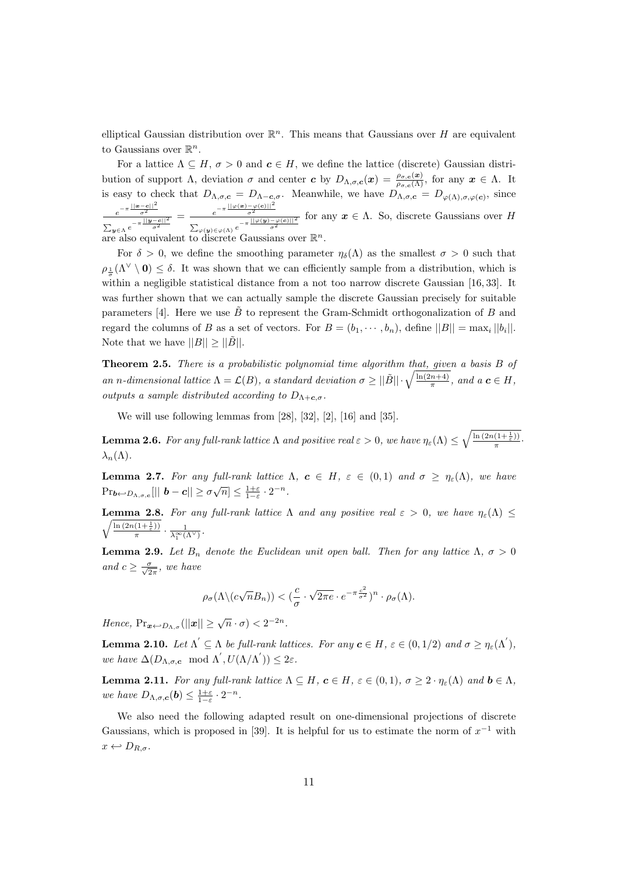elliptical Gaussian distribution over  $\mathbb{R}^n$ . This means that Gaussians over H are equivalent to Gaussians over  $\mathbb{R}^n$ .

For a lattice  $\Lambda \subseteq H$ ,  $\sigma > 0$  and  $c \in H$ , we define the lattice (discrete) Gaussian distribution of support  $\Lambda$ , deviation  $\sigma$  and center  $\boldsymbol{c}$  by  $D_{\Lambda,\sigma,\boldsymbol{c}}(\boldsymbol{x}) = \frac{\rho_{\sigma,\boldsymbol{c}}(\boldsymbol{x})}{\rho_{\sigma,\boldsymbol{c}}(\Lambda)}$ , for any  $\boldsymbol{x} \in \Lambda$ . It is easy to check that  $D_{\Lambda,\sigma,c} = D_{\Lambda-c,\sigma}$ . Meanwhile, we have  $D_{\Lambda,\sigma,c} = D_{\varphi(\Lambda),\sigma,\varphi(c)}$ , since  $e^{-\pi \frac{||\mathbf{x}-\mathbf{c}||^2}{\sigma^2}}$  $\sum_{\bm{y}\in \Lambda}e^{-\pi\frac{||\bm{y}-\bm{c}||^2}{\sigma^2}}$  $= \frac{e^{-\pi \frac{||\varphi(\mathbf{x}) - \varphi(\mathbf{c})||^2}{\sigma^2}}}{\frac{||\varphi(\mathbf{w}) - \varphi(\mathbf{c})||^2}{\sigma^2}}$  $\sum_{\varphi(\boldsymbol{y}) \in \varphi(\Lambda)} e^{-\pi \frac{||\varphi(\boldsymbol{y}) - \varphi(\boldsymbol{c})||^2}{\sigma^2}}$ for any  $x \in \Lambda$ . So, discrete Gaussians over H are also equivalent to discrete Gaussians over  $\mathbb{R}^n$ .

For  $\delta > 0$ , we define the smoothing parameter  $\eta_{\delta}(\Lambda)$  as the smallest  $\sigma > 0$  such that  $\rho_{\perp}(\Lambda^{\vee} \setminus 0) \leq \delta$ . It was shown that we can efficiently sample from a distribution, which is σ within a negligible statistical distance from a not too narrow discrete Gaussian [16, 33]. It was further shown that we can actually sample the discrete Gaussian precisely for suitable parameters [4]. Here we use  $\tilde{B}$  to represent the Gram-Schmidt orthogonalization of B and regard the columns of B as a set of vectors. For  $B = (b_1, \dots, b_n)$ , define  $||B|| = \max_i ||b_i||$ . Note that we have  $||B|| \ge ||\tilde{B}||$ .

Theorem 2.5. There is a probabilistic polynomial time algorithm that, given a basis B of an n-dimensional lattice  $\Lambda = \mathcal{L}(B)$ , a standard deviation  $\sigma \geq ||\tilde{B}|| \cdot \sqrt{\frac{\ln(2n+4)}{\pi}}$  $\frac{(n+4)}{\pi}$ , and  $a \mathbf{c} \in H$ , outputs a sample distributed according to  $D_{\Lambda+\mathbf{c},\sigma}$ .

We will use following lemmas from [28], [32], [2], [16] and [35].

**Lemma 2.6.** For any full-rank lattice  $\Lambda$  and positive real  $\varepsilon > 0$ , we have  $\eta_{\varepsilon}(\Lambda) \leq \sqrt{\frac{\ln (2n(1+\frac{1}{\varepsilon}))}{\pi}}$  $rac{(1+\frac{1}{\varepsilon})}{\pi}$ .  $\lambda_n(\Lambda)$ .

**Lemma 2.7.** For any full-rank lattice  $\Lambda$ ,  $c \in H$ ,  $\varepsilon \in (0,1)$  and  $\sigma \geq \eta_{\varepsilon}(\Lambda)$ , we have  $\Pr_{\bm{b}\leftarrow D_{\Lambda,\sigma,\bm{c}}}[||\bm{b}-\bm{c}||\geq \sigma\sqrt{n}] \leq \frac{1+\varepsilon}{1-\varepsilon}\cdot 2^{-n}.$ 

 $\sqrt{\ln\left(2n(1+\frac{1}{\varepsilon})\right)}$ **Lemma 2.8.** For any full-rank lattice  $\Lambda$  and any positive real  $\varepsilon > 0$ , we have  $\eta_{\varepsilon}(\Lambda) \leq$  $\frac{(1+\frac{1}{\varepsilon}))}{\pi} \cdot \frac{1}{\lambda_1^{\infty}(\Lambda^{\vee})}.$ 

**Lemma 2.9.** Let  $B_n$  denote the Euclidean unit open ball. Then for any lattice  $\Lambda$ ,  $\sigma > 0$ and  $c \geq \frac{\sigma}{\sqrt{2\pi}}$ , we have

$$
\rho_{\sigma}(\Lambda \setminus (c\sqrt{n}B_n)) < \left(\frac{c}{\sigma} \cdot \sqrt{2\pi e} \cdot e^{-\pi \frac{c^2}{\sigma^2}}\right)^n \cdot \rho_{\sigma}(\Lambda).
$$

Hence,  $Pr_{\mathbf{x} \leftarrow D_{\Lambda,\sigma}}(||\mathbf{x}|| \geq \sqrt{n} \cdot \sigma) < 2^{-2n}$ .

**Lemma 2.10.** Let  $\Lambda' \subseteq \Lambda$  be full-rank lattices. For any  $c \in H$ ,  $\varepsilon \in (0, 1/2)$  and  $\sigma \geq \eta_{\varepsilon}(\Lambda')$ , we have  $\Delta(D_{\Lambda,\sigma,\mathbf{c}} \mod \Lambda', U(\Lambda/\Lambda')) \leq 2\varepsilon$ .

**Lemma 2.11.** For any full-rank lattice  $\Lambda \subseteq H$ ,  $c \in H$ ,  $\varepsilon \in (0,1)$ ,  $\sigma \geq 2 \cdot \eta_{\varepsilon}(\Lambda)$  and  $b \in \Lambda$ , we have  $D_{\Lambda,\sigma,\mathbf{c}}(\mathbf{b}) \leq \frac{1+\varepsilon}{1-\varepsilon} \cdot 2^{-n}$ .

We also need the following adapted result on one-dimensional projections of discrete Gaussians, which is proposed in [39]. It is helpful for us to estimate the norm of  $x^{-1}$  with  $x \leftrightarrow D_{R,\sigma}.$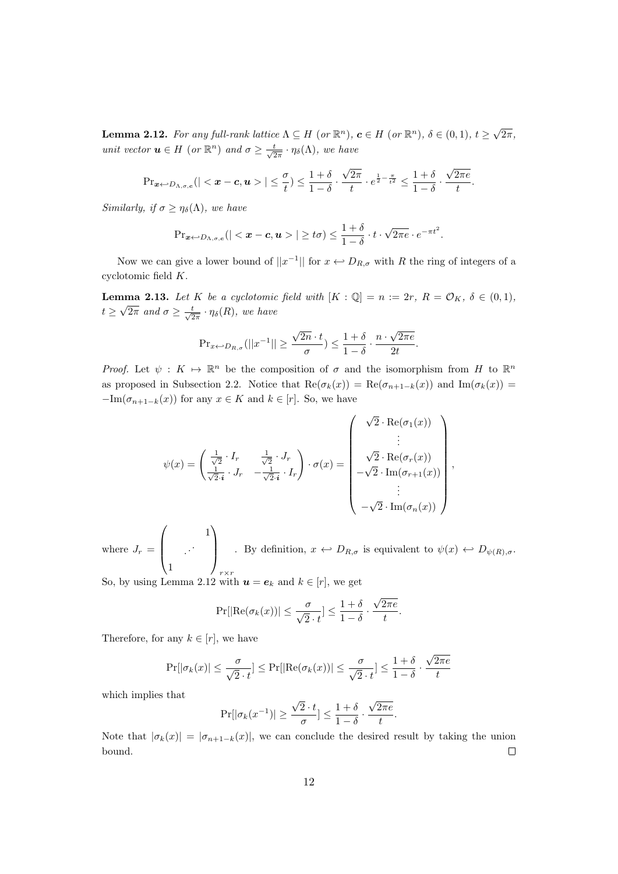**Lemma 2.12.** For any full-rank lattice  $\Lambda \subseteq H$  (or  $\mathbb{R}^n$ ),  $c \in H$  (or  $\mathbb{R}^n$ ),  $\delta \in (0,1)$ ,  $t \geq \sqrt{n}$  $2\pi,$ unit vector  $u \in H$  (or  $\mathbb{R}^n$ ) and  $\sigma \geq \frac{t}{\sqrt{2\pi}} \cdot \eta_{\delta}(\Lambda)$ , we have

$$
\Pr{\mathbf{x} \sim D_{\Lambda,\sigma,c}}(|<\pmb{x}-\pmb{c},\pmb{u}>| \leq \frac{\sigma}{t}) \leq \frac{1+\delta}{1-\delta} \cdot \frac{\sqrt{2\pi}}{t} \cdot e^{\frac{1}{2}-\frac{\pi}{t^2}} \leq \frac{1+\delta}{1-\delta} \cdot \frac{\sqrt{2\pi e}}{t}.
$$

Similarly, if  $\sigma \geq \eta_{\delta}(\Lambda)$ , we have

$$
\Pr{\mathbf{x}} \sim D_{\Lambda,\sigma,c}(|<\boldsymbol{x}-\boldsymbol{c},\boldsymbol{u}>| \geq t\sigma) \leq \frac{1+\delta}{1-\delta} \cdot t \cdot \sqrt{2\pi e} \cdot e^{-\pi t^2}.
$$

Now we can give a lower bound of  $||x^{-1}||$  for  $x \leftrightarrow D_{R,\sigma}$  with R the ring of integers of a cyclotomic field K.

**Lemma 2.13.** Let K be a cyclotomic field with  $[K : \mathbb{Q}] = n := 2r, R = \mathcal{O}_K, \delta \in (0,1),$  $t \geq \sqrt{2\pi}$  and  $\sigma \geq \frac{t}{\sqrt{2\pi}} \cdot \eta_{\delta}(R)$ , we have

$$
\Pr_{x \leftarrow D_{R,\sigma}}(||x^{-1}|| \ge \frac{\sqrt{2n} \cdot t}{\sigma}) \le \frac{1+\delta}{1-\delta} \cdot \frac{n \cdot \sqrt{2\pi e}}{2t}.
$$

Proof. Let  $\psi: K \mapsto \mathbb{R}^n$  be the composition of  $\sigma$  and the isomorphism from H to  $\mathbb{R}^n$ as proposed in Subsection 2.2. Notice that  $\text{Re}(\sigma_k(x)) = \text{Re}(\sigma_{n+1-k}(x))$  and  $\text{Im}(\sigma_k(x)) =$  $-\text{Im}(\sigma_{n+1-k}(x))$  for any  $x \in K$  and  $k \in [r]$ . So, we have

$$
\psi(x) = \begin{pmatrix} \frac{1}{\sqrt{2}} \cdot I_r & \frac{1}{\sqrt{2}} \cdot J_r \\ \frac{1}{\sqrt{2} \cdot i} \cdot J_r & -\frac{1}{\sqrt{2} \cdot i} \cdot I_r \end{pmatrix} \cdot \sigma(x) = \begin{pmatrix} \sqrt{2} \cdot \text{Re}(\sigma_1(x)) \\ \vdots \\ \sqrt{2} \cdot \text{Re}(\sigma_r(x)) \\ -\sqrt{2} \cdot \text{Im}(\sigma_{r+1}(x)) \\ \vdots \\ -\sqrt{2} \cdot \text{Im}(\sigma_n(x)) \end{pmatrix},
$$

where  $J_r =$  $\sqrt{ }$  $\vert$ 1 . . . 1  $\setminus$  $\Big\}$  $r \times r$ . By definition,  $x \leftrightarrow D_{R,\sigma}$  is equivalent to  $\psi(x) \leftrightarrow D_{\psi(R),\sigma}$ .

So, by using Lemma 2.12 with  $u = e_k$  and  $k \in [r]$ , we get

$$
\Pr[|\text{Re}(\sigma_k(x))| \leq \frac{\sigma}{\sqrt{2} \cdot t}] \leq \frac{1+\delta}{1-\delta} \cdot \frac{\sqrt{2\pi e}}{t}.
$$

Therefore, for any  $k \in [r]$ , we have

$$
\Pr[|\sigma_k(x)| \le \frac{\sigma}{\sqrt{2} \cdot t}] \le \Pr[|\text{Re}(\sigma_k(x))| \le \frac{\sigma}{\sqrt{2} \cdot t}] \le \frac{1+\delta}{1-\delta} \cdot \frac{\sqrt{2\pi e}}{t}
$$

which implies that

$$
\Pr[|\sigma_k(x^{-1})| \ge \frac{\sqrt{2} \cdot t}{\sigma}] \le \frac{1+\delta}{1-\delta} \cdot \frac{\sqrt{2\pi e}}{t}.
$$

Note that  $|\sigma_k(x)| = |\sigma_{n+1-k}(x)|$ , we can conclude the desired result by taking the union bound.  $\Box$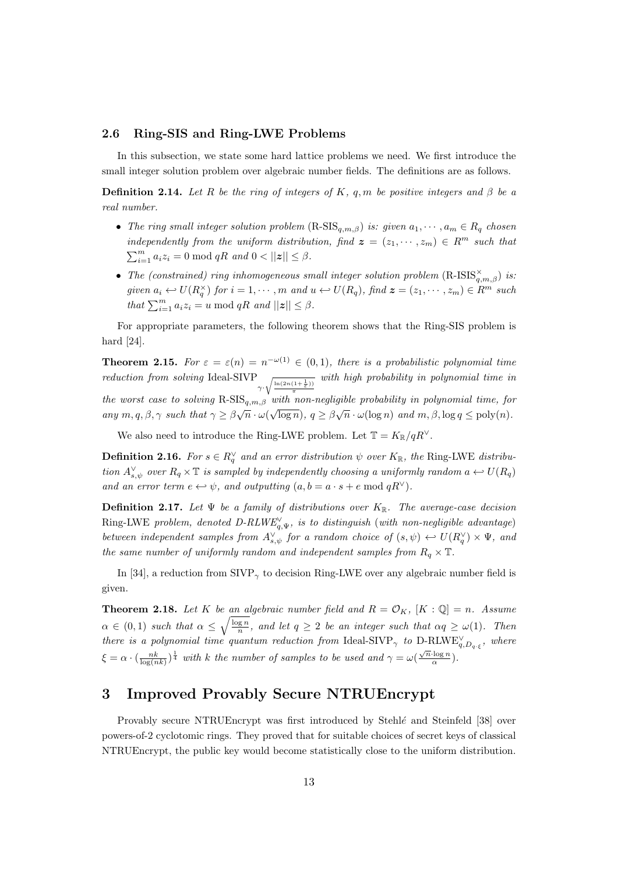#### 2.6 Ring-SIS and Ring-LWE Problems

In this subsection, we state some hard lattice problems we need. We first introduce the small integer solution problem over algebraic number fields. The definitions are as follows.

**Definition 2.14.** Let R be the ring of integers of K, q, m be positive integers and  $\beta$  be a real number.

- The ring small integer solution problem  $(R\text{-SIS}_{a,m,\beta})$  is: given  $a_1, \dots, a_m \in R_q$  chosen independently from the uniform distribution, find  $\boldsymbol{z} = (z_1, \dots, z_m) \in R^m$  such that  $\sum_{i=1}^{m} a_i z_i = 0 \text{ mod } qR \text{ and } 0 < ||z|| \leq \beta.$
- The (constrained) ring inhomogeneous small integer solution problem  $(R\text{-}ISS_{q,m,\beta}^{\times})$  is: given  $a_i \leftrightarrow U(R_q^{\times})$  for  $i = 1, \cdots, m$  and  $u \leftrightarrow U(R_q)$ , find  $\boldsymbol{z} = (z_1, \cdots, z_m) \in R^m$  such that  $\sum_{i=1}^{m} a_i z_i = u \mod qR$  and  $||z|| \leq \beta$ .

For appropriate parameters, the following theorem shows that the Ring-SIS problem is hard [24].

**Theorem 2.15.** For  $\varepsilon = \varepsilon(n) = n^{-\omega(1)} \in (0,1)$ , there is a probabilistic polynomial time reduction from solving Ideal-SIVP  $\gamma \cdot \sqrt{\frac{\ln(2n(1+\frac{1}{\varepsilon}))}{\pi}}$ with high probability in polynomial time in the worst case to solving  $R\text{-}SIS_{q,m,\beta}$  with non-negligible probability in polynomial time, for any  $m, q, \beta, \gamma$  such that  $\gamma \geq \beta \sqrt{n} \cdot \omega(\sqrt{\log n}), q \geq \beta \sqrt{n} \cdot \omega(\log n)$  and  $m, \beta, \log q \leq \text{poly}(n)$ .

We also need to introduce the Ring-LWE problem. Let  $\mathbb{T} = K_{\mathbb{R}}/qR^{\vee}$ .

**Definition 2.16.** For  $s \in R_q^{\vee}$  and an error distribution  $\psi$  over  $K_{\mathbb{R}}$ , the Ring-LWE distribution  $A_{s,\psi}^{\vee}$  over  $R_q \times \mathbb{T}$  is sampled by independently choosing a uniformly random  $a \leftrightarrow U(R_q)$ and an error term  $e \leftrightarrow \psi$ , and outputting  $(a, b = a \cdot s + e \mod qR^{\vee})$ .

**Definition 2.17.** Let  $\Psi$  be a family of distributions over  $K_{\mathbb{R}}$ . The average-case decision Ring-LWE problem, denoted D-RLWE<sub>q,V</sub>, is to distinguish (with non-negligible advantage) between independent samples from  $A_{s,\psi}^{\vee}$  for a random choice of  $(s,\psi) \leftrightarrow U(R_{q}^{\vee}) \times \Psi$ , and the same number of uniformly random and independent samples from  $R_q \times \mathbb{T}$ .

In [34], a reduction from  $SIVP_{\gamma}$  to decision Ring-LWE over any algebraic number field is given.

**Theorem 2.18.** Let K be an algebraic number field and  $R = \mathcal{O}_K$ ,  $[K : \mathbb{Q}] = n$ . Assume  $\alpha \in (0,1)$  such that  $\alpha \leq \sqrt{\frac{\log n}{n}}$ , and let  $q \geq 2$  be an integer such that  $\alpha q \geq \omega(1)$ . Then there is a polynomial time quantum reduction from Ideal-SIVP<sub> $\gamma$ </sub> to D-RLWE<sub>q,D<sub>q·ξ</sub>, where</sub>  $\xi = \alpha \cdot (\frac{nk}{\log(nk)})^{\frac{1}{4}}$  with k the number of samples to be used and  $\gamma = \omega(\frac{\sqrt{n} \cdot \log n}{\alpha})$  $\frac{\log n}{\alpha}$ ).

# 3 Improved Provably Secure NTRUEncrypt

Provably secure NTRUEncrypt was first introduced by  $Stehl\acute{e}$  and Steinfeld [38] over powers-of-2 cyclotomic rings. They proved that for suitable choices of secret keys of classical NTRUEncrypt, the public key would become statistically close to the uniform distribution.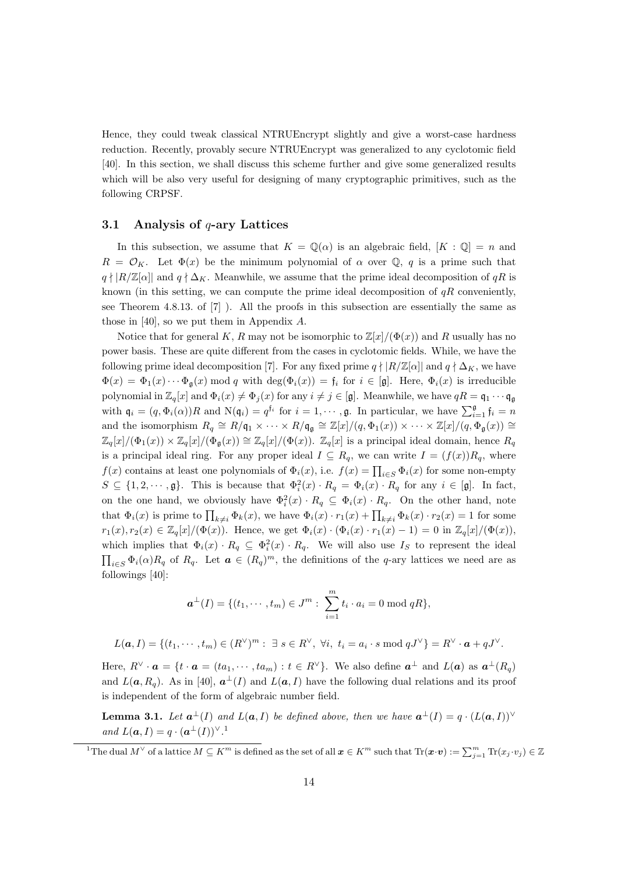Hence, they could tweak classical NTRUEncrypt slightly and give a worst-case hardness reduction. Recently, provably secure NTRUEncrypt was generalized to any cyclotomic field [40]. In this section, we shall discuss this scheme further and give some generalized results which will be also very useful for designing of many cryptographic primitives, such as the following CRPSF.

#### 3.1 Analysis of  $q$ -ary Lattices

In this subsection, we assume that  $K = \mathbb{Q}(\alpha)$  is an algebraic field,  $[K : \mathbb{Q}] = n$  and  $R = \mathcal{O}_K$ . Let  $\Phi(x)$  be the minimum polynomial of  $\alpha$  over  $\mathbb{Q}$ , q is a prime such that  $q \nmid R/\mathbb{Z}[\alpha]$  and  $q \nmid \Delta_K$ . Meanwhile, we assume that the prime ideal decomposition of  $qR$  is known (in this setting, we can compute the prime ideal decomposition of  $qR$  conveniently, see Theorem 4.8.13. of [7] ). All the proofs in this subsection are essentially the same as those in [40], so we put them in Appendix A.

Notice that for general K, R may not be isomorphic to  $\mathbb{Z}[x]/(\Phi(x))$  and R usually has no power basis. These are quite different from the cases in cyclotomic fields. While, we have the following prime ideal decomposition [7]. For any fixed prime  $q \nmid R/\mathbb{Z}[\alpha]$  and  $q \nmid \Delta_K$ , we have  $\Phi(x) = \Phi_1(x) \cdots \Phi_a(x)$  mod q with deg $(\Phi_i(x)) = f_i$  for  $i \in [\mathfrak{g}]$ . Here,  $\Phi_i(x)$  is irreducible polynomial in  $\mathbb{Z}_q[x]$  and  $\Phi_i(x) \neq \Phi_j(x)$  for any  $i \neq j \in [\mathfrak{g}]$ . Meanwhile, we have  $qR = \mathfrak{q}_1 \cdots \mathfrak{q}_{\mathfrak{g}}$ with  $\mathfrak{q}_i = (q, \Phi_i(\alpha))R$  and  $\mathcal{N}(\mathfrak{q}_i) = q^{\mathfrak{f}_i}$  for  $i = 1, \dots, \mathfrak{g}$ . In particular, we have  $\sum_{i=1}^{\mathfrak{g}} \mathfrak{f}_i = n$ and the isomorphism  $R_q \cong R/\mathfrak{q}_1 \times \cdots \times R/\mathfrak{q}_{\mathfrak{g}} \cong \mathbb{Z}[x]/(q, \Phi_1(x)) \times \cdots \times \mathbb{Z}[x]/(q, \Phi_{\mathfrak{g}}(x)) \cong$  $\mathbb{Z}_q[x]/(\Phi_1(x)) \times \mathbb{Z}_q[x]/(\Phi_2(x)) \cong \mathbb{Z}_q[x]/(\Phi(x)).$   $\mathbb{Z}_q[x]$  is a principal ideal domain, hence  $R_q$ is a principal ideal ring. For any proper ideal  $I \subseteq R_q$ , we can write  $I = (f(x))R_q$ , where  $f(x)$  contains at least one polynomials of  $\Phi_i(x)$ , i.e.  $f(x) = \prod_{i \in S} \Phi_i(x)$  for some non-empty  $S \subseteq \{1, 2, \dots, \mathfrak{g}\}.$  This is because that  $\Phi_i^2(x) \cdot R_q = \Phi_i(x) \cdot R_q$  for any  $i \in [\mathfrak{g}].$  In fact, on the one hand, we obviously have  $\Phi_i^2(x) \cdot R_q \subseteq \Phi_i(x) \cdot R_q$ . On the other hand, note that  $\Phi_i(x)$  is prime to  $\prod_{k\neq i} \Phi_k(x)$ , we have  $\Phi_i(x) \cdot r_1(x) + \prod_{k\neq i} \Phi_k(x) \cdot r_2(x) = 1$  for some  $r_1(x), r_2(x) \in \mathbb{Z}_q[x]/(\Phi(x)).$  Hence, we get  $\Phi_i(x) \cdot (\Phi_i(x) \cdot r_1(x) - 1) = 0$  in  $\mathbb{Z}_q[x]/(\Phi(x)),$ which implies that  $\Phi_i(x) \cdot R_q \subseteq \Phi_i^2(x) \cdot R_q$ . We will also use  $I_S$  to represent the ideal  $\prod_{i\in S} \Phi_i(\alpha) R_q$  of  $R_q$ . Let  $\boldsymbol{a} \in (R_q)^m$ , the definitions of the q-ary lattices we need are as followings [40]:

$$
\mathbf{a}^{\perp}(I) = \{ (t_1, \cdots, t_m) \in J^m : \sum_{i=1}^m t_i \cdot a_i = 0 \bmod qR \},\
$$

$$
L(\boldsymbol{a},I)=\{(t_1,\cdots,t_m)\in (R^\vee)^m:\;\exists\;s\in R^\vee,\;\forall i,\;t_i=a_i\cdot s\;\text{mod}\;qJ^\vee\}=R^\vee\cdot\boldsymbol{a}+qJ^\vee.
$$

Here,  $R^{\vee} \cdot \boldsymbol{a} = \{t \cdot \boldsymbol{a} = (ta_1, \cdots, ta_m) : t \in R^{\vee}\}.$  We also define  $\boldsymbol{a}^{\perp}$  and  $L(\boldsymbol{a})$  as  $\boldsymbol{a}^{\perp}(R_q)$ and  $L(a, R_q)$ . As in [40],  $a^{\perp}(I)$  and  $L(a, I)$  have the following dual relations and its proof is independent of the form of algebraic number field.

**Lemma 3.1.** Let  $a^{\perp}(I)$  and  $L(a, I)$  be defined above, then we have  $a^{\perp}(I) = q \cdot (L(a, I))^{\vee}$ and  $L(\boldsymbol{a}, I) = q \cdot (\boldsymbol{a}^{\perp}(I))^{\vee}$ .<sup>1</sup>

<sup>&</sup>lt;sup>1</sup>The dual  $M^{\vee}$  of a lattice  $M \subseteq K^m$  is defined as the set of all  $\boldsymbol{x} \in K^m$  such that  $\text{Tr}(\boldsymbol{x} \cdot \boldsymbol{v}) := \sum_{j=1}^m \text{Tr}(x_j \cdot v_j) \in \mathbb{Z}$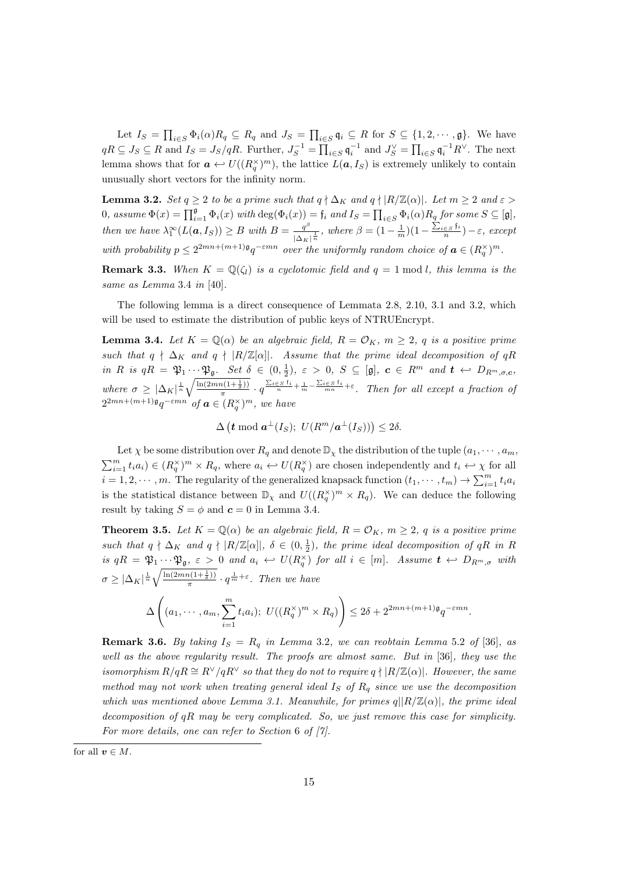Let  $I_S = \prod_{i \in S} \Phi_i(\alpha) R_q \subseteq R_q$  and  $J_S = \prod_{i \in S} \mathfrak{q}_i \subseteq R$  for  $S \subseteq \{1, 2, \cdots, \mathfrak{g}\}$ . We have  $qR \subseteq J_S \subseteq R$  and  $I_S = J_S/qR$ . Further,  $J_S^{-1} = \prod_{i \in S} \mathfrak{q}_i^{-1}$  and  $J_S^{\vee} = \prod_{i \in S} \mathfrak{q}_i^{-1}R^{\vee}$ . The next lemma shows that for  $\mathbf{a} \leftrightarrow U((R_q^{\times})^m)$ , the lattice  $L(\mathbf{a}, I_S)$  is extremely unlikely to contain unusually short vectors for the infinity norm.

**Lemma 3.2.** Set  $q \ge 2$  to be a prime such that  $q \nmid \Delta_K$  and  $q \nmid |R/\mathbb{Z}(\alpha)|$ . Let  $m \ge 2$  and  $\varepsilon >$ 0, assume  $\Phi(x) = \prod_{i=1}^{g} \Phi_i(x)$  with  $\deg(\Phi_i(x)) = \mathfrak{f}_i$  and  $I_S = \prod_{i \in S} \Phi_i(\alpha) R_q$  for some  $S \subseteq [\mathfrak{g}]$ , then we have  $\lambda_1^{\infty}(L(\boldsymbol{a},I_S)) \geq B$  with  $B = \frac{q^{\beta}}{|\lambda|}$  $\frac{q^{\beta}}{|\Delta_K|^{\frac{1}{n}}}$ , where  $\beta = (1 - \frac{1}{m})(1 - \frac{\sum_{i \in S} f_i}{n})$  $\frac{\in S^{(i)}}{n}$ ) –  $\varepsilon$ , except with probability  $p \leq 2^{2mn + (m+1)\mathfrak{g}} q^{-\varepsilon mn}$  over the uniformly random choice of  $\mathbf{a} \in (R_q^{\times})^m$ .

**Remark 3.3.** When  $K = \mathbb{Q}(\zeta_l)$  is a cyclotomic field and  $q = 1 \text{ mod } l$ , this lemma is the same as Lemma 3.4 in [40].

The following lemma is a direct consequence of Lemmata 2.8, 2.10, 3.1 and 3.2, which will be used to estimate the distribution of public keys of NTRUEncrypt.

**Lemma 3.4.** Let  $K = \mathbb{Q}(\alpha)$  be an algebraic field,  $R = \mathcal{O}_K$ ,  $m > 2$ , q is a positive prime such that  $q \nmid \Delta_K$  and  $q \nmid |R/\mathbb{Z}[\alpha]|$ . Assume that the prime ideal decomposition of  $qR$ in R is  $qR = \mathfrak{P}_1 \cdots \mathfrak{P}_{\mathfrak{g}}$ . Set  $\delta \in (0, \frac{1}{2})$ ,  $\varepsilon > 0$ ,  $S \subseteq [\mathfrak{g}]$ ,  $\mathbf{c} \in R^m$  and  $\mathbf{t} \leftrightarrow D_{R^m, \sigma, \mathbf{c}}$ , where  $\sigma \geq |\Delta_K|^{\frac{1}{n}} \sqrt{\frac{\ln(2mn(1+\frac{1}{\delta}))}{\pi}} \cdot q^{\frac{\sum_{i \in S} f_i}{n} + \frac{1}{m} - \frac{\sum_{i \in S} f_i}{mn} + \varepsilon}$ . Then for all except a fraction of π  $2^{2mn+(m+1)\mathfrak{g}}q^{-\varepsilon mn}$  of  $\boldsymbol{a} \in (R_q^{\times})^m$ , we have

 $\Delta \left( \boldsymbol{t} \bmod \boldsymbol{a}^{\perp}(I_S); U(R^m/\boldsymbol{a}^{\perp}(I_S)) \right) \leq 2\delta.$ 

Let  $\chi$  be some distribution over  $R_q$  and denote  $\mathbb{D}_{\chi}$  the distribution of the tuple  $(a_1, \dots, a_m)$  $\sum_{i=1}^m t_i a_i) \in (R_q^{\times})^m \times R_q$ , where  $a_i \leftrightarrow U(R_q^{\times})$  are chosen independently and  $t_i \leftrightarrow \chi$  for all  $i = 1, 2, \dots, m$ . The regularity of the generalized knapsack function  $(t_1, \dots, t_m) \to \sum_{i=1}^m t_i a_i$ is the statistical distance between  $\mathbb{D}_{\chi}$  and  $U((R_q^{\times})^m \times R_q)$ . We can deduce the following result by taking  $S = \phi$  and  $c = 0$  in Lemma 3.4.

**Theorem 3.5.** Let  $K = \mathbb{Q}(\alpha)$  be an algebraic field,  $R = \mathcal{O}_K$ ,  $m \geq 2$ , q is a positive prime such that  $q \nmid \Delta_K$  and  $q \nmid |R/\mathbb{Z}[\alpha]|$ ,  $\delta \in (0, \frac{1}{2})$ , the prime ideal decomposition of  $qR$  in R is  $qR = \mathfrak{P}_1 \cdots \mathfrak{P}_{\mathfrak{g}}, \varepsilon > 0$  and  $a_i \leftrightarrow U(R_q^{\times})$  for all  $i \in [m]$ . Assume  $t \leftrightarrow D_{R^m, \sigma}$  with  $\sigma \geq |\Delta_K|^{\frac{1}{n}} \sqrt{\frac{\ln(2mn(1+\frac{1}{\delta}))}{\pi}}$  $\frac{n(1+\frac{1}{\delta})}{\pi} \cdot q^{\frac{1}{m}+\varepsilon}$ . Then we have

$$
\Delta\left((a_1,\dots,a_m,\sum_{i=1}^m t_i a_i); U((R_q^{\times})^m \times R_q)\right) \leq 2\delta + 2^{2mn + (m+1)\mathfrak{g}}q^{-\varepsilon mn}.
$$

**Remark 3.6.** By taking  $I_S = R_q$  in Lemma 3.2, we can reobtain Lemma 5.2 of [36], as well as the above regularity result. The proofs are almost same. But in [36], they use the isomorphism  $R/qR \cong R^{\vee}/qR^{\vee}$  so that they do not to require  $q \nmid |R/\mathbb{Z}(\alpha)|$ . However, the same method may not work when treating general ideal  $I<sub>S</sub>$  of  $R<sub>q</sub>$  since we use the decomposition which was mentioned above Lemma 3.1. Meanwhile, for primes  $q||R/\mathbb{Z}(\alpha)|$ , the prime ideal decomposition of  $qR$  may be very complicated. So, we just remove this case for simplicity. For more details, one can refer to Section 6 of [7].

for all  $v \in M$ .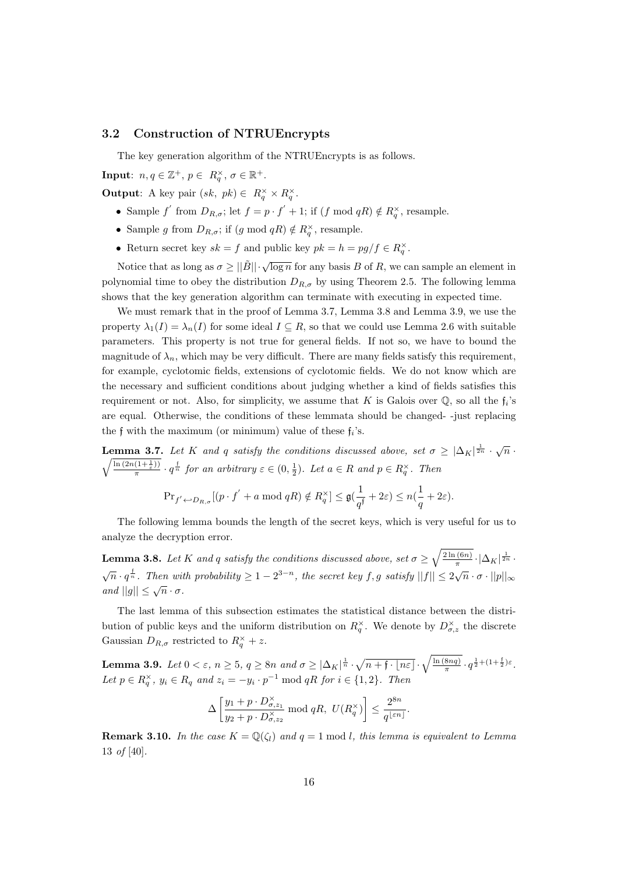#### 3.2 Construction of NTRUEncrypts

The key generation algorithm of the NTRUEncrypts is as follows.

**Input**:  $n, q \in \mathbb{Z}^+, p \in R_q^{\times}, \sigma \in \mathbb{R}^+.$ 

**Output:** A key pair  $(sk, pk) \in R_q^{\times} \times R_q^{\times}$ .

- Sample f' from  $D_{R,\sigma}$ ; let  $f = p \cdot f' + 1$ ; if  $(f \mod qR) \notin R_q^{\times}$ , resample.
- Sample g from  $D_{R,\sigma}$ ; if  $(g \mod qR) \notin R^{\times}_q$ , resample.
- Return secret key  $sk = f$  and public key  $pk = h = pg/f \in R_q^{\times}$ .

Notice that as long as  $\sigma \geq ||\tilde{B}|| \cdot \sqrt{\log n}$  for any basis B of R, we can sample an element in polynomial time to obey the distribution  $D_{R,\sigma}$  by using Theorem 2.5. The following lemma shows that the key generation algorithm can terminate with executing in expected time.

We must remark that in the proof of Lemma 3.7, Lemma 3.8 and Lemma 3.9, we use the property  $\lambda_1(I) = \lambda_n(I)$  for some ideal  $I \subseteq R$ , so that we could use Lemma 2.6 with suitable parameters. This property is not true for general fields. If not so, we have to bound the magnitude of  $\lambda_n$ , which may be very difficult. There are many fields satisfy this requirement, for example, cyclotomic fields, extensions of cyclotomic fields. We do not know which are the necessary and sufficient conditions about judging whether a kind of fields satisfies this requirement or not. Also, for simplicity, we assume that K is Galois over  $\mathbb{Q}$ , so all the  $f_i$ 's are equal. Otherwise, the conditions of these lemmata should be changed- -just replacing the f with the maximum (or minimum) value of these  $f_i$ 's.

**Lemma 3.7.** Let K and q satisfy the conditions discussed above, set  $\sigma \geq |\Delta_K|^{\frac{1}{2n}} \cdot \sqrt{n}$ .  $\sqrt{\ln\left(2n(1+\frac{1}{\varepsilon})\right)}$  $\frac{(1+\frac{1}{\varepsilon}))}{\pi} \cdot q^{\frac{1}{n}}$  for an arbitrary  $\varepsilon \in (0, \frac{1}{2})$ . Let  $a \in R$  and  $p \in R_q^{\times}$ . Then

$$
\mathrm{Pr}_{f' \leftarrow D_{R,\sigma}}[(p \cdot f' + a \bmod qR) \notin R_q^{\times}] \leq \mathfrak{g}(\frac{1}{q^\mathfrak{f}} + 2\varepsilon) \leq n(\frac{1}{q} + 2\varepsilon).
$$

The following lemma bounds the length of the secret keys, which is very useful for us to analyze the decryption error.

**Lemma 3.8.** Let K and q satisfy the conditions discussed above, set  $\sigma \geq \sqrt{\frac{2\ln(6n)}{\pi}}$  $\frac{1}{\pi} \cdot |\Delta_K|^{\frac{1}{2n}}$  $\sqrt{n} \cdot q^{\frac{1}{n}}$ . Then with probability  $\geq 1-2^{3-n}$ , the secret key f, g satisfy  $||f|| \leq 2\sqrt{n} \cdot \sigma \cdot ||p||_{\infty}$  $\alpha$  and  $||g|| \leq \sqrt{n} \cdot \sigma$ .

The last lemma of this subsection estimates the statistical distance between the distribution of public keys and the uniform distribution on  $R_q^{\times}$ . We denote by  $D_{\sigma,z}^{\times}$  the discrete Gaussian  $D_{R,\sigma}$  restricted to  $R_q^{\times} + z$ .

**Lemma 3.9.** Let  $0 < \varepsilon$ ,  $n \geq 5$ ,  $q \geq 8n$  and  $\sigma \geq |\Delta_K|^{\frac{1}{n}} \cdot \sqrt{n+\mathfrak{f} \cdot \lfloor n\varepsilon \rfloor} \cdot \sqrt{\frac{\ln(8nq)}{\pi}}$  $\frac{8nq)}{\pi} \cdot q^{\frac{1}{2} + (1 + \frac{1}{2})\varepsilon}.$ Let  $p \in R_q^{\times}$ ,  $y_i \in R_q$  and  $z_i = -y_i \cdot p^{-1} \mod qR$  for  $i \in \{1,2\}$ . Then

$$
\Delta\left[\frac{y_1+p\cdot D^{\times}_{\sigma,z_1}}{y_2+p\cdot D^{\times}_{\sigma,z_2}}\bmod qR,\,\, U(R^{\times}_q)\right]\leq \frac{2^{8n}}{q^{\lfloor \varepsilon n\rfloor}}.
$$

**Remark 3.10.** In the case  $K = \mathbb{Q}(\zeta_l)$  and  $q = 1 \text{ mod } l$ , this lemma is equivalent to Lemma 13 of [40].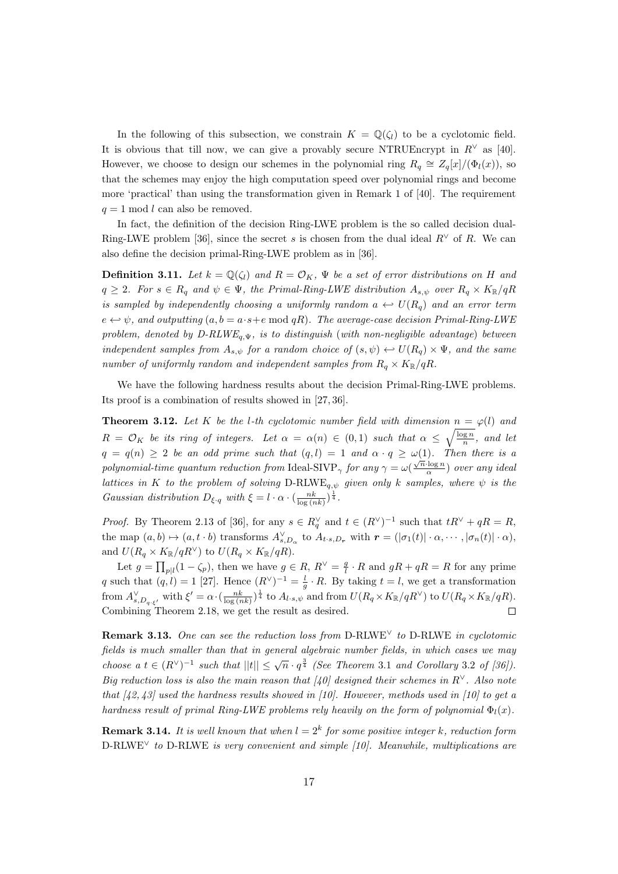In the following of this subsection, we constrain  $K = \mathbb{Q}(\zeta_l)$  to be a cyclotomic field. It is obvious that till now, we can give a provably secure NTRUEncrypt in  $R^{\vee}$  as [40]. However, we choose to design our schemes in the polynomial ring  $R_q \cong Z_q[x]/(\Phi_l(x))$ , so that the schemes may enjoy the high computation speed over polynomial rings and become more 'practical' than using the transformation given in Remark 1 of [40]. The requirement  $q = 1 \mod l$  can also be removed.

In fact, the definition of the decision Ring-LWE problem is the so called decision dual-Ring-LWE problem [36], since the secret s is chosen from the dual ideal  $R^{\vee}$  of R. We can also define the decision primal-Ring-LWE problem as in [36].

**Definition 3.11.** Let  $k = \mathbb{Q}(\zeta_l)$  and  $R = \mathcal{O}_K$ ,  $\Psi$  be a set of error distributions on H and  $q \geq 2$ . For  $s \in R_q$  and  $\psi \in \Psi$ , the Primal-Ring-LWE distribution  $A_{s,\psi}$  over  $R_q \times K_{\mathbb{R}}/qR$ is sampled by independently choosing a uniformly random  $a \leftrightarrow U(R_q)$  and an error term  $e \leftrightarrow \psi$ , and outputting  $(a, b = a \cdot s + e \mod qR)$ . The average-case decision Primal-Ring-LWE problem, denoted by  $D-RLWE_{q,\Psi}$ , is to distinguish (with non-negligible advantage) between independent samples from  $A_{s,\psi}$  for a random choice of  $(s,\psi) \leftrightarrow U(R_q) \times \Psi$ , and the same number of uniformly random and independent samples from  $R_q \times K_{\mathbb{R}}/qR$ .

We have the following hardness results about the decision Primal-Ring-LWE problems. Its proof is a combination of results showed in [27, 36].

**Theorem 3.12.** Let K be the l-th cyclotomic number field with dimension  $n = \varphi(l)$  and  $R = \mathcal{O}_K$  be its ring of integers. Let  $\alpha = \alpha(n) \in (0,1)$  such that  $\alpha \leq \sqrt{\frac{\log n}{n}}$ , and let  $q = q(n) \geq 2$  be an odd prime such that  $(q, l) = 1$  and  $\alpha \cdot q \geq \omega(1)$ . Then there is a polynomial-time quantum reduction from Ideal-SIVP<sub> $\gamma$ </sub> for any  $\gamma = \omega(\frac{\sqrt{n}\log n}{\alpha})$  $\frac{\log n}{\alpha}$ ) over any ideal lattices in K to the problem of solving  $D-RLWE_{q,\psi}$  given only k samples, where  $\psi$  is the Gaussian distribution  $D_{\xi \cdot q}$  with  $\xi = l \cdot \alpha \cdot (\frac{nk}{\log(nk)})^{\frac{1}{4}}$ .

*Proof.* By Theorem 2.13 of [36], for any  $s \in R_q^{\vee}$  and  $t \in (R^{\vee})^{-1}$  such that  $tR^{\vee} + qR = R$ , the map  $(a, b) \mapsto (a, t \cdot b)$  transforms  $A_{s, D_\alpha}^{\vee}$  to  $A_{t \cdot s, D_r}$  with  $\mathbf{r} = (|\sigma_1(t)| \cdot \alpha, \cdots, |\sigma_n(t)| \cdot \alpha)$ , and  $U(R_q \times K_{\mathbb{R}}/qR^{\vee})$  to  $U(R_q \times K_{\mathbb{R}}/qR)$ .

Let  $g = \prod_{p|l} (1 - \zeta_p)$ , then we have  $g \in R$ ,  $R^{\vee} = \frac{g}{l} \cdot R$  and  $gR + qR = R$  for any prime q such that  $(q, l) = 1$  [27]. Hence  $(R^{\vee})^{-1} = \frac{l}{g} \cdot R$ . By taking  $t = l$ , we get a transformation  $\text{from } A_{s, D_q, \xi'}^{\vee} \text{ with } \xi' = \alpha \cdot (\frac{nk}{\log(nk)})^{\frac{1}{4}} \text{ to } A_{l \cdot s, \psi} \text{ and from } U(R_q \times K_{\mathbb{R}}/qR^{\vee}) \text{ to } U(R_q \times K_{\mathbb{R}}/qR).$ Combining Theorem 2.18, we get the result as desired.  $\Box$ 

Remark 3.13. One can see the reduction loss from D-RLWE<sup> $\vee$ </sup> to D-RLWE in cyclotomic fields is much smaller than that in general algebraic number fields, in which cases we may choose a  $t \in (R^{\vee})^{-1}$  such that  $||t|| \leq \sqrt{n} \cdot q^{\frac{3}{4}}$  (See Theorem 3.1 and Corollary 3.2 of [36]). Big reduction loss is also the main reason that [40] designed their schemes in R<sup>∨</sup>. Also note that  $\left[42, 43\right]$  used the hardness results showed in [10]. However, methods used in [10] to get a hardness result of primal Ring-LWE problems rely heavily on the form of polynomial  $\Phi_l(x)$ .

**Remark 3.14.** It is well known that when  $l = 2<sup>k</sup>$  for some positive integer k, reduction form D-RLWE<sup>∨</sup> to D-RLWE is very convenient and simple [10]. Meanwhile, multiplications are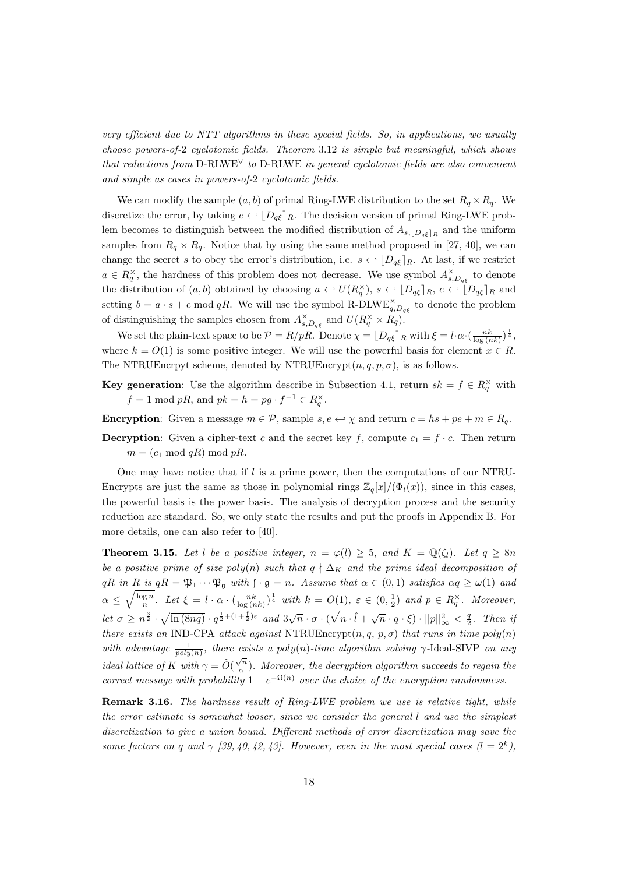very efficient due to NTT algorithms in these special fields. So, in applications, we usually choose powers-of-2 cyclotomic fields. Theorem 3.12 is simple but meaningful, which shows that reductions from D-RLWE<sup> $\lor$ </sup> to D-RLWE in general cyclotomic fields are also convenient and simple as cases in powers-of-2 cyclotomic fields.

We can modify the sample  $(a, b)$  of primal Ring-LWE distribution to the set  $R_q \times R_q$ . We discretize the error, by taking  $e \leftrightarrow [D_{q\xi}]_R$ . The decision version of primal Ring-LWE problem becomes to distinguish between the modified distribution of  $A_{s,\lfloor D_q\xi\rfloor_R}$  and the uniform samples from  $R_q \times R_q$ . Notice that by using the same method proposed in [27, 40], we can change the secret s to obey the error's distribution, i.e.  $s \leftarrow |D_{q\xi}|_R$ . At last, if we restrict  $a \in R_q^{\times}$ , the hardness of this problem does not decrease. We use symbol  $A_{s,D_{q\xi}}^{\times}$  to denote the distribution of  $(a, b)$  obtained by choosing  $a \leftrightarrow U(R_q^{\times}), s \leftrightarrow [D_{q\xi}]_R, e \leftrightarrow [D_{q\xi}]_R$  and setting  $b = a \cdot s + e \mod qR$ . We will use the symbol R-DLWE $_{q, D_{q\xi}}^{\times}$  to denote the problem of distinguishing the samples chosen from  $A_{s,D_{q\xi}}^{\times}$  and  $U(R_{q}^{\times} \times R_{q})$ .

We set the plain-text space to be  $\mathcal{P} = R/pR$ . Denote  $\chi = \lfloor D_{q\xi} \rfloor_R$  with  $\xi = l \cdot \alpha \cdot (\frac{nk}{\log(nk)})^{\frac{1}{4}}$ , where  $k = O(1)$  is some positive integer. We will use the powerful basis for element  $x \in R$ . The NTRUEncrpyt scheme, denoted by NTRUEncrypt $(n, q, p, \sigma)$ , is as follows.

**Key generation:** Use the algorithm describe in Subsection 4.1, return  $sk = f \in R_q^{\times}$  with  $f = 1 \text{ mod } pR$ , and  $pk = h = pg \cdot f^{-1} \in R_q^{\times}$ .

**Encryption:** Given a message  $m \in \mathcal{P}$ , sample  $s, e \leftrightarrow \chi$  and return  $c = hs + pe + m \in R_q$ .

**Decryption:** Given a cipher-text c and the secret key f, compute  $c_1 = f \cdot c$ . Then return  $m = (c_1 \mod qR) \mod pR$ .

One may have notice that if  $l$  is a prime power, then the computations of our NTRU-Encrypts are just the same as those in polynomial rings  $\mathbb{Z}_q[x]/(\Phi_l(x))$ , since in this cases, the powerful basis is the power basis. The analysis of decryption process and the security reduction are standard. So, we only state the results and put the proofs in Appendix B. For more details, one can also refer to [40].

**Theorem 3.15.** Let l be a positive integer,  $n = \varphi(l) \geq 5$ , and  $K = \mathbb{Q}(\zeta_l)$ . Let  $q \geq 8n$ be a positive prime of size poly(n) such that  $q \nmid \Delta_K$  and the prime ideal decomposition of  $qR$  in R is  $qR = \mathfrak{P}_1 \cdots \mathfrak{P}_{\mathfrak{g}}$  with  $\mathfrak{f} \cdot \mathfrak{g} = n$ . Assume that  $\alpha \in (0,1)$  satisfies  $\alpha q \geq \omega(1)$  and  $\alpha \leq \sqrt{\frac{\log n}{n}}$ . Let  $\xi = l \cdot \alpha \cdot (\frac{nk}{\log(nk)})^{\frac{1}{4}}$  with  $k = O(1)$ ,  $\varepsilon \in (0, \frac{1}{2})$  and  $p \in R_q^{\times}$ . Moreover, let  $\sigma \geq n^{\frac{3}{2}} \cdot \sqrt{\ln(8nq)} \cdot q^{\frac{1}{2} + (1 + \frac{1}{2})\varepsilon}$  and  $3\sqrt{n} \cdot \sigma \cdot (\sqrt{n \cdot \hat{l}} + \sqrt{n} \cdot q \cdot \xi) \cdot ||p||_{\infty}^2 < \frac{q}{2}$ . Then if there exists an IND-CPA attack against NTRUEncrypt $(n, q, p, \sigma)$  that runs in time  $poly(n)$ with advantage  $\frac{1}{poly(n)}$ , there exists a poly(n)-time algorithm solving  $\gamma$ -Ideal-SIVP on any ideal lattice of K with  $\gamma = \tilde{O}(\frac{\sqrt{n}}{\alpha})$  $\frac{\sqrt{n}}{\alpha}$ ). Moreover, the decryption algorithm succeeds to regain the correct message with probability  $1 - e^{-\Omega(n)}$  over the choice of the encryption randomness.

Remark 3.16. The hardness result of Ring-LWE problem we use is relative tight, while the error estimate is somewhat looser, since we consider the general l and use the simplest discretization to give a union bound. Different methods of error discretization may save the some factors on q and  $\gamma$  [39, 40, 42, 43]. However, even in the most special cases  $(l = 2^k)$ ,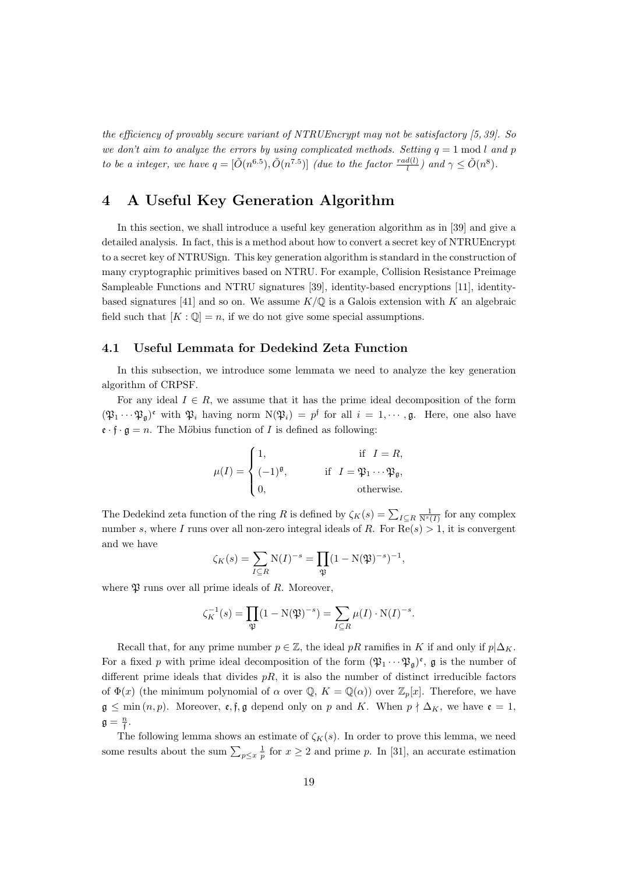the efficiency of provably secure variant of NTRUEncrypt may not be satisfactory [5, 39]. So we don't aim to analyze the errors by using complicated methods. Setting  $q = 1 \text{ mod } l$  and p to be a integer, we have  $q = [\tilde{O}(n^{6.5}), \tilde{O}(n^{7.5})]$  (due to the factor  $\frac{rad(l)}{l}$ ) and  $\gamma \leq \tilde{O}(n^8)$ .

# 4 A Useful Key Generation Algorithm

In this section, we shall introduce a useful key generation algorithm as in [39] and give a detailed analysis. In fact, this is a method about how to convert a secret key of NTRUEncrypt to a secret key of NTRUSign. This key generation algorithm is standard in the construction of many cryptographic primitives based on NTRU. For example, Collision Resistance Preimage Sampleable Functions and NTRU signatures [39], identity-based encryptions [11], identitybased signatures [41] and so on. We assume  $K/\mathbb{Q}$  is a Galois extension with K an algebraic field such that  $[K : \mathbb{Q}] = n$ , if we do not give some special assumptions.

#### 4.1 Useful Lemmata for Dedekind Zeta Function

In this subsection, we introduce some lemmata we need to analyze the key generation algorithm of CRPSF.

For any ideal  $I \in R$ , we assume that it has the prime ideal decomposition of the form  $(\mathfrak{P}_1 \cdots \mathfrak{P}_g)^\mathfrak{e}$  with  $\mathfrak{P}_i$  having norm  $N(\mathfrak{P}_i) = p^\mathfrak{f}$  for all  $i = 1, \dots, \mathfrak{g}$ . Here, one also have  $\mathfrak{e} \cdot \mathfrak{f} \cdot \mathfrak{g} = n$ . The Möbius function of *I* is defined as following:

$$
\mu(I) = \begin{cases} 1, & \text{if } I = R, \\ (-1)^{\mathfrak{g}}, & \text{if } I = \mathfrak{P}_1 \cdots \mathfrak{P}_{\mathfrak{g}}, \\ 0, & \text{otherwise.} \end{cases}
$$

The Dedekind zeta function of the ring R is defined by  $\zeta_K(s) = \sum_{I \subseteq R} \frac{1}{N^s(I)}$  for any complex number s, where I runs over all non-zero integral ideals of R. For  $\text{Re}(s) > 1$ , it is convergent and we have

$$
\zeta_K(s) = \sum_{I \subseteq R} N(I)^{-s} = \prod_{\mathfrak{P}} (1 - N(\mathfrak{P})^{-s})^{-1},
$$

where  $\mathfrak V$  runs over all prime ideals of R. Moreover,

$$
\zeta_K^{-1}(s) = \prod_{\mathfrak{P}} (1 - N(\mathfrak{P})^{-s}) = \sum_{I \subseteq R} \mu(I) \cdot N(I)^{-s}.
$$

Recall that, for any prime number  $p \in \mathbb{Z}$ , the ideal pR ramifies in K if and only if  $p|\Delta_K$ . For a fixed p with prime ideal decomposition of the form  $(\mathfrak{P}_1 \cdots \mathfrak{P}_p)^e$ , g is the number of different prime ideals that divides  $pR$ , it is also the number of distinct irreducible factors of  $\Phi(x)$  (the minimum polynomial of  $\alpha$  over  $\mathbb{Q}, K = \mathbb{Q}(\alpha)$ ) over  $\mathbb{Z}_p[x]$ . Therefore, we have  $\mathfrak{g} \leq \min(n, p)$ . Moreover,  $\mathfrak{e}, \mathfrak{f}, \mathfrak{g}$  depend only on p and K. When  $p \nmid \Delta_K$ , we have  $\mathfrak{e} = 1$ ,  $\mathfrak{g} = \frac{n}{\mathfrak{f}}.$ 

The following lemma shows an estimate of  $\zeta_K(s)$ . In order to prove this lemma, we need some results about the sum  $\sum_{p\leq x} \frac{1}{p}$  for  $x \geq 2$  and prime p. In [31], an accurate estimation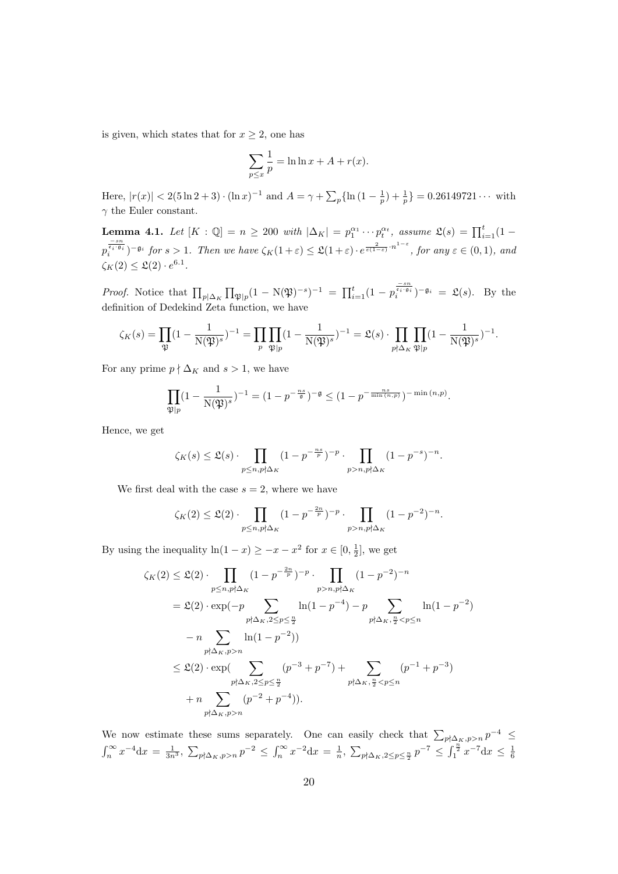is given, which states that for  $x \geq 2$ , one has

$$
\sum_{p \le x} \frac{1}{p} = \ln \ln x + A + r(x).
$$

Here,  $|r(x)| < 2(5 \ln 2 + 3) \cdot (\ln x)^{-1}$  and  $A = \gamma + \sum_{p} {\ln (1 - \frac{1}{p}) + \frac{1}{p}} = 0.26149721 \cdots$  with  $\gamma$  the Euler constant.

**Lemma 4.1.** Let  $[K : \mathbb{Q}] = n \ge 200$  with  $|\Delta_K| = p_1^{\alpha_1} \cdots p_t^{\alpha_t}$ , assume  $\mathfrak{L}(s) = \prod_{i=1}^t (1-s_i)^{-1}$  $p_i^{\frac{-sn}{\epsilon_i \cdot s_i}}$ )  $\neg s$  for  $s > 1$ . Then we have  $\zeta_K(1+\varepsilon) \leq \mathfrak{L}(1+\varepsilon) \cdot e^{\frac{2}{\varepsilon(1-\varepsilon)} \cdot n^{1-\varepsilon}}$ , for any  $\varepsilon \in (0,1)$ , and  $\zeta_K(2) \leq \mathfrak{L}(2) \cdot e^{6.1}.$ 

Proof. Notice that  $\prod_{p|\Delta_K} \prod_{\mathfrak{P} |p} (1-\mathrm{N}(\mathfrak{P})^{-s})^{-1} = \prod_{i=1}^t (1-p_i^{\frac{-sn}{\epsilon_i+q_i}})^{-\mathfrak{g}_i} = \mathfrak{L}(s)$ . By the definition of Dedekind Zeta function, we have

$$
\zeta_K(s) = \prod_{\mathfrak{P}} (1 - \frac{1}{\mathrm{N}(\mathfrak{P})^s})^{-1} = \prod_p \prod_{\mathfrak{P} \mid p} (1 - \frac{1}{\mathrm{N}(\mathfrak{P})^s})^{-1} = \mathfrak{L}(s) \cdot \prod_{p \nmid \Delta_K} \prod_{\mathfrak{P} \mid p} (1 - \frac{1}{\mathrm{N}(\mathfrak{P})^s})^{-1}.
$$

For any prime  $p \nmid \Delta_K$  and  $s > 1$ , we have

$$
\prod_{\mathfrak{P} | p} (1 - \frac{1}{N(\mathfrak{P})^s})^{-1} = (1 - p^{-\frac{ns}{\mathfrak{g}}})^{-\mathfrak{g}} \le (1 - p^{-\frac{ns}{\min(n, p)}})^{-\min(n, p)}.
$$

Hence, we get

$$
\zeta_K(s) \leq \mathfrak{L}(s) \cdot \prod_{p \leq n, p \nmid \Delta_K} (1 - p^{-\frac{ns}{p}})^{-p} \cdot \prod_{p > n, p \nmid \Delta_K} (1 - p^{-s})^{-n}.
$$

We first deal with the case  $s = 2$ , where we have

$$
\zeta_K(2) \leq \mathfrak{L}(2) \cdot \prod_{p \leq n, p \nmid \Delta_K} (1 - p^{-\frac{2n}{p}})^{-p} \cdot \prod_{p > n, p \nmid \Delta_K} (1 - p^{-2})^{-n}.
$$

By using the inequality  $\ln(1-x) \ge -x - x^2$  for  $x \in [0, \frac{1}{2}]$ , we get

$$
\zeta_{K}(2) \leq \mathfrak{L}(2) \cdot \prod_{p \leq n, p \nmid \Delta_{K}} (1 - p^{-\frac{2n}{p}})^{-p} \cdot \prod_{p > n, p \nmid \Delta_{K}} (1 - p^{-2})^{-n}
$$
  
\n
$$
= \mathfrak{L}(2) \cdot \exp(-p \sum_{p \nmid \Delta_{K}, 2 \leq p \leq \frac{n}{2}} \ln(1 - p^{-4}) - p \sum_{p \nmid \Delta_{K}, \frac{n}{2} < p \leq n} \ln(1 - p^{-2})
$$
  
\n
$$
-n \sum_{p \nmid \Delta_{K}, p > n} \ln(1 - p^{-2})
$$
  
\n
$$
\leq \mathfrak{L}(2) \cdot \exp(\sum_{p \nmid \Delta_{K}, 2 \leq p \leq \frac{n}{2}} (p^{-3} + p^{-7}) + \sum_{p \nmid \Delta_{K}, \frac{n}{2} < p \leq n} (p^{-1} + p^{-3})
$$
  
\n
$$
+ n \sum_{p \nmid \Delta_{K}, p > n} (p^{-2} + p^{-4})).
$$

We now estimate these sums separately. One can easily check that  $\sum_{p \nmid \Delta_K, p > n} p^{-4} \leq$  $\int_n^{\infty} x^{-4} dx = \frac{1}{3n^3}, \sum_{p \nmid \Delta_K, p > n} p^{-2} \le \int_n^{\infty} x^{-2} dx = \frac{1}{n}, \sum_{p \nmid \Delta_K, 2 \le p \le \frac{n}{2}} p^{-7} \le \int_1^{\frac{n}{2}} x^{-7} dx \le \frac{1}{6}$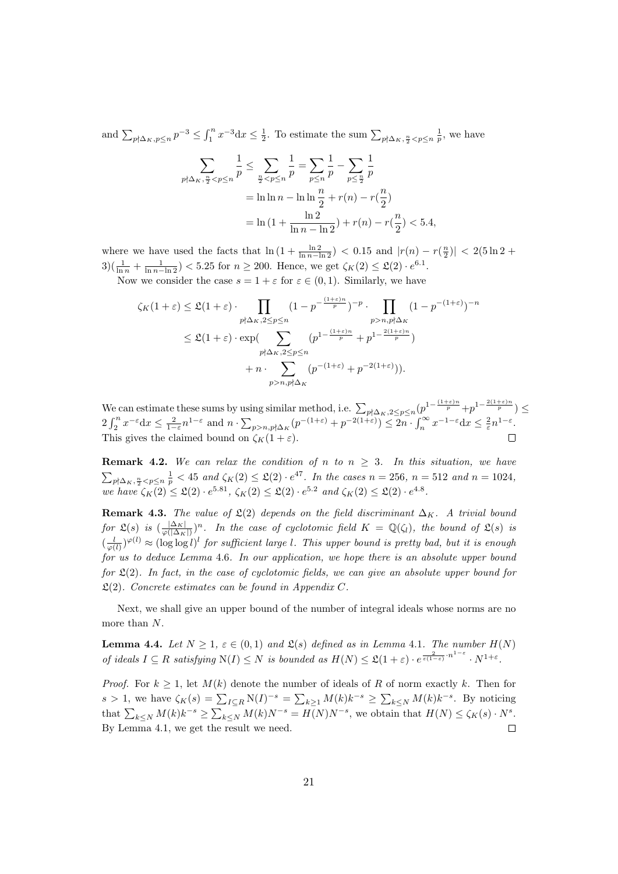and  $\sum_{p \nmid \Delta_K, p \leq n} p^{-3} \leq \int_1^n x^{-3} dx \leq \frac{1}{2}$ . To estimate the sum  $\sum_{p \nmid \Delta_K, \frac{n}{2} < p \leq n} \frac{1}{p}$ , we have

$$
\sum_{p \nmid \Delta_K, \frac{n}{2} < p \le n} \frac{1}{p} \le \sum_{\frac{n}{2} < p \le n} \frac{1}{p} = \sum_{p \le n} \frac{1}{p} - \sum_{p \le \frac{n}{2}} \frac{1}{p}
$$
\n
$$
= \ln \ln n - \ln \ln \frac{n}{2} + r(n) - r(\frac{n}{2})
$$
\n
$$
= \ln \left(1 + \frac{\ln 2}{\ln n - \ln 2}\right) + r(n) - r(\frac{n}{2}) < 5.4,
$$

where we have used the facts that  $\ln(1+\frac{\ln 2}{\ln n-\ln 2})$  < 0.15 and  $|r(n)-r(\frac{n}{2})|$  < 2(5ln 2 +  $3\left(\frac{1}{\ln n} + \frac{1}{\ln n - \ln 2}\right)$  < 5.25 for  $n \ge 200$ . Hence, we get  $\zeta_K(2) \le \mathfrak{L}(2) \cdot e^{6.1}$ .

Now we consider the case  $s = 1 + \varepsilon$  for  $\varepsilon \in (0, 1)$ . Similarly, we have

$$
\zeta_K(1+\varepsilon) \leq \mathfrak{L}(1+\varepsilon) \cdot \prod_{\substack{p \nmid \Delta_K, 2 \leq p \leq n}} (1-p^{-\frac{(1+\varepsilon)n}{p}})^{-p} \cdot \prod_{\substack{p > n, p \nmid \Delta_K \\ p > n, p \nmid \Delta_K}} (1-p^{-(1+\varepsilon)})^{-n}
$$

$$
\leq \mathfrak{L}(1+\varepsilon) \cdot \exp\left(\sum_{\substack{p \nmid \Delta_K, 2 \leq p \leq n}} (p^{1-\frac{(1+\varepsilon)n}{p}} + p^{1-\frac{2(1+\varepsilon)n}{p}})\right)
$$

$$
+ n \cdot \sum_{\substack{p > n, p \nmid \Delta_K}} (p^{-(1+\varepsilon)} + p^{-2(1+\varepsilon)})).
$$

We can estimate these sums by using similar method, i.e.  $\sum_{p \nmid \Delta_K, 2 \leq p \leq n} (p^{1 - \frac{(1+\varepsilon)n}{p}} + p^{1 - \frac{2(1+\varepsilon)n}{p}}) \leq$  $2\int_2^n x^{-\varepsilon} dx \leq \frac{2}{1-\varepsilon} n^{1-\varepsilon}$  and  $n \cdot \sum_{p>n, p \nmid \Delta_K} (p^{-(1+\varepsilon)} + p^{-2(1+\varepsilon)}) \leq 2n \cdot \int_n^{\infty} x^{-1-\varepsilon} dx \leq \frac{2}{\varepsilon} n^{1-\varepsilon}$ . This gives the claimed bound on  $\zeta_K(1+\varepsilon)$ .

**Remark 4.2.** We can relax the condition of n to  $n \geq 3$ . In this situation, we have  $\sum_{p \nmid \Delta_K, \frac{n}{2} < p \leq n \frac{1}{p}} < 45 \text{ and } \zeta_K(2) \leq \mathfrak{L}(2) \cdot e^{47}$ . In the cases  $n = 256, n = 512 \text{ and } n = 1024$ , we have  $\zeta_K(2) \leq \mathfrak{L}(2) \cdot e^{5.81}$ ,  $\zeta_K(2) \leq \mathfrak{L}(2) \cdot e^{5.2}$  and  $\zeta_K(2) \leq \mathfrak{L}(2) \cdot e^{4.8}$ .

**Remark 4.3.** The value of  $\mathfrak{L}(2)$  depends on the field discriminant  $\Delta_K$ . A trivial bound for  $\mathfrak{L}(s)$  is  $\left(\frac{|\Delta_K|}{\varphi(|\Delta_K|)}\right)$  $\frac{|\Delta_K|}{\varphi(|\Delta_K|)}$ <sup>n</sup>. In the case of cyclotomic field  $K = \mathbb{Q}(\zeta_l)$ , the bound of  $\mathfrak{L}(s)$  is  $(\frac{l}{\varphi(l)})^{\varphi(l)} \approx (\log \log l)^l$  for sufficient large l. This upper bound is pretty bad, but it is enough for us to deduce Lemma 4.6. In our application, we hope there is an absolute upper bound for  $\mathfrak{L}(2)$ . In fact, in the case of cyclotomic fields, we can give an absolute upper bound for  $\mathfrak{L}(2)$ . Concrete estimates can be found in Appendix C.

Next, we shall give an upper bound of the number of integral ideals whose norms are no more than N.

**Lemma 4.4.** Let  $N \geq 1$ ,  $\varepsilon \in (0,1)$  and  $\mathfrak{L}(s)$  defined as in Lemma 4.1. The number  $H(N)$ of ideals  $I \subseteq R$  satisfying  $N(I) \leq N$  is bounded as  $H(N) \leq \mathfrak{L}(1+\varepsilon) \cdot e^{\frac{2}{\varepsilon(1-\varepsilon)} \cdot n^{1-\varepsilon}} \cdot N^{1+\varepsilon}$ .

*Proof.* For  $k \geq 1$ , let  $M(k)$  denote the number of ideals of R of norm exactly k. Then for s > 1, we have  $\zeta_K(s) = \sum_{I \subseteq R} N(I)^{-s} = \sum_{k \ge 1} M(k) k^{-s} \ge \sum_{k \le N} M(k) k^{-s}$ . By noticing that  $\sum_{k\leq N} M(k)k^{-s} \geq \sum_{k\leq N} M(k)N^{-s} = H(N)N^{-s}$ , we obtain that  $H(N) \leq \zeta_K(s) \cdot N^s$ . By Lemma 4.1, we get the result we need.  $\Box$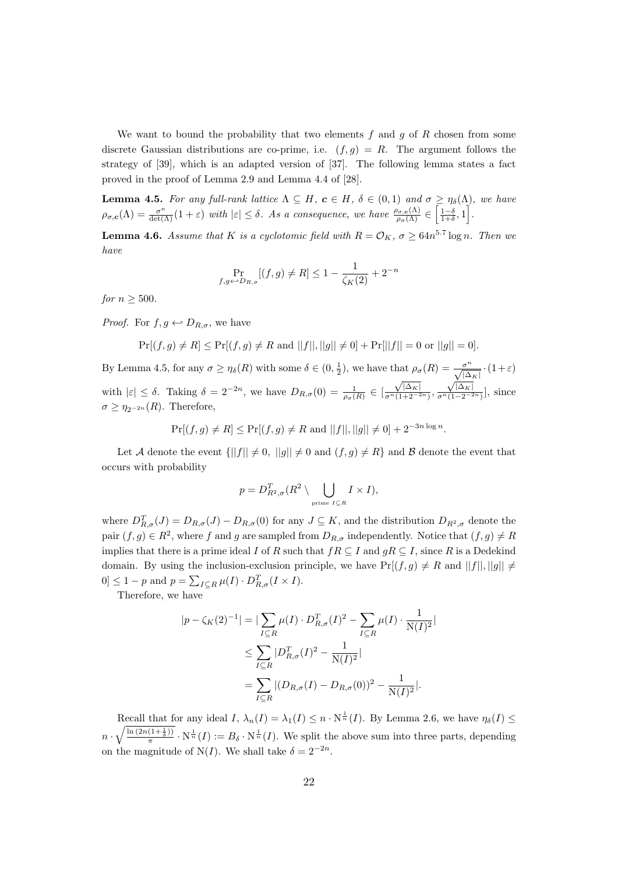We want to bound the probability that two elements  $f$  and  $g$  of  $R$  chosen from some discrete Gaussian distributions are co-prime, i.e.  $(f, q) = R$ . The argument follows the strategy of [39], which is an adapted version of [37]. The following lemma states a fact proved in the proof of Lemma 2.9 and Lemma 4.4 of [28].

**Lemma 4.5.** For any full-rank lattice  $\Lambda \subseteq H$ ,  $c \in H$ ,  $\delta \in (0,1)$  and  $\sigma \geq \eta_{\delta}(\Lambda)$ , we have  $\rho_{\sigma,\mathbf{c}}(\Lambda) = \frac{\sigma^n}{\det(\Lambda)}(1+\varepsilon)$  with  $|\varepsilon| \leq \delta$ . As a consequence, we have  $\frac{\rho_{\sigma,\mathbf{c}}(\Lambda)}{\rho_{\sigma}(\Lambda)} \in \left[\frac{1-\delta}{1+\delta},1\right]$ .

**Lemma 4.6.** Assume that K is a cyclotomic field with  $R = \mathcal{O}_K$ ,  $\sigma \geq 64n^{5.7} \log n$ . Then we have

$$
\Pr_{f,g \leftarrow D_{R,\sigma}}[(f,g) \neq R] \le 1 - \frac{1}{\zeta_K(2)} + 2^{-n}
$$

for  $n \geq 500$ .

*Proof.* For  $f, g \leftarrow D_{R,\sigma}$ , we have

$$
\Pr[(f,g) \neq R] \leq \Pr[(f,g) \neq R \text{ and } ||f||, ||g|| \neq 0] + \Pr[||f|| = 0 \text{ or } ||g|| = 0].
$$

By Lemma 4.5, for any  $\sigma \geq \eta_{\delta}(R)$  with some  $\delta \in (0, \frac{1}{2})$ , we have that  $\rho_{\sigma}(R) = \frac{\sigma^n}{\sqrt{|\Delta_K|}} \cdot (1+\varepsilon)$ with  $|\varepsilon| \leq \delta$ . Taking  $\delta = 2^{-2n}$ , we have  $D_{R,\sigma}(0) = \frac{1}{\rho_{\sigma}(R)} \in [$  $\sqrt{|\Delta_K|}$  $\frac{\sqrt{|\Delta K|}}{\sigma^n(1+2^{-2n})},$  $\sqrt{|\Delta_K|}$  $\frac{\sqrt{|\Delta K|}}{\sigma^n(1-2^{-2n})}$ , since  $\sigma \geq \eta_{2^{-2n}}(R)$ . Therefore,

 $Pr[(f,g) \neq R] \leq Pr[(f,g) \neq R \text{ and } ||f||, ||g|| \neq 0] + 2^{-3n \log n}.$ 

Let A denote the event  $\{||f|| \neq 0, ||g|| \neq 0 \text{ and } (f,g) \neq R\}$  and B denote the event that occurs with probability

$$
p = D_{R^2, \sigma}^T(R^2 \setminus \bigcup_{\text{prime } I \subseteq R} I \times I),
$$

where  $D_{R,\sigma}^T(J) = D_{R,\sigma}(J) - D_{R,\sigma}(0)$  for any  $J \subseteq K$ , and the distribution  $D_{R^2,\sigma}$  denote the pair  $(f, g) \in R^2$ , where f and g are sampled from  $D_{R,\sigma}$  independently. Notice that  $(f, g) \neq R$ implies that there is a prime ideal I of R such that  $fR \subseteq I$  and  $gR \subseteq I$ , since R is a Dedekind domain. By using the inclusion-exclusion principle, we have  $Pr[(f, g) \neq R$  and  $||f||, ||g|| \neq$  $[0] \leq 1 - p$  and  $p = \sum_{I \subseteq R} \mu(I) \cdot D_{R,\sigma}^T (I \times I)$ .

Therefore, we have

$$
|p - \zeta_K(2)^{-1}| = |\sum_{I \subseteq R} \mu(I) \cdot D_{R,\sigma}^T(I)^2 - \sum_{I \subseteq R} \mu(I) \cdot \frac{1}{N(I)^2}|
$$
  
\n
$$
\leq \sum_{I \subseteq R} |D_{R,\sigma}^T(I)^2 - \frac{1}{N(I)^2}|
$$
  
\n
$$
= \sum_{I \subseteq R} |(D_{R,\sigma}(I) - D_{R,\sigma}(0))^2 - \frac{1}{N(I)^2}|.
$$

Recall that for any ideal  $I, \lambda_n(I) = \lambda_1(I) \leq n \cdot N^{\frac{1}{n}}(I)$ . By Lemma 2.6, we have  $\eta_\delta(I) \leq$  $n \cdot \sqrt{\frac{\ln\left(2n(1+\frac{1}{\delta})\right)}{\pi}}$  $\frac{(1+\frac{1}{\delta})}{\pi} \cdot N^{\frac{1}{n}}(I) := B_{\delta} \cdot N^{\frac{1}{n}}(I)$ . We split the above sum into three parts, depending on the magnitude of N(I). We shall take  $\delta = 2^{-2n}$ .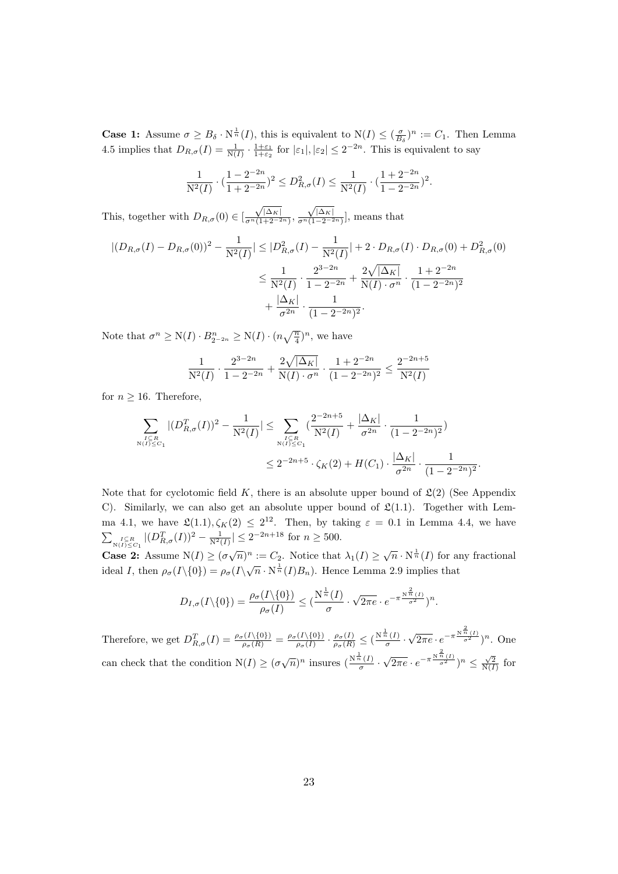**Case 1:** Assume  $\sigma \geq B_\delta \cdot N^{\frac{1}{n}}(I)$ , this is equivalent to  $N(I) \leq (\frac{\sigma}{B_s})^n := C_1$ . Then Lemma **EXECUTE:** ASSUME  $\sigma \geq B_0$  AV (1), this is equivalent to  $N(1) \geq (B_\delta)$ .  $\rightarrow \infty$  1. Then<br>4.5 implies that  $D_{R,\sigma}(I) = \frac{1}{N(I)} \cdot \frac{1+\epsilon_1}{1+\epsilon_2}$  for  $|\epsilon_1|, |\epsilon_2| \leq 2^{-2n}$ . This is equivalent to say

$$
\frac{1}{N^2(I)} \cdot \left(\frac{1 - 2^{-2n}}{1 + 2^{-2n}}\right)^2 \le D_{R,\sigma}^2(I) \le \frac{1}{N^2(I)} \cdot \left(\frac{1 + 2^{-2n}}{1 - 2^{-2n}}\right)^2.
$$

This, together with  $D_{R,\sigma}(0) \in [$  $\sqrt{|\Delta_K|}$  $\frac{\sqrt{|\Delta K|}}{\sigma^n(1+2^{-2n})},$  $\sqrt{|\Delta_K|}$  $\frac{\sqrt{|\Delta K|}}{\sigma^n(1-2^{-2n})}$ , means that

$$
\left| (D_{R,\sigma}(I) - D_{R,\sigma}(0))^2 - \frac{1}{N^2(I)} \right| \le |D_{R,\sigma}^2(I) - \frac{1}{N^2(I)}| + 2 \cdot D_{R,\sigma}(I) \cdot D_{R,\sigma}(0) + D_{R,\sigma}^2(0)
$$
  

$$
\le \frac{1}{N^2(I)} \cdot \frac{2^{3-2n}}{1-2^{-2n}} + \frac{2\sqrt{|\Delta_K|}}{N(I) \cdot \sigma^n} \cdot \frac{1+2^{-2n}}{(1-2^{-2n})^2}
$$
  

$$
+ \frac{|\Delta_K|}{\sigma^{2n}} \cdot \frac{1}{(1-2^{-2n})^2}.
$$

Note that  $\sigma^n \ge N(I) \cdot B_{2^{-2n}}^n \ge N(I) \cdot (n\sqrt{\frac{n}{4}})^n$ , we have

$$
\frac{1}{\mathrm{N}^2(I)} \cdot \frac{2^{3-2n}}{1-2^{-2n}} + \frac{2\sqrt{|\Delta_K|}}{\mathrm{N}(I) \cdot \sigma^n} \cdot \frac{1+2^{-2n}}{(1-2^{-2n})^2} \le \frac{2^{-2n+5}}{\mathrm{N}^2(I)}
$$

for  $n \geq 16$ . Therefore,

$$
\sum_{\substack{I \subseteq R \\ N(I) \le C_1}} |(D_{R,\sigma}^T(I))^2 - \frac{1}{N^2(I)}| \le \sum_{\substack{I \subseteq R \\ N(I) \le C_1}} \left(\frac{2^{-2n+5}}{N^2(I)} + \frac{|\Delta_K|}{\sigma^{2n}} \cdot \frac{1}{(1 - 2^{-2n})^2}\right) \le 2^{-2n+5} \cdot \zeta_K(2) + H(C_1) \cdot \frac{|\Delta_K|}{\sigma^{2n}} \cdot \frac{1}{(1 - 2^{-2n})^2}
$$

.

Note that for cyclotomic field K, there is an absolute upper bound of  $\mathfrak{L}(2)$  (See Appendix C). Similarly, we can also get an absolute upper bound of  $\mathfrak{L}(1,1)$ . Together with Lemma 4.1, we have  $\mathfrak{L}(1.1), \zeta_K(2) \leq 2^{12}$ . Then, by taking  $\varepsilon = 0.1$  in Lemma 4.4, we have  $\sum_{N(I) \leq C_1} |(D_{R,\sigma}^T(I))^2 - \frac{1}{N^2(I)}| \leq 2^{-2n+18}$  for  $n \geq 500$ .

**Case 2:** Assume  $N(I) \geq (\sigma \sqrt{n})^n := C_2$ . Notice that  $\lambda_1(I) \geq \sqrt{n} \cdot N^{\frac{1}{n}}(I)$  for any fractional √ ideal I, then  $\rho_{\sigma}(I\setminus\{0\}) = \rho_{\sigma}(I\setminus\sqrt{n} \cdot N^{\frac{1}{n}}(I)B_n)$ . Hence Lemma 2.9 implies that

$$
D_{I,\sigma}(I\setminus\{0\})=\frac{\rho_{\sigma}(I\setminus\{0\})}{\rho_{\sigma}(I)}\leq \big(\frac{N^{\frac{1}{n}}(I)}{\sigma}\cdot\sqrt{2\pi e}\cdot e^{-\pi\frac{N^{\frac{2}{n}}(I)}{\sigma^2}}\big)^n.
$$

Therefore, we get  $D_{R,\sigma}^T(I) = \frac{\rho_{\sigma}(I\setminus\{0\})}{\rho_{\sigma}(R)} = \frac{\rho_{\sigma}(I\setminus\{0\})}{\rho_{\sigma}(I)}$  $\frac{(I\setminus\{0\})}{\rho_{\sigma}(I)}\cdot\frac{\rho_{\sigma}(I)}{\rho_{\sigma}(R)}\leq \big(\frac{\mathrm{N}^{\frac{1}{n}}(I)}{\sigma}$  $\frac{\frac{i(I)}{\sigma}$ . √  $\sqrt{2\pi e} \cdot e^{-\pi \frac{\mathcal{N}^{\frac{2}{n}}(I)}{\sigma^2}}$ <sup>n</sup>. One can check that the condition  $N(I) \geq (\sigma \sqrt{n})^n$  insures  $\left(\frac{N^{\frac{1}{n}}(I)}{\sigma}\right)$  $\frac{\frac{1}{\sigma}(I)}{\sigma}$ . √  $\sqrt{2\pi e} \cdot e^{-\pi \frac{\mathcal{N}^{\frac{2}{n}}(I)}{\sigma^2}}$ <sup>n</sup>  $\leq \frac{\sqrt{2}}{\mathcal{N}(I)}$  for 2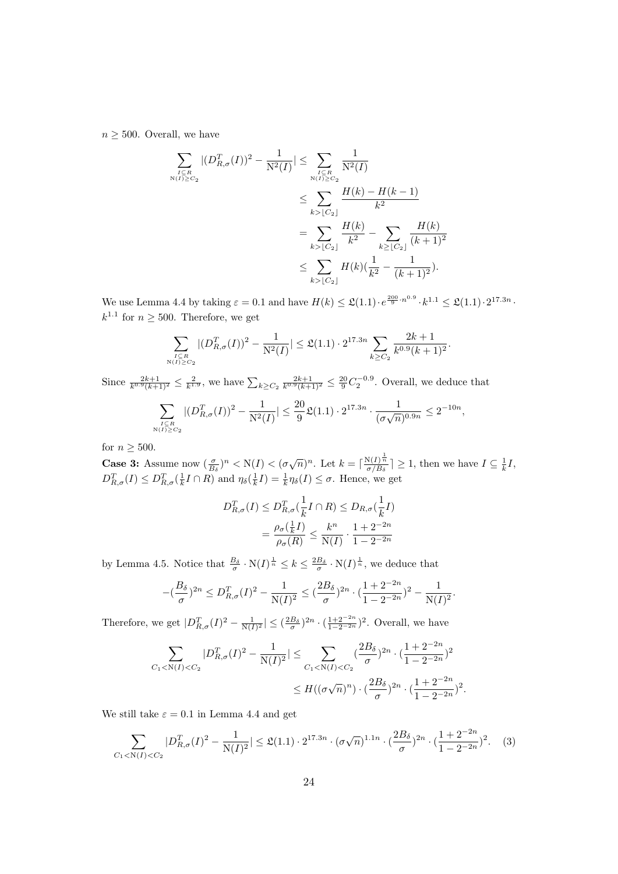$n \geq 500$ . Overall, we have

$$
\sum_{I \subseteq R \atop N(I) \geq C_2} |(D_{R,\sigma}^T(I))^2 - \frac{1}{N^2(I)}| \leq \sum_{I \subseteq R \atop N(I) \geq C_2} \frac{1}{N^2(I)} \n\leq \sum_{k > [C_2]} \frac{H(k) - H(k-1)}{k^2} \n= \sum_{k > [C_2]} \frac{H(k)}{k^2} - \sum_{k \geq [C_2]} \frac{H(k)}{(k+1)^2} \n\leq \sum_{k > [C_2]} H(k) (\frac{1}{k^2} - \frac{1}{(k+1)^2}).
$$

We use Lemma 4.4 by taking  $\varepsilon = 0.1$  and have  $H(k) \leq \mathfrak{L}(1.1) \cdot e^{\frac{200}{9} \cdot n^{0.9}} \cdot k^{1.1} \leq \mathfrak{L}(1.1) \cdot 2^{17.3n}$ .  $k^{1.1}$  for  $n \geq 500$ . Therefore, we get

$$
\sum_{\substack{I \subseteq R \\ N(I) \ge C_2}} |(D_{R,\sigma}^T(I))^2 - \frac{1}{N^2(I)}| \le \mathfrak{L}(1.1) \cdot 2^{17.3n} \sum_{k \ge C_2} \frac{2k+1}{k^{0.9}(k+1)^2}
$$

.

Since  $\frac{2k+1}{k^{0.9}(k+1)^2} \leq \frac{2}{k^{1.9}}$ , we have  $\sum_{k \geq C_2} \frac{2k+1}{k^{0.9}(k+1)^2} \leq \frac{20}{9} C_2^{-0.9}$ . Overall, we deduce that

$$
\sum_{\substack{I \subseteq R \\ N(I) \ge C_2}} |(D_{R,\sigma}^T(I))^2 - \frac{1}{N^2(I)}| \le \frac{20}{9} \mathfrak{L}(1.1) \cdot 2^{17.3n} \cdot \frac{1}{(\sigma \sqrt{n})^{0.9n}} \le 2^{-10n},
$$

for  $n \geq 500$ .

**Case 3:** Assume now  $(\frac{\sigma}{B_\delta})^n < N(I) < (\sigma\sqrt{n})^n$ . Let  $k = \lceil \frac{N(I)^{\frac{1}{n}}}{\sigma/B_\delta} \rceil \geq 1$ , then we have  $I \subseteq \frac{1}{k}I$ ,  $D_{R,\sigma}^T(I) \leq D_{R,\sigma}^T(\frac{1}{k}I \cap R)$  and  $\eta_\delta(\frac{1}{k}I) = \frac{1}{k}\eta_\delta(I) \leq \sigma$ . Hence, we get

$$
D_{R,\sigma}^T(I) \le D_{R,\sigma}^T(\frac{1}{k}I \cap R) \le D_{R,\sigma}(\frac{1}{k}I)
$$
  
= 
$$
\frac{\rho_{\sigma}(\frac{1}{k}I)}{\rho_{\sigma}(R)} \le \frac{k^n}{N(I)} \cdot \frac{1 + 2^{-2n}}{1 - 2^{-2n}}
$$

by Lemma 4.5. Notice that  $\frac{B_{\delta}}{\sigma} \cdot N(I)^{\frac{1}{n}} \leq k \leq \frac{2B_{\delta}}{\sigma} \cdot N(I)^{\frac{1}{n}}$ , we deduce that

$$
-(\frac{B_{\delta}}{\sigma})^{2n} \le D_{R,\sigma}^T(I)^2 - \frac{1}{N(I)^2} \le (\frac{2B_{\delta}}{\sigma})^{2n} \cdot (\frac{1+2^{-2n}}{1-2^{-2n}})^2 - \frac{1}{N(I)^2}.
$$

Therefore, we get  $|D_{R,\sigma}^T(I)^2 - \frac{1}{N(I)^2}| \leq (\frac{2B_\delta}{\sigma})^{2n} \cdot (\frac{1+2^{-2n}}{1-2^{-2n}})^2$ . Overall, we have

$$
\sum_{C_1 < N(I) < C_2} |D_{R,\sigma}^T(I)^2 - \frac{1}{N(I)^2}| \le \sum_{C_1 < N(I) < C_2} \left(\frac{2B_\delta}{\sigma}\right)^{2n} \cdot \left(\frac{1+2^{-2n}}{1-2^{-2n}}\right)^2
$$
\n
$$
\le H\left((\sigma\sqrt{n})^n\right) \cdot \left(\frac{2B_\delta}{\sigma}\right)^{2n} \cdot \left(\frac{1+2^{-2n}}{1-2^{-2n}}\right)^2.
$$

We still take  $\varepsilon = 0.1$  in Lemma 4.4 and get

$$
\sum_{C_1 < N(I) < C_2} |D_{R,\sigma}^T(I)^2 - \frac{1}{N(I)^2}| \le \mathfrak{L}(1.1) \cdot 2^{17.3n} \cdot (\sigma \sqrt{n})^{1.1n} \cdot \left(\frac{2B_\delta}{\sigma}\right)^{2n} \cdot \left(\frac{1+2^{-2n}}{1-2^{-2n}}\right)^2. \tag{3}
$$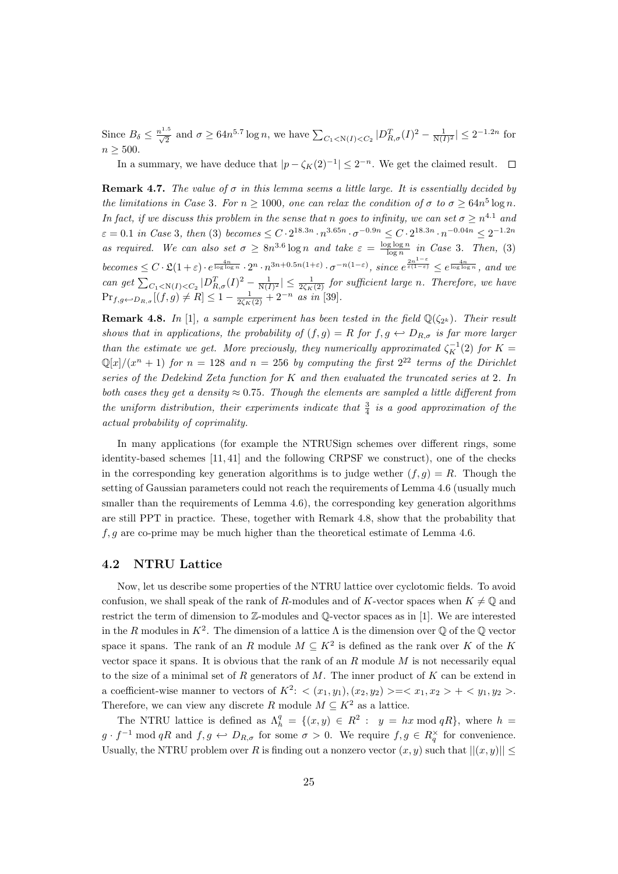Since  $B_{\delta} \leq \frac{n^{1.5}}{\sqrt{2}}$  and  $\sigma \geq 64n^{5.7} \log n$ , we have  $\sum_{C_1 \leq N(I) \leq C_2} |D_{R,\sigma}^T(I)^2 - \frac{1}{N(I)^2}| \leq 2^{-1.2n}$  for  $n > 500$ .

In a summary, we have deduce that  $|p - \zeta_K(2)^{-1}| \leq 2^{-n}$ . We get the claimed result.

**Remark 4.7.** The value of  $\sigma$  in this lemma seems a little large. It is essentially decided by the limitations in Case 3. For  $n \ge 1000$ , one can relax the condition of  $\sigma$  to  $\sigma \ge 64n^5 \log n$ . In fact, if we discuss this problem in the sense that n goes to infinity, we can set  $\sigma \geq n^{4.1}$  and  $\varepsilon = 0.1$  in Case 3, then (3) becomes  $\leq C \cdot 2^{18.3n} \cdot n^{3.65n} \cdot \sigma^{-0.9n} \leq C \cdot 2^{18.3n} \cdot n^{-0.04n} \leq 2^{-1.2n}$ as required. We can also set  $\sigma \geq 8n^{3.6} \log n$  and take  $\varepsilon = \frac{\log \log n}{\log n}$  in Case 3. Then, (3) becomes  $\leq C \cdot \mathfrak{L}(1+\varepsilon) \cdot e^{\frac{4n}{\log \log n}} \cdot 2^n \cdot n^{3n+0.5n(1+\varepsilon)} \cdot \sigma^{-n(1-\varepsilon)}$ , since  $e^{\frac{2n^{1-\varepsilon}}{\varepsilon(1-\varepsilon)}} \leq e^{\frac{4n}{\log \log n}}$ , and we can get  $\sum_{C_1 \le N(I) \le C_2} |D_{R,\sigma}^T(I)^2 - \frac{1}{N(I)^2}| \le \frac{1}{2\zeta_K(2)}$  for sufficient large n. Therefore, we have  $\Pr_{f,g \leftarrow D_{R,\sigma}}[(f,g) \neq R] \leq 1 - \frac{1}{2\zeta_K(2)} + 2^{-n}$  as in [39].

**Remark 4.8.** In [1], a sample experiment has been tested in the field  $\mathbb{Q}(\zeta_{2^k})$ . Their result shows that in applications, the probability of  $(f, g) = R$  for  $f, g \leftrightarrow D_{R,\sigma}$  is far more larger than the estimate we get. More preciously, they numerically approximated  $\zeta_K^{-1}(2)$  for  $K =$  $\mathbb{Q}[x]/(x^n + 1)$  for  $n = 128$  and  $n = 256$  by computing the first  $2^{22}$  terms of the Dirichlet series of the Dedekind Zeta function for K and then evaluated the truncated series at 2. In both cases they get a density  $\approx 0.75$ . Though the elements are sampled a little different from the uniform distribution, their experiments indicate that  $\frac{3}{4}$  is a good approximation of the actual probability of coprimality.

In many applications (for example the NTRUSign schemes over different rings, some identity-based schemes [11, 41] and the following CRPSF we construct), one of the checks in the corresponding key generation algorithms is to judge wether  $(f, g) = R$ . Though the setting of Gaussian parameters could not reach the requirements of Lemma 4.6 (usually much smaller than the requirements of Lemma 4.6), the corresponding key generation algorithms are still PPT in practice. These, together with Remark 4.8, show that the probability that  $f, g$  are co-prime may be much higher than the theoretical estimate of Lemma 4.6.

#### 4.2 NTRU Lattice

Now, let us describe some properties of the NTRU lattice over cyclotomic fields. To avoid confusion, we shall speak of the rank of R-modules and of K-vector spaces when  $K \neq \mathbb{Q}$  and restrict the term of dimension to Z-modules and Q-vector spaces as in [1]. We are interested in the R modules in  $K^2$ . The dimension of a lattice  $\Lambda$  is the dimension over  $\mathbb Q$  of the  $\mathbb Q$  vector space it spans. The rank of an R module  $M \subseteq K^2$  is defined as the rank over K of the K vector space it spans. It is obvious that the rank of an  $R$  module  $M$  is not necessarily equal to the size of a minimal set of  $R$  generators of  $M$ . The inner product of  $K$  can be extend in a coefficient-wise manner to vectors of  $K^2$ :  $\langle (x_1, y_1), (x_2, y_2) \rangle = \langle x_1, x_2 \rangle + \langle y_1, y_2 \rangle$ . Therefore, we can view any discrete R module  $M \subseteq K^2$  as a lattice.

The NTRU lattice is defined as  $\Lambda_h^q = \{ (x, y) \in R^2 : y = hx \mod qR \}$ , where  $h =$  $g \cdot f^{-1} \mod qR$  and  $f, g \leftrightarrow D_{R,\sigma}$  for some  $\sigma > 0$ . We require  $f, g \in R_q^{\times}$  for convenience. Usually, the NTRU problem over R is finding out a nonzero vector  $(x, y)$  such that  $||(x, y)|| \le$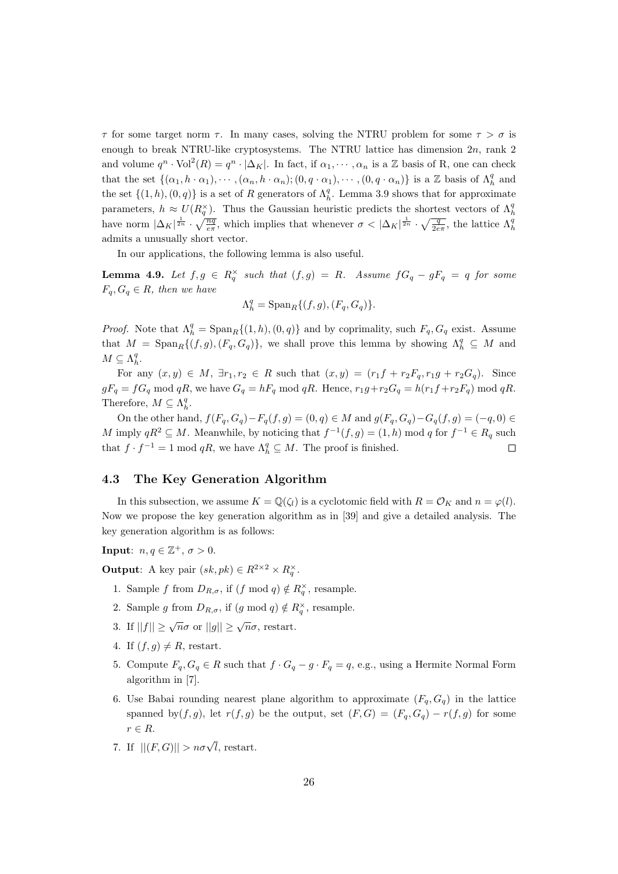$\tau$  for some target norm  $\tau$ . In many cases, solving the NTRU problem for some  $\tau > \sigma$  is enough to break NTRU-like cryptosystems. The NTRU lattice has dimension  $2n$ , rank  $2$ and volume  $q^n \cdot \text{Vol}^2(R) = q^n \cdot |\Delta_K|$ . In fact, if  $\alpha_1, \dots, \alpha_n$  is a Z basis of R, one can check that the set  $\{(\alpha_1, h \cdot \alpha_1), \cdots, (\alpha_n, h \cdot \alpha_n); (0, q \cdot \alpha_1), \cdots, (0, q \cdot \alpha_n)\}\$ is a Z basis of  $\Lambda_h^q$  and the set  $\{(1, h), (0, q)\}$  is a set of R generators of  $\Lambda_h^q$ . Lemma 3.9 shows that for approximate parameters,  $h \approx U(R_q^{\times})$ . Thus the Gaussian heuristic predicts the shortest vectors of  $\Lambda_h^q$ have norm  $|\Delta_K|^{\frac{1}{2n}} \cdot \sqrt{\frac{nq}{e\pi}}$ , which implies that whenever  $\sigma < |\Delta_K|^{\frac{1}{2n}} \cdot \sqrt{\frac{q}{2e\pi}}$ , the lattice  $\Lambda_h^q$ admits a unusually short vector.

In our applications, the following lemma is also useful.

**Lemma 4.9.** Let  $f, g \in R_q^{\times}$  such that  $(f, g) = R$ . Assume  $fG_q - gF_q = q$  for some  $F_q, G_q \in R$ , then we have

$$
\Lambda_h^q={\rm Span}_R\{(f,g),(F_q,G_q)\}.
$$

*Proof.* Note that  $\Lambda_h^q = \text{Span}_R\{(1, h), (0, q)\}\$  and by coprimality, such  $F_q, G_q$  exist. Assume that  $M = \text{Span}_R\{(f,g), (F_q, G_q)\}\$ , we shall prove this lemma by showing  $\Lambda_h^q \subseteq M$  and  $M \subseteq \Lambda_h^q$ .

For any  $(x, y) \in M$ ,  $\exists r_1, r_2 \in R$  such that  $(x, y) = (r_1f + r_2F_q, r_1g + r_2G_q)$ . Since  $gF_q = fG_q \text{ mod } qR$ , we have  $G_q = hF_q \text{ mod } qR$ . Hence,  $r_1g + r_2G_q = h(r_1f + r_2F_q) \text{ mod } qR$ . Therefore,  $M \subseteq \Lambda_h^q$ .

On the other hand,  $f(F_q, G_q) - F_q(f, g) = (0, q) \in M$  and  $g(F_q, G_q) - G_q(f, g) = (-q, 0) \in M$ M imply  $qR^2 \subseteq M$ . Meanwhile, by noticing that  $f^{-1}(f,g) = (1,h) \mod q$  for  $f^{-1} \in R_q$  such that  $f \cdot f^{-1} = 1 \mod qR$ , we have  $\Lambda_h^q \subseteq M$ . The proof is finished.

#### 4.3 The Key Generation Algorithm

In this subsection, we assume  $K = \mathbb{Q}(\zeta_l)$  is a cyclotomic field with  $R = \mathcal{O}_K$  and  $n = \varphi(l)$ . Now we propose the key generation algorithm as in [39] and give a detailed analysis. The key generation algorithm is as follows:

**Input**:  $n, q \in \mathbb{Z}^+, \sigma > 0$ .

**Output:** A key pair  $(sk, pk) \in R^{2 \times 2} \times R_q^{\times}$ .

- 1. Sample f from  $D_{R,\sigma}$ , if  $(f \mod q) \notin R_q^{\times}$ , resample.
- 2. Sample g from  $D_{R,\sigma}$ , if  $(g \mod q) \notin R_q^{\times}$ , resample.
- 3. If  $||f|| \ge \sqrt{n}\sigma$  or  $||g|| \ge \sqrt{n}\sigma$ , restart.
- 4. If  $(f, q) \neq R$ , restart.
- 5. Compute  $F_q, G_q \in R$  such that  $f \cdot G_q g \cdot F_q = q$ , e.g., using a Hermite Normal Form algorithm in [7].
- 6. Use Babai rounding nearest plane algorithm to approximate  $(F_q, G_q)$  in the lattice spanned by(f, g), let  $r(f, g)$  be the output, set  $(F, G) = (F_q, G_q) - r(f, g)$  for some  $r \in R$ .
- 7. If  $||(F,G)|| > n\sigma\sqrt{l}$ , restart.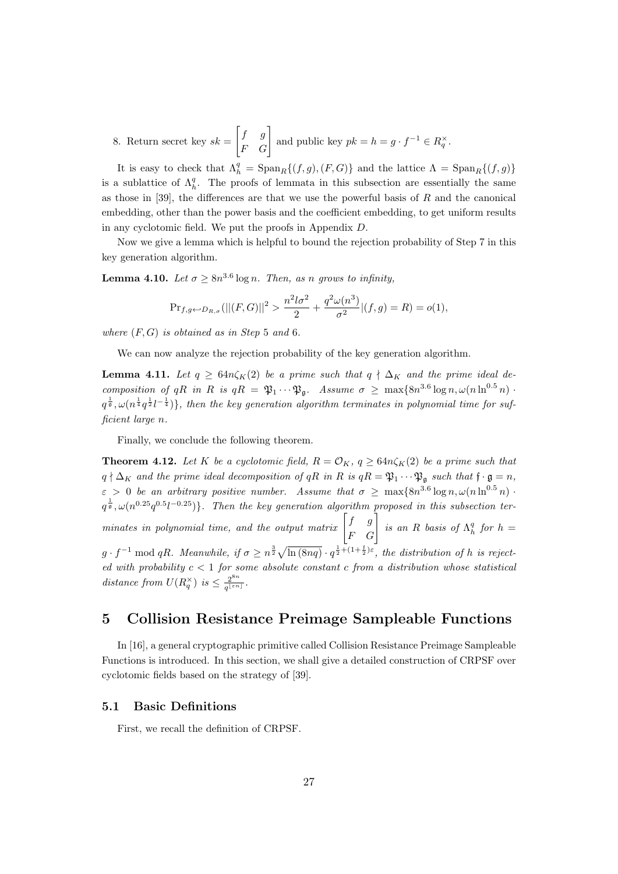8. Return secret key  $sk =$  $\begin{bmatrix} f & g \\ F & G \end{bmatrix}$  and public key  $pk = h = g \cdot f^{-1} \in R_q^{\times}$ .

It is easy to check that  $\Lambda_h^q = \text{Span}_R \{ (f, g), (F, G) \}$  and the lattice  $\Lambda = \text{Span}_R \{ (f, g) \}$ is a sublattice of  $\Lambda_h^q$ . The proofs of lemmata in this subsection are essentially the same as those in [39], the differences are that we use the powerful basis of  $R$  and the canonical embedding, other than the power basis and the coefficient embedding, to get uniform results in any cyclotomic field. We put the proofs in Appendix D.

Now we give a lemma which is helpful to bound the rejection probability of Step 7 in this key generation algorithm.

**Lemma 4.10.** Let  $\sigma \geq 8n^{3.6} \log n$ . Then, as n grows to infinity,

$$
Pr_{f,g \leftarrow D_{R,\sigma}}(||(F,G)||^2 > \frac{n^2 l \sigma^2}{2} + \frac{q^2 \omega(n^3)}{\sigma^2} |(f,g) = R) = o(1),
$$

where  $(F, G)$  is obtained as in Step 5 and 6.

We can now analyze the rejection probability of the key generation algorithm.

**Lemma 4.11.** Let  $q \ge 64n\zeta_K(2)$  be a prime such that  $q \nmid \Delta_K$  and the prime ideal decomposition of qR in R is  $qR = \mathfrak{P}_1 \cdots \mathfrak{P}_{\mathfrak{g}}$ . Assume  $\sigma \geq \max\{8n^{3.6} \log n, \omega(n \ln^{0.5} n)\}$ .  $q^{\frac{1}{9}}, \omega(n^{\frac{1}{4}}q^{\frac{1}{2}}l^{-\frac{1}{4}})\},\$  then the key generation algorithm terminates in polynomial time for sufficient large n.

Finally, we conclude the following theorem.

**Theorem 4.12.** Let K be a cyclotomic field,  $R = \mathcal{O}_K$ ,  $q \geq 64n\zeta_K(2)$  be a prime such that  $q \nmid \Delta_K$  and the prime ideal decomposition of qR in R is  $qR = \mathfrak{P}_1 \cdots \mathfrak{P}_{\mathfrak{g}}$  such that  $\mathfrak{f} \cdot \mathfrak{g} = n$ ,  $\varepsilon > 0$  be an arbitrary positive number. Assume that  $\sigma \ge \max\{8n^{3.6} \log n, \omega(n \ln^{0.5} n)\}$  $q^{\frac{1}{9}}$ ,  $\omega(n^{0.25}q^{0.5}l^{-0.25})\}$ . Then the key generation algorithm proposed in this subsection terminates in polynomial time, and the output matrix  $\begin{bmatrix} f & g \\ F & G \end{bmatrix}$  is an R basis of  $\Lambda_h^q$  for  $h =$  $g \cdot f^{-1} \mod qR$ . Meanwhile, if  $\sigma \geq n^{\frac{3}{2}}\sqrt{\ln(8nq)} \cdot q^{\frac{1}{2}+(1+\frac{f}{2})\varepsilon}$ , the distribution of h is rejected with probability  $c < 1$  for some absolute constant c from a distribution whose statistical distance from  $U(R_q^{\times})$  is  $\leq \frac{2^{8n}}{q^{\lfloor \varepsilon n \rfloor}}$  $\frac{2^{\circ n}}{q^{\lfloor \varepsilon n\rfloor}}$ .

# 5 Collision Resistance Preimage Sampleable Functions

In [16], a general cryptographic primitive called Collision Resistance Preimage Sampleable Functions is introduced. In this section, we shall give a detailed construction of CRPSF over cyclotomic fields based on the strategy of [39].

#### 5.1 Basic Definitions

First, we recall the definition of CRPSF.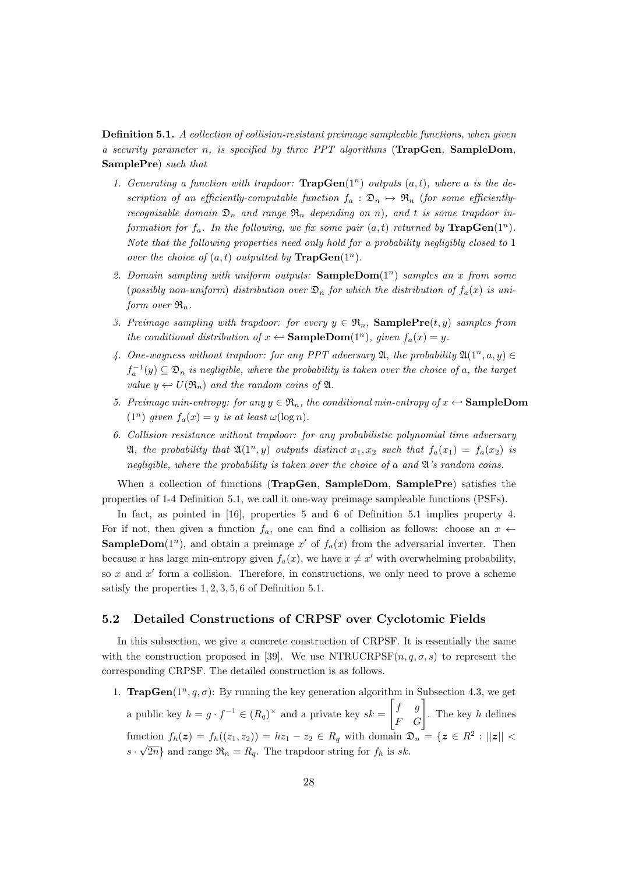Definition 5.1. A collection of collision-resistant preimage sampleable functions, when given a security parameter n, is specified by three PPT algorithms (TrapGen, SampleDom, SamplePre) such that

- 1. Generating a function with trapdoor:  $\text{TrapGen}(1^n)$  outputs  $(a, t)$ , where a is the description of an efficiently-computable function  $f_a : \mathfrak{D}_n \to \mathfrak{R}_n$  (for some efficientlyrecognizable domain  $\mathfrak{D}_n$  and range  $\mathfrak{R}_n$  depending on n), and t is some trapdoor information for  $f_a$ . In the following, we fix some pair  $(a, t)$  returned by  $\text{TrapGen}(1^n)$ . Note that the following properties need only hold for a probability negligibly closed to 1 over the choice of  $(a, t)$  outputted by  $\text{TrapGen}(1^n)$ .
- 2. Domain sampling with uniform outputs:  $SampleDom(1^n)$  samples an x from some (possibly non-uniform) distribution over  $\mathfrak{D}_n$  for which the distribution of  $f_a(x)$  is uniform over  $\mathfrak{R}_n$ .
- 3. Preimage sampling with trapdoor: for every  $y \in \mathfrak{R}_n$ , **SamplePre** $(t, y)$  samples from the conditional distribution of  $x \leftrightarrow$  SampleDom(1<sup>n</sup>), given  $f_a(x) = y$ .
- 4. One-wayness without trapdoor: for any PPT adversary  $\mathfrak{A}$ , the probability  $\mathfrak{A}(1^n, a, y) \in$  $f_a^{-1}(y) \subseteq \mathfrak{D}_n$  is negligible, where the probability is taken over the choice of a, the target value  $y \leftarrow U(\mathfrak{R}_n)$  and the random coins of  $\mathfrak{A}$ .
- 5. Preimage min-entropy: for any  $y \in \mathfrak{R}_n$ , the conditional min-entropy of  $x \leftarrow$  **SampleDom**  $(1^n)$  given  $f_a(x) = y$  is at least  $\omega(\log n)$ .
- 6. Collision resistance without trapdoor: for any probabilistic polynomial time adversary **21**, the probability that  $\mathfrak{A}(1^n, y)$  outputs distinct  $x_1, x_2$  such that  $f_a(x_1) = f_a(x_2)$  is negligible, where the probability is taken over the choice of a and  $\mathfrak{A}'$ 's random coins.

When a collection of functions (TrapGen, SampleDom, SamplePre) satisfies the properties of 1-4 Definition 5.1, we call it one-way preimage sampleable functions (PSFs).

In fact, as pointed in [16], properties 5 and 6 of Definition 5.1 implies property 4. For if not, then given a function  $f_a$ , one can find a collision as follows: choose an  $x \leftarrow$ **SampleDom**(1<sup>n</sup>), and obtain a preimage x' of  $f_a(x)$  from the adversarial inverter. Then because x has large min-entropy given  $f_a(x)$ , we have  $x \neq x'$  with overwhelming probability, so x and  $x'$  form a collision. Therefore, in constructions, we only need to prove a scheme satisfy the properties 1, 2, 3, 5, 6 of Definition 5.1.

#### 5.2 Detailed Constructions of CRPSF over Cyclotomic Fields

In this subsection, we give a concrete construction of CRPSF. It is essentially the same with the construction proposed in [39]. We use NTRUCRPSF $(n, q, \sigma, s)$  to represent the corresponding CRPSF. The detailed construction is as follows.

1. **TrapGen**( $1^n, q, \sigma$ ): By running the key generation algorithm in Subsection 4.3, we get a public key  $h = g \cdot f^{-1} \in (R_q)^{\times}$  and a private key  $sk =$  $\begin{bmatrix} f & g \\ F & G \end{bmatrix}$ . The key h defines function  $f_h(z) = f_h((z_1, z_2)) = hz_1 - z_2 \in R_q$  with domain  $\mathfrak{D}_n = \{z \in R^2 : ||z|| <$  $s \cdot \sqrt{2n}$  and range  $\mathfrak{R}_n = R_q$ . The trapdoor string for  $f_h$  is sk.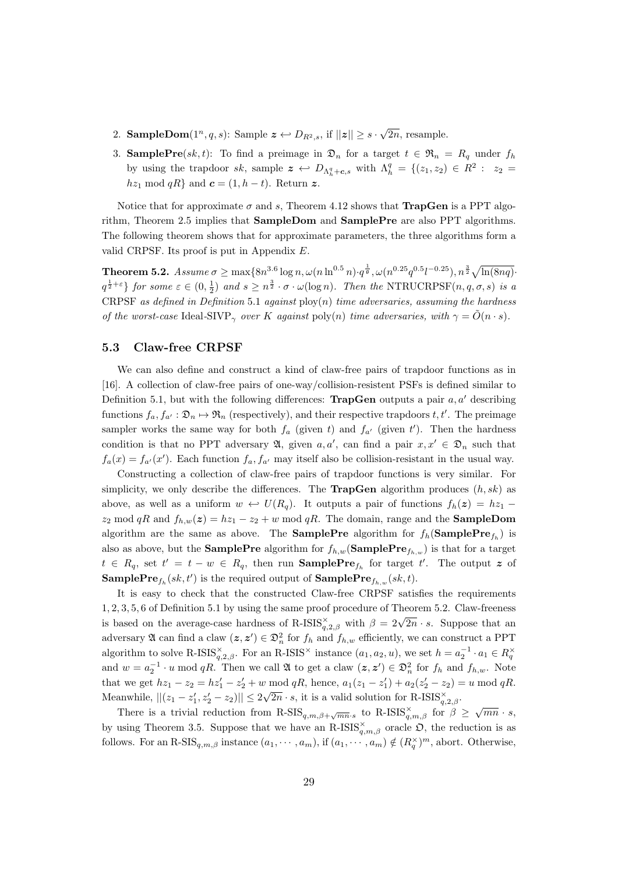- 2. **SampleDom** $(1^n, q, s)$ : Sample  $\boldsymbol{z} \leftrightarrow D_{R^2, s}$ , if  $||\boldsymbol{z}|| \geq s \cdot \sqrt{s}$ 2n, resample.
- 3. **SamplePre**(sk, t): To find a preimage in  $\mathfrak{D}_n$  for a target  $t \in \mathfrak{R}_n = R_q$  under  $f_h$ by using the trapdoor sk, sample  $\boldsymbol{z} \leftrightarrow D_{\Lambda_h^q + \boldsymbol{c}, s}$  with  $\Lambda_h^q = \{(z_1, z_2) \in R^2 : z_2 =$  $hz_1 \mod qR$  and  $\boldsymbol{c} = (1, h - t)$ . Return z.

Notice that for approximate  $\sigma$  and s, Theorem 4.12 shows that **TrapGen** is a PPT algorithm, Theorem 2.5 implies that SampleDom and SamplePre are also PPT algorithms. The following theorem shows that for approximate parameters, the three algorithms form a valid CRPSF. Its proof is put in Appendix E.

 $\textbf{Theorem 5.2.}\ \ Assume\ \sigma\geq\max\{8n^{3.6}\log n,\omega(n\ln^{0.5}n)\cdot q^{\frac{1}{9}},\omega(n^{0.25}q^{0.5}l^{-0.25}),n^{\frac{3}{2}}\sqrt{\ln(8nq)}\cdot q^{\frac{1}{9}}\}$  $q^{\frac{1}{2}+\varepsilon}$ } for some  $\varepsilon \in (0, \frac{1}{2})$  and  $s \geq n^{\frac{3}{2}} \cdot \sigma \cdot \omega(\log n)$ . Then the NTRUCRPSF $(n, q, \sigma, s)$  is a CRPSF as defined in Definition 5.1 against  $\text{ploy}(n)$  time adversaries, assuming the hardness of the worst-case Ideal-SIVP<sub> $\gamma$ </sub> over K against poly(n) time adversaries, with  $\gamma = \hat{O}(n \cdot s)$ .

#### 5.3 Claw-free CRPSF

We can also define and construct a kind of claw-free pairs of trapdoor functions as in [16]. A collection of claw-free pairs of one-way/collision-resistent PSFs is defined similar to Definition 5.1, but with the following differences: **TrapGen** outputs a pair  $a, a'$  describing functions  $f_a, f_{a'} : \mathfrak{D}_n \mapsto \mathfrak{R}_n$  (respectively), and their respective trapdoors  $t, t'$ . The preimage sampler works the same way for both  $f_a$  (given t) and  $f_{a'}$  (given t'). Then the hardness condition is that no PPT adversary  $\mathfrak{A}$ , given  $a, a'$ , can find a pair  $x, x' \in \mathfrak{D}_n$  such that  $f_a(x) = f_{a'}(x')$ . Each function  $f_a, f_{a'}$  may itself also be collision-resistant in the usual way.

Constructing a collection of claw-free pairs of trapdoor functions is very similar. For simplicity, we only describe the differences. The **TrapGen** algorithm produces  $(h, sk)$  as above, as well as a uniform  $w \leftrightarrow U(R_q)$ . It outputs a pair of functions  $f_h(z) = hz_1$  $z_2 \mod qR$  and  $f_{h,w}(z) = hz_1 - z_2 + w \mod qR$ . The domain, range and the **SampleDom** algorithm are the same as above. The **SamplePre** algorithm for  $f_h$  (**SamplePre** $f_h$ ) is also as above, but the **SamplePre** algorithm for  $f_{h,w}$  (**SamplePre** $f_{h,w}$ ) is that for a target  $t \in R_q$ , set  $t' = t - w \in R_q$ , then run **SamplePre**<sub>f<sub>h</sub></sub> for target  $t'$ . The output z of **SamplePre** $f_h(sk, t')$  is the required output of  $\textbf{SamplePre}_{f_{h,w}}(sk, t)$ .

It is easy to check that the constructed Claw-free CRPSF satisfies the requirements 1, 2, 3, 5, 6 of Definition 5.1 by using the same proof procedure of Theorem 5.2. Claw-freeness  $\alpha$ , 2, 3, 3, 3 or Definition 3.1 by using the same proof procedure of Theorem 3.2. Claw-necessity is based on the average-case hardness of R-ISIS $_{q,2,\beta}^{\gamma}$  with  $\beta = 2\sqrt{2n} \cdot s$ . Suppose that an adversary  $\mathfrak A$  can find a claw  $(z, z') \in \mathfrak D_n^2$  for  $f_h$  and  $f_{h,w}$  efficiently, we can construct a PPT algorithm to solve R-ISIS<sup> $\times$ </sup>,  $\beta$ . For an R-ISIS<sup> $\times$ </sup> instance  $(a_1, a_2, u)$ , we set  $h = a_2^{-1} \cdot a_1 \in R_q^{\times}$ and  $w = a_2^{-1} \cdot u \mod qR$ . Then we call  $\mathfrak A$  to get a claw  $(z, z') \in \mathfrak D_n^2$  for  $f_h$  and  $f_{h,w}$ . Note that we get  $hz_1 - z_2 = hz'_1 - z'_2 + w \mod qR$ , hence,  $a_1(z_1 - z'_1) + a_2(z'_2 - z_2) = u \mod qR$ . Meanwhile,  $||(z_1 - z'_1, z'_2 - z_2)|| \leq 2\sqrt{2n} \cdot s$ , it is a valid solution for R-ISIS $_{q,2,\beta}^{\times}$ .

There is a trivial reduction from  $R\text{-SIS}_{q,m,\beta+\sqrt{mn}\cdot s}$  to  $R\text{-ISIS}_{q,m,\beta}^{\times}$  for  $\beta \geq \sqrt{mn}\cdot s$ , by using Theorem 3.5. Suppose that we have an R-ISIS $_{q,m,\beta}^{\times}$  oracle  $\mathfrak{O}$ , the reduction is as follows. For an R-SIS<sub>q,m, $\beta$ </sub> instance  $(a_1, \dots, a_m)$ , if  $(a_1, \dots, a_m) \notin (R_q^{\times})^m$ , abort. Otherwise,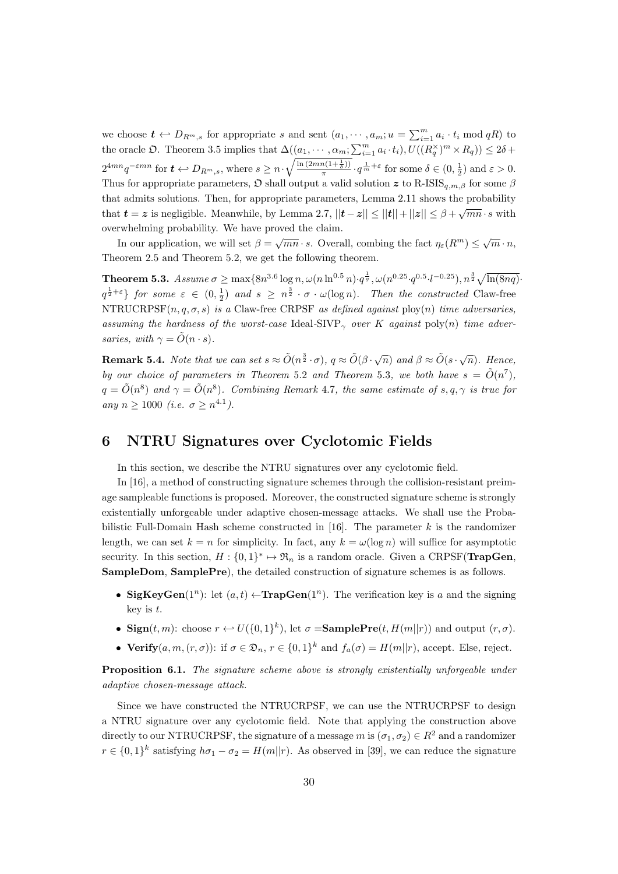we choose  $t \leftrightarrow D_{R^m,s}$  for appropriate s and sent  $(a_1, \dots, a_m; u = \sum_{i=1}^m a_i \cdot t_i \mod qR)$  to the oracle  $\mathfrak{D}$ . Theorem 3.5 implies that  $\Delta((a_1, \dots, a_m; \sum_{i=1}^m a_i \cdot t_i), U((R_q^{\times})^m \times R_q)) \leq 2\delta +$  $2^{4mn}q^{-\varepsilon mn}$  for  $t \leftrightarrow D_{R^m,s}$ , where  $s \geq n \cdot \sqrt{\frac{\ln(2mn(1+\frac{1}{\delta}))}{\pi}}$  $\frac{n(1+\frac{1}{\delta}))}{\pi} \cdot q^{\frac{1}{m}+\varepsilon}$  for some  $\delta \in (0, \frac{1}{2})$  and  $\varepsilon > 0$ . Thus for appropriate parameters,  $\mathfrak D$  shall output a valid solution z to R-ISIS<sub>a,m,β</sub> for some  $\beta$ that admits solutions. Then, for appropriate parameters, Lemma 2.11 shows the probability that  $t = z$  is negligible. Meanwhile, by Lemma 2.7,  $||t-z|| \le ||t|| + ||z|| \le \beta + \sqrt{mn} \cdot s$  with overwhelming probability. We have proved the claim.

In our application, we will set  $\beta = \sqrt{mn} \cdot s$ . Overall, combing the fact  $\eta_{\varepsilon}(R^m) \leq \sqrt{m} \cdot n$ , Theorem 2.5 and Theorem 5.2, we get the following theorem.

 $\textbf{Theorem 5.3.}\ \ Assume\ \sigma\geq\max\{8n^{3.6}\log n,\omega(n\ln^{0.5}n)\cdot q^{\frac{1}{g}},\omega(n^{0.25}\cdot q^{0.5}\cdot l^{-0.25}),n^{\frac{3}{2}}\sqrt{\ln(8nq)}.$  $q^{\frac{1}{2}+\varepsilon}$  for some  $\varepsilon \in (0, \frac{1}{2})$  and  $s \geq n^{\frac{3}{2}} \cdot \sigma \cdot \omega(\log n)$ . Then the constructed Claw-free NTRUCRPSF $(n, q, \sigma, s)$  is a Claw-free CRPSF as defined against ploy $(n)$  time adversaries, assuming the hardness of the worst-case Ideal-SIVP<sub> $\gamma$ </sub> over K against poly(n) time adversaries, with  $\gamma = \tilde{O}(n \cdot s)$ .

**Remark 5.4.** Note that we can set  $s \approx \tilde{O}(n^{\frac{3}{2}} \cdot \sigma)$ ,  $q \approx \tilde{O}(\beta \cdot \sqrt{n})$  and  $\beta \approx \tilde{O}(s \cdot \sqrt{n})$ . Hence, by our choice of parameters in Theorem 5.2 and Theorem 5.3, we both have  $s = \tilde{O}(n^7)$ ,  $q = \tilde{O}(n^8)$  and  $\gamma = \tilde{O}(n^8)$ . Combining Remark 4.7, the same estimate of  $s, q, \gamma$  is true for any  $n \ge 1000$  (i.e.  $\sigma \ge n^{4.1}$ ).

# 6 NTRU Signatures over Cyclotomic Fields

In this section, we describe the NTRU signatures over any cyclotomic field.

In [16], a method of constructing signature schemes through the collision-resistant preimage sampleable functions is proposed. Moreover, the constructed signature scheme is strongly existentially unforgeable under adaptive chosen-message attacks. We shall use the Probabilistic Full-Domain Hash scheme constructed in [16]. The parameter  $k$  is the randomizer length, we can set  $k = n$  for simplicity. In fact, any  $k = \omega(\log n)$  will suffice for asymptotic security. In this section,  $H: \{0,1\}^* \mapsto \mathfrak{R}_n$  is a random oracle. Given a CRPSF(**TrapGen**, SampleDom, SamplePre), the detailed construction of signature schemes is as follows.

- SigKeyGen(1<sup>n</sup>): let  $(a, t) \leftarrow \textbf{TrapGen}(1^n)$ . The verification key is a and the signing key is t.
- Sign $(t, m)$ : choose  $r \leftarrow U({0, 1}^k)$ , let  $\sigma =$ SamplePre $(t, H(m||r))$  and output  $(r, \sigma)$ .
- Verify $(a, m, (r, \sigma))$ : if  $\sigma \in \mathfrak{D}_n$ ,  $r \in \{0, 1\}^k$  and  $f_a(\sigma) = H(m||r)$ , accept. Else, reject.

**Proposition 6.1.** The signature scheme above is strongly existentially unforgeable under adaptive chosen-message attack.

Since we have constructed the NTRUCRPSF, we can use the NTRUCRPSF to design a NTRU signature over any cyclotomic field. Note that applying the construction above directly to our NTRUCRPSF, the signature of a message m is  $(\sigma_1, \sigma_2) \in R^2$  and a randomizer  $r \in \{0,1\}^k$  satisfying  $h\sigma_1 - \sigma_2 = H(m||r)$ . As observed in [39], we can reduce the signature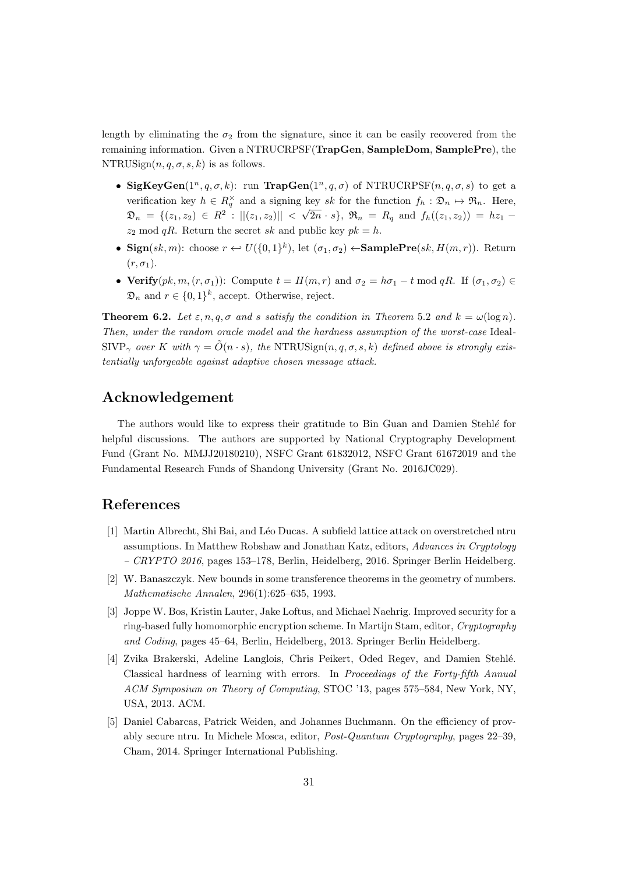length by eliminating the  $\sigma_2$  from the signature, since it can be easily recovered from the remaining information. Given a NTRUCRPSF(TrapGen, SampleDom, SamplePre), the NTRUSign $(n, q, \sigma, s, k)$  is as follows.

- SigKeyGen(1<sup>n</sup>, q,  $\sigma$ , k): run TrapGen(1<sup>n</sup>, q,  $\sigma$ ) of NTRUCRPSF(n, q,  $\sigma$ , s) to get a verification key  $h \in R_q^{\times}$  and a signing key sk for the function  $f_h : \mathfrak{D}_n \mapsto \mathfrak{R}_n$ . Here,  $\mathfrak{D}_n = \{ (z_1, z_2) \in R^2 : ||(z_1, z_2)||$ √  $(2n \cdot s)$ ,  $\mathfrak{R}_n = R_q$  and  $f_h((z_1, z_2)) = h z_1$  $z_2 \mod qR$ . Return the secret sk and public key  $pk = h$ .
- Sign(sk, m): choose  $r \leftrightarrow U({0,1})^k$ ), let  $(\sigma_1, \sigma_2) \leftrightarrow$ SamplePre(sk,  $H(m, r)$ ). Return  $(r, \sigma_1)$ .
- Verify $(pk, m, (r, \sigma_1))$ : Compute  $t = H(m, r)$  and  $\sigma_2 = h\sigma_1 t \mod qR$ . If  $(\sigma_1, \sigma_2) \in$  $\mathfrak{D}_n$  and  $r \in \{0,1\}^k$ , accept. Otherwise, reject.

**Theorem 6.2.** Let  $\varepsilon$ , n, q,  $\sigma$  and s satisfy the condition in Theorem 5.2 and  $k = \omega(\log n)$ . Then, under the random oracle model and the hardness assumption of the worst-case Ideal- $SIVP_{\gamma}$  over K with  $\gamma = \tilde{O}(n \cdot s)$ , the NTRUSign $(n, q, \sigma, s, k)$  defined above is strongly existentially unforgeable against adaptive chosen message attack.

# Acknowledgement

The authors would like to express their gratitude to Bin Guan and Damien Stehlé for helpful discussions. The authors are supported by National Cryptography Development Fund (Grant No. MMJJ20180210), NSFC Grant 61832012, NSFC Grant 61672019 and the Fundamental Research Funds of Shandong University (Grant No. 2016JC029).

# References

- [1] Martin Albrecht, Shi Bai, and L´eo Ducas. A subfield lattice attack on overstretched ntru assumptions. In Matthew Robshaw and Jonathan Katz, editors, Advances in Cryptology  $-$  CRYPTO 2016, pages 153–178, Berlin, Heidelberg, 2016. Springer Berlin Heidelberg.
- [2] W. Banaszczyk. New bounds in some transference theorems in the geometry of numbers. Mathematische Annalen, 296(1):625–635, 1993.
- [3] Joppe W. Bos, Kristin Lauter, Jake Loftus, and Michael Naehrig. Improved security for a ring-based fully homomorphic encryption scheme. In Martijn Stam, editor, Cryptography and Coding, pages 45–64, Berlin, Heidelberg, 2013. Springer Berlin Heidelberg.
- [4] Zvika Brakerski, Adeline Langlois, Chris Peikert, Oded Regev, and Damien Stehl´e. Classical hardness of learning with errors. In Proceedings of the Forty-fifth Annual ACM Symposium on Theory of Computing, STOC '13, pages 575–584, New York, NY, USA, 2013. ACM.
- [5] Daniel Cabarcas, Patrick Weiden, and Johannes Buchmann. On the efficiency of provably secure ntru. In Michele Mosca, editor, Post-Quantum Cryptography, pages 22–39, Cham, 2014. Springer International Publishing.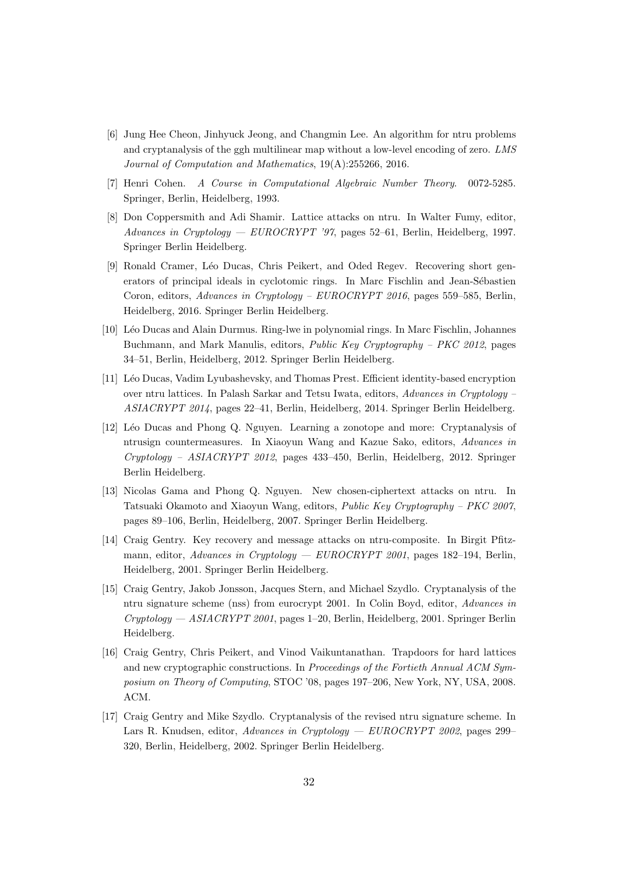- [6] Jung Hee Cheon, Jinhyuck Jeong, and Changmin Lee. An algorithm for ntru problems and cryptanalysis of the ggh multilinear map without a low-level encoding of zero. LMS Journal of Computation and Mathematics, 19(A):255266, 2016.
- [7] Henri Cohen. A Course in Computational Algebraic Number Theory. 0072-5285. Springer, Berlin, Heidelberg, 1993.
- [8] Don Coppersmith and Adi Shamir. Lattice attacks on ntru. In Walter Fumy, editor, Advances in Cryptology — EUROCRYPT '97, pages 52–61, Berlin, Heidelberg, 1997. Springer Berlin Heidelberg.
- [9] Ronald Cramer, Léo Ducas, Chris Peikert, and Oded Regev. Recovering short generators of principal ideals in cyclotomic rings. In Marc Fischlin and Jean-Sébastien Coron, editors, Advances in Cryptology – EUROCRYPT 2016, pages 559–585, Berlin, Heidelberg, 2016. Springer Berlin Heidelberg.
- [10] L´eo Ducas and Alain Durmus. Ring-lwe in polynomial rings. In Marc Fischlin, Johannes Buchmann, and Mark Manulis, editors, Public Key Cryptography – PKC 2012, pages 34–51, Berlin, Heidelberg, 2012. Springer Berlin Heidelberg.
- [11] L´eo Ducas, Vadim Lyubashevsky, and Thomas Prest. Efficient identity-based encryption over ntru lattices. In Palash Sarkar and Tetsu Iwata, editors, Advances in Cryptology – ASIACRYPT 2014, pages 22–41, Berlin, Heidelberg, 2014. Springer Berlin Heidelberg.
- [12] L´eo Ducas and Phong Q. Nguyen. Learning a zonotope and more: Cryptanalysis of ntrusign countermeasures. In Xiaoyun Wang and Kazue Sako, editors, Advances in Cryptology – ASIACRYPT 2012, pages 433–450, Berlin, Heidelberg, 2012. Springer Berlin Heidelberg.
- [13] Nicolas Gama and Phong Q. Nguyen. New chosen-ciphertext attacks on ntru. In Tatsuaki Okamoto and Xiaoyun Wang, editors, Public Key Cryptography – PKC 2007, pages 89–106, Berlin, Heidelberg, 2007. Springer Berlin Heidelberg.
- [14] Craig Gentry. Key recovery and message attacks on ntru-composite. In Birgit Pfitzmann, editor, Advances in Cryptology — EUROCRYPT 2001, pages 182–194, Berlin, Heidelberg, 2001. Springer Berlin Heidelberg.
- [15] Craig Gentry, Jakob Jonsson, Jacques Stern, and Michael Szydlo. Cryptanalysis of the ntru signature scheme (nss) from eurocrypt 2001. In Colin Boyd, editor, Advances in Cryptology — ASIACRYPT 2001, pages 1–20, Berlin, Heidelberg, 2001. Springer Berlin Heidelberg.
- [16] Craig Gentry, Chris Peikert, and Vinod Vaikuntanathan. Trapdoors for hard lattices and new cryptographic constructions. In Proceedings of the Fortieth Annual ACM Symposium on Theory of Computing, STOC '08, pages 197–206, New York, NY, USA, 2008. ACM.
- [17] Craig Gentry and Mike Szydlo. Cryptanalysis of the revised ntru signature scheme. In Lars R. Knudsen, editor, Advances in Cryptology — EUROCRYPT 2002, pages 299-320, Berlin, Heidelberg, 2002. Springer Berlin Heidelberg.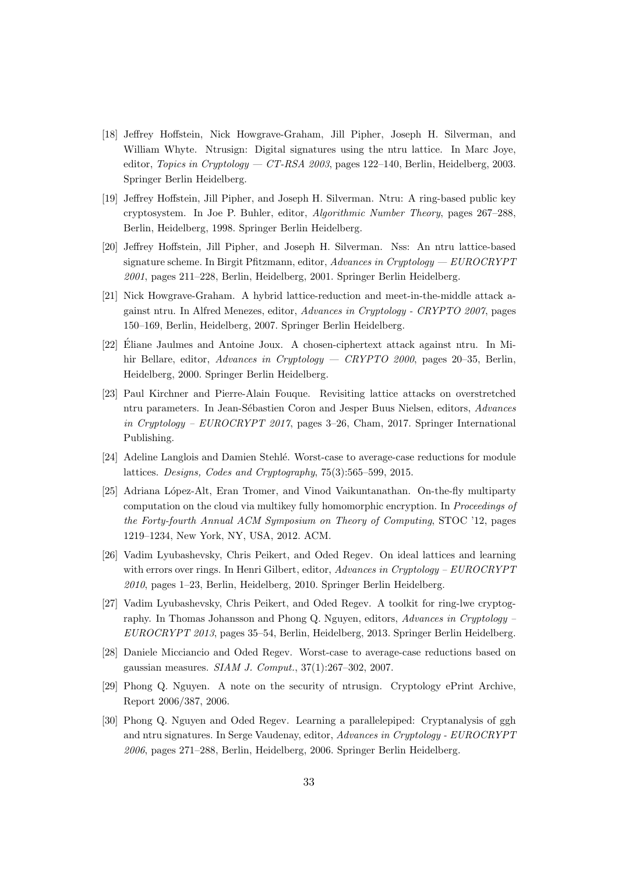- [18] Jeffrey Hoffstein, Nick Howgrave-Graham, Jill Pipher, Joseph H. Silverman, and William Whyte. Ntrusign: Digital signatures using the ntru lattice. In Marc Joye, editor, Topics in Cryptology — CT-RSA 2003, pages 122-140, Berlin, Heidelberg, 2003. Springer Berlin Heidelberg.
- [19] Jeffrey Hoffstein, Jill Pipher, and Joseph H. Silverman. Ntru: A ring-based public key cryptosystem. In Joe P. Buhler, editor, Algorithmic Number Theory, pages 267–288, Berlin, Heidelberg, 1998. Springer Berlin Heidelberg.
- [20] Jeffrey Hoffstein, Jill Pipher, and Joseph H. Silverman. Nss: An ntru lattice-based signature scheme. In Birgit Pfitzmann, editor,  $Advances\ in\ Cryptology - EUROCRYPT$ 2001, pages 211–228, Berlin, Heidelberg, 2001. Springer Berlin Heidelberg.
- [21] Nick Howgrave-Graham. A hybrid lattice-reduction and meet-in-the-middle attack against ntru. In Alfred Menezes, editor, Advances in Cryptology - CRYPTO 2007, pages 150–169, Berlin, Heidelberg, 2007. Springer Berlin Heidelberg.
- [22] Eliane Jaulmes and Antoine Joux. A chosen-ciphertext attack against ntru. In Mi- ´ hir Bellare, editor, Advances in Cryptology — CRYPTO 2000, pages 20–35, Berlin, Heidelberg, 2000. Springer Berlin Heidelberg.
- [23] Paul Kirchner and Pierre-Alain Fouque. Revisiting lattice attacks on overstretched ntru parameters. In Jean-Sébastien Coron and Jesper Buus Nielsen, editors, Advances in Cryptology – EUROCRYPT 2017, pages 3–26, Cham, 2017. Springer International Publishing.
- [24] Adeline Langlois and Damien Stehlé. Worst-case to average-case reductions for module lattices. Designs, Codes and Cryptography, 75(3):565–599, 2015.
- [25] Adriana López-Alt, Eran Tromer, and Vinod Vaikuntanathan. On-the-fly multiparty computation on the cloud via multikey fully homomorphic encryption. In Proceedings of the Forty-fourth Annual ACM Symposium on Theory of Computing, STOC '12, pages 1219–1234, New York, NY, USA, 2012. ACM.
- [26] Vadim Lyubashevsky, Chris Peikert, and Oded Regev. On ideal lattices and learning with errors over rings. In Henri Gilbert, editor, Advances in Cryptology – EUROCRYPT 2010, pages 1–23, Berlin, Heidelberg, 2010. Springer Berlin Heidelberg.
- [27] Vadim Lyubashevsky, Chris Peikert, and Oded Regev. A toolkit for ring-lwe cryptography. In Thomas Johansson and Phong Q. Nguyen, editors, Advances in Cryptology – EUROCRYPT 2013, pages 35–54, Berlin, Heidelberg, 2013. Springer Berlin Heidelberg.
- [28] Daniele Micciancio and Oded Regev. Worst-case to average-case reductions based on gaussian measures. SIAM J. Comput., 37(1):267–302, 2007.
- [29] Phong Q. Nguyen. A note on the security of ntrusign. Cryptology ePrint Archive, Report 2006/387, 2006.
- [30] Phong Q. Nguyen and Oded Regev. Learning a parallelepiped: Cryptanalysis of ggh and ntru signatures. In Serge Vaudenay, editor, Advances in Cryptology - EUROCRYPT 2006, pages 271–288, Berlin, Heidelberg, 2006. Springer Berlin Heidelberg.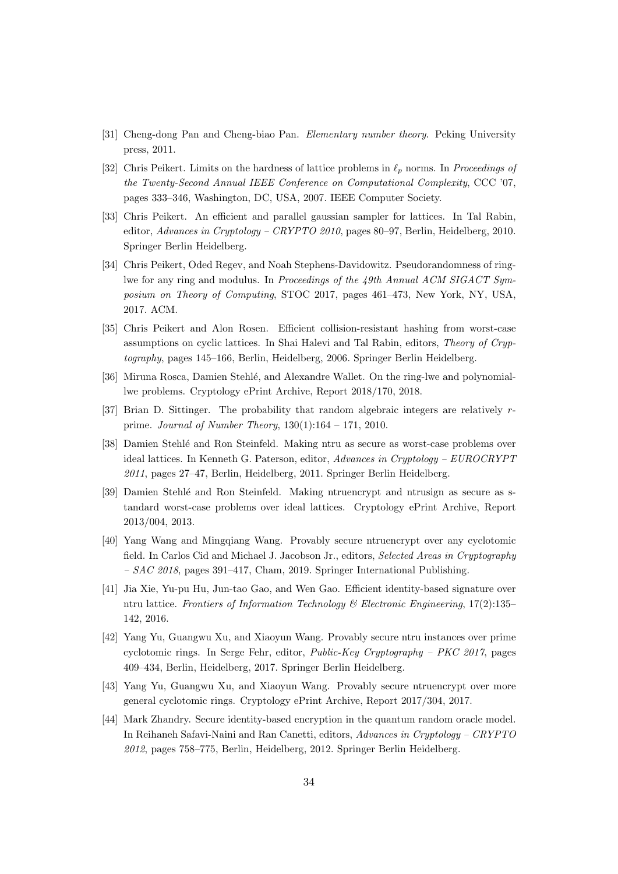- [31] Cheng-dong Pan and Cheng-biao Pan. Elementary number theory. Peking University press, 2011.
- [32] Chris Peikert. Limits on the hardness of lattice problems in  $\ell_p$  norms. In Proceedings of the Twenty-Second Annual IEEE Conference on Computational Complexity, CCC '07, pages 333–346, Washington, DC, USA, 2007. IEEE Computer Society.
- [33] Chris Peikert. An efficient and parallel gaussian sampler for lattices. In Tal Rabin, editor, Advances in Cryptology – CRYPTO 2010, pages 80–97, Berlin, Heidelberg, 2010. Springer Berlin Heidelberg.
- [34] Chris Peikert, Oded Regev, and Noah Stephens-Davidowitz. Pseudorandomness of ringlwe for any ring and modulus. In Proceedings of the 49th Annual ACM SIGACT Symposium on Theory of Computing, STOC 2017, pages 461–473, New York, NY, USA, 2017. ACM.
- [35] Chris Peikert and Alon Rosen. Efficient collision-resistant hashing from worst-case assumptions on cyclic lattices. In Shai Halevi and Tal Rabin, editors, Theory of Cryptography, pages 145–166, Berlin, Heidelberg, 2006. Springer Berlin Heidelberg.
- [36] Miruna Rosca, Damien Stehlé, and Alexandre Wallet. On the ring-lwe and polynomiallwe problems. Cryptology ePrint Archive, Report 2018/170, 2018.
- [37] Brian D. Sittinger. The probability that random algebraic integers are relatively rprime. Journal of Number Theory, 130(1):164 – 171, 2010.
- [38] Damien Stehl´e and Ron Steinfeld. Making ntru as secure as worst-case problems over ideal lattices. In Kenneth G. Paterson, editor, Advances in Cryptology – EUROCRYPT 2011, pages 27–47, Berlin, Heidelberg, 2011. Springer Berlin Heidelberg.
- [39] Damien Stehlé and Ron Steinfeld. Making ntruencrypt and ntrusign as secure as standard worst-case problems over ideal lattices. Cryptology ePrint Archive, Report 2013/004, 2013.
- [40] Yang Wang and Mingqiang Wang. Provably secure ntruencrypt over any cyclotomic field. In Carlos Cid and Michael J. Jacobson Jr., editors, Selected Areas in Cryptography  $- SAC$  2018, pages 391–417, Cham, 2019. Springer International Publishing.
- [41] Jia Xie, Yu-pu Hu, Jun-tao Gao, and Wen Gao. Efficient identity-based signature over ntru lattice. Frontiers of Information Technology & Electronic Engineering, 17(2):135– 142, 2016.
- [42] Yang Yu, Guangwu Xu, and Xiaoyun Wang. Provably secure ntru instances over prime cyclotomic rings. In Serge Fehr, editor, Public-Key Cryptography – PKC 2017, pages 409–434, Berlin, Heidelberg, 2017. Springer Berlin Heidelberg.
- [43] Yang Yu, Guangwu Xu, and Xiaoyun Wang. Provably secure ntruencrypt over more general cyclotomic rings. Cryptology ePrint Archive, Report 2017/304, 2017.
- [44] Mark Zhandry. Secure identity-based encryption in the quantum random oracle model. In Reihaneh Safavi-Naini and Ran Canetti, editors, Advances in Cryptology – CRYPTO 2012, pages 758–775, Berlin, Heidelberg, 2012. Springer Berlin Heidelberg.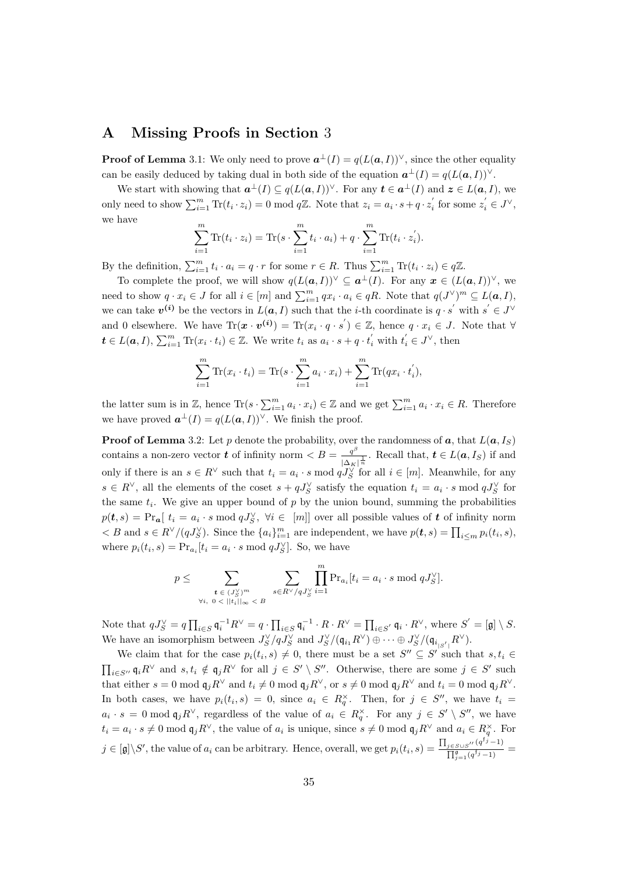# A Missing Proofs in Section 3

**Proof of Lemma** 3.1: We only need to prove  $a^{\perp}(I) = q(L(a, I))^{\vee}$ , since the other equality can be easily deduced by taking dual in both side of the equation  $\mathbf{a}^{\perp}(I) = q(L(\mathbf{a}, I))^{\vee}$ .

We start with showing that  $a^{\perp}(I) \subseteq q(L(a, I))^{\vee}$ . For any  $t \in a^{\perp}(I)$  and  $z \in L(a, I)$ , we only need to show  $\sum_{i=1}^{m} \text{Tr}(t_i \cdot z_i) = 0 \text{ mod } q\mathbb{Z}$ . Note that  $z_i = a_i \cdot s + q \cdot z_i'$  for some  $z_i' \in J^{\vee}$ , we have

$$
\sum_{i=1}^{m} \text{Tr}(t_i \cdot z_i) = \text{Tr}(s \cdot \sum_{i=1}^{m} t_i \cdot a_i) + q \cdot \sum_{i=1}^{m} \text{Tr}(t_i \cdot z_i').
$$

By the definition,  $\sum_{i=1}^{m} t_i \cdot a_i = q \cdot r$  for some  $r \in R$ . Thus  $\sum_{i=1}^{m} \text{Tr}(t_i \cdot z_i) \in q\mathbb{Z}$ .

To complete the proof, we will show  $q(L(a, I))^{\vee} \subseteq a^{\perp}(I)$ . For any  $x \in (L(a, I))^{\vee}$ , we need to show  $q \cdot x_i \in J$  for all  $i \in [m]$  and  $\sum_{i=1}^m qx_i \cdot a_i \in qR$ . Note that  $q(J^{\vee})^m \subseteq L(a, I)$ , we can take  $v^{(i)}$  be the vectors in  $L(a, I)$  such that the *i*-th coordinate is  $q \cdot s'$  with  $s' \in J^{\vee}$ and 0 elsewhere. We have  $\text{Tr}(\mathbf{x} \cdot \mathbf{v}^{(i)}) = \text{Tr}(x_i \cdot q \cdot s') \in \mathbb{Z}$ , hence  $q \cdot x_i \in J$ . Note that  $\forall$  $t \in L(a, I), \sum_{i=1}^{m} \text{Tr}(x_i \cdot t_i) \in \mathbb{Z}$ . We write  $t_i$  as  $a_i \cdot s + q \cdot t_i^{'}$  with  $t_i^{'} \in J^{\vee}$ , then

$$
\sum_{i=1}^{m} \text{Tr}(x_i \cdot t_i) = \text{Tr}(s \cdot \sum_{i=1}^{m} a_i \cdot x_i) + \sum_{i=1}^{m} \text{Tr}(qx_i \cdot t_i'),
$$

the latter sum is in Z, hence  $\text{Tr}(s \cdot \sum_{i=1}^{m} a_i \cdot x_i) \in \mathbb{Z}$  and we get  $\sum_{i=1}^{m} a_i \cdot x_i \in R$ . Therefore we have proved  $\mathbf{a}^{\perp}(I) = q(L(\mathbf{a}, I))^{\vee}$ . We finish the proof.

**Proof of Lemma** 3.2: Let p denote the probability, over the randomness of  $a$ , that  $L(a, I<sub>S</sub>)$ contains a non-zero vector **t** of infinity norm  $\lt B = \frac{q^{\beta}}{q}$  $\frac{q^r}{|\Delta_K|^{\frac{1}{n}}}$ . Recall that,  $\boldsymbol{t} \in L(\boldsymbol{a}, I_S)$  if and only if there is an  $s \in R^{\vee}$  such that  $t_i = a_i \cdot s \mod qJ_S^{\vee}$  for all  $i \in [m]$ . Meanwhile, for any  $s \in R^{\vee}$ , all the elements of the coset  $s + qJ_S^{\vee}$  satisfy the equation  $t_i = a_i \cdot s \mod qJ_S^{\vee}$  for the same  $t_i$ . We give an upper bound of p by the union bound, summing the probabilities  $p(t,s) = \Pr_{a}[t_i = a_i \cdot s \mod qJ_S^{\vee}, \forall i \in [m]]$  over all possible values of t of infinity norm  $\langle B \rangle \leq B$  and  $s \in R^{\vee}/(qJ_S^{\vee})$ . Since the  $\{a_i\}_{i=1}^m$  are independent, we have  $p(t, s) = \prod_{i \leq m} p_i(t_i, s)$ , where  $p_i(t_i, s) = \Pr_{a_i}[t_i = a_i \cdot s \mod qJ_S^{\vee}]$ . So, we have

$$
p \leq \sum_{\substack{\boldsymbol{t} \in (J_S^{\vee})^m \\ \forall i, \ 0 < ||t_i||_{\infty} < B}} \sum_{s \in R^{\vee}/qJ_S^{\vee}} \prod_{i=1}^m \Pr_{a_i}[t_i = a_i \cdot s \mod qJ_S^{\vee}].
$$

Note that  $qJ_S^{\vee} = q \prod_{i \in S} \mathfrak{q}_i^{-1} R^{\vee} = q \cdot \prod_{i \in S} \mathfrak{q}_i^{-1} \cdot R \cdot R^{\vee} = \prod_{i \in S'} \mathfrak{q}_i \cdot R^{\vee}$ , where  $S' = [\mathfrak{g}] \setminus S$ . We have an isomorphism between  $J_S^{\vee}/qJ_S^{\vee}$  and  $J_S^{\vee}/(\mathfrak{q}_{i_1}R^{\vee})\oplus \cdots \oplus J_S^{\vee}/(\mathfrak{q}_{i_{|S^{'}|}}R^{\vee}).$ 

We claim that for the case  $p_i(t_i, s) \neq 0$ , there must be a set  $S'' \subseteq S'$  such that  $s, t_i \in$  $\prod_{i\in S''}\mathfrak{q}_iR^{\vee}$  and  $s,t_i \notin \mathfrak{q}_jR^{\vee}$  for all  $j\in S' \setminus S''$ . Otherwise, there are some  $j\in S'$  such that either  $s = 0 \mod q_j R^{\vee}$  and  $t_i \neq 0 \mod q_j R^{\vee}$ , or  $s \neq 0 \mod q_j R^{\vee}$  and  $t_i = 0 \mod q_j R^{\vee}$ . In both cases, we have  $p_i(t_i, s) = 0$ , since  $a_i \in R_q^{\times}$ . Then, for  $j \in S''$ , we have  $t_i =$  $a_i \cdot s = 0 \mod \mathfrak{q}_j R^{\vee}$ , regardless of the value of  $a_i \in R_q^{\times}$ . For any  $j \in S' \setminus S''$ , we have  $t_i = a_i \cdot s \neq 0 \mod \mathfrak{q}_j R^{\vee}$ , the value of  $a_i$  is unique, since  $s \neq 0 \mod \mathfrak{q}_j R^{\vee}$  and  $a_i \in R_q^{\times}$ . For  $j \in [\mathfrak{g}] \backslash S'$ , the value of  $a_i$  can be arbitrary. Hence, overall, we get  $p_i(t_i, s) = \frac{\prod_{j \in S \cup S'} (q^{f_j}-1)}{\prod_{j \in S} (q^{f_j}-1)}$  $\frac{\frac{j \in S \cup S''}{q}}{\prod_{j=1}^{g} (q^{f_j}-1)} =$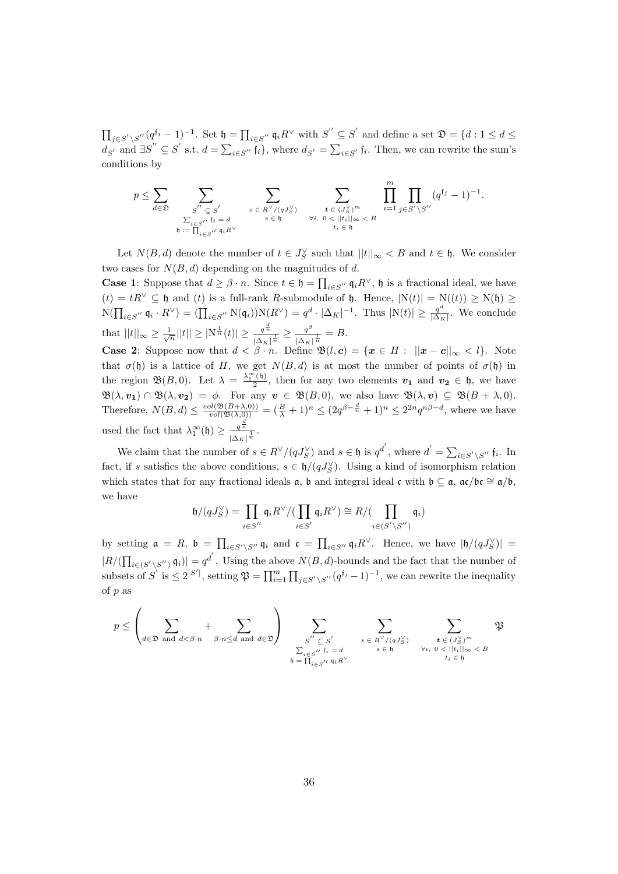$\prod_{j\in S'\setminus S''}(q^{f_j}-1)^{-1}$ . Set  $\mathfrak{h}=\prod_{i\in S''}\mathfrak{q}_iR^\vee$  with  $S''\subseteq S'$  and define a set  $\mathfrak{D}=\{d:1\leq d\leq\mathfrak{p}_i\}$  $d_{S'}$  and  $\exists S'' \subseteq S'$  s.t.  $d = \sum_{i \in S''} \mathfrak{f}_i$ , where  $d_{S'} = \sum_{i \in S'} \mathfrak{f}_i$ . Then, we can rewrite the sum's conditions by

$$
p \leq \sum_{d \in \mathfrak{D}} \sum_{\substack{S'' \subseteq S' \\ \sum_{i \in S''}} \sum_{f_i = d \\ \mathfrak{h} := \prod_{i \in S''}} \sum_{\substack{s \in R^{\vee}/(qJ_S^{\vee}) \\ s \in \mathfrak{h}}} \sum_{\substack{t \in (J_S^{\vee})^m \\ \forall i, 0 < ||t_i||_{\infty} < B}} \prod_{i=1}^m \prod_{j \in S' \setminus S''} (q^{f_j} - 1)^{-1}.
$$

Let  $N(B, d)$  denote the number of  $t \in J_S^{\vee}$  such that  $||t||_{\infty} < B$  and  $t \in \mathfrak{h}$ . We consider two cases for  $N(B, d)$  depending on the magnitudes of d.

**Case 1**: Suppose that  $d \geq \beta \cdot n$ . Since  $t \in \mathfrak{h} = \prod_{i \in S''} \mathfrak{q}_i R^{\vee}$ ,  $\mathfrak{h}$  is a fractional ideal, we have  $(t) = tR^{\vee} \subseteq \mathfrak{h}$  and  $(t)$  is a full-rank R-submodule of  $\mathfrak{h}$ . Hence,  $|N(t)| = N(t) \ge N(\mathfrak{h}) \ge$  $N(\prod_{i\in S''}\mathfrak{q}_i\cdot R^{\vee})=(\prod_{i\in S''}\mathcal{N}(\mathfrak{q}_i))\mathcal{N}(R^{\vee})=q^d\cdot |\Delta_K|^{-1}$ . Thus  $|\mathcal{N}(t)|\geq \frac{q^d}{|\Delta_K|}$  $\frac{q}{|\Delta_K|}$ . We conclude that  $||t||_{\infty} \geq \frac{1}{\sqrt{n}}||t|| \geq |\mathrm{N}^{\frac{1}{n}}(t)| \geq \frac{q^{\frac{d}{n}}}{|\Lambda_N|}$  $\frac{q^{\frac{a}{n}}}{\left|\Delta_K\right|^{\frac{1}{n}}} \geq \frac{q^{\beta}}{\left|\Delta_K\right|}$  $\frac{q^{\nu}}{|\Delta_K|^{\frac{1}{n}}} = B.$ 

**Case 2:** Suppose now that  $d < \beta \cdot n$ . Define  $\mathfrak{B}(l, c) = \{x \in H : ||x - c||_{\infty} < l\}$ . Note that  $\sigma(\mathfrak{h})$  is a lattice of H, we get  $N(B, d)$  is at most the number of points of  $\sigma(\mathfrak{h})$  in the region  $\mathfrak{B}(B,0)$ . Let  $\lambda = \frac{\lambda_1^{\infty}(b)}{2}$ , then for any two elements  $v_1$  and  $v_2 \in \mathfrak{h}$ , we have 2  $\mathfrak{B}(\lambda,\mathbf{v_1})\cap\mathfrak{B}(\lambda,\mathbf{v_2}) = \phi.$  For any  $\mathbf{v}\in\mathfrak{B}(B,0)$ , we also have  $\mathfrak{B}(\lambda,\mathbf{v})\subseteq\mathfrak{B}(B+\lambda,0).$ Therefore,  $N(B, d) \leq \frac{vol(\mathfrak{B}(B+\lambda,0))}{vol(\mathfrak{B}(\lambda,0))} = (\frac{B}{\lambda}+1)^n \leq (2q^{\beta-\frac{d}{n}}+1)^n \leq 2^{2n}q^{n\beta-d}$ , where we have used the fact that  $\lambda_1^{\infty}(\mathfrak{h}) \geq \frac{q^{\frac{d}{n}}}{\lambda_1}$  $\frac{q^n}{|\Delta_K|^{\frac{1}{n}}}$ .

We claim that the number of  $s \in R^{\vee}/(qJ_S^{\vee})$  and  $s \in \mathfrak{h}$  is  $q^{d'}$ , where  $d' = \sum_{i \in S' \setminus S''} \mathfrak{f}_i$ . In fact, if s satisfies the above conditions,  $s \in \mathfrak{h}/(qJ_S^{\vee})$ . Using a kind of isomorphism relation which states that for any fractional ideals  $\alpha$ ,  $\beta$  and integral ideal c with  $\beta \subseteq \alpha$ ,  $\alpha c/\beta c \cong \alpha/b$ , we have

$$
\mathfrak{h}/(qJ_S^{\vee}) = \prod_{i \in S''} \mathfrak{q}_i R^{\vee}/(\prod_{i \in S'} \mathfrak{q}_i R^{\vee}) \cong R/(\prod_{i \in (S' \setminus S'')} \mathfrak{q}_i)
$$

by setting  $\mathfrak{a} = R$ ,  $\mathfrak{b} = \prod_{i \in S' \setminus S''} \mathfrak{q}_i$  and  $\mathfrak{c} = \prod_{i \in S''} \mathfrak{q}_i R^{\vee}$ . Hence, we have  $|\mathfrak{h}/(qJ_S^{\vee})|$  $|R/(\prod_{i\in (S'\setminus S'')} \mathfrak{q}_i)| = q^{d'}$ . Using the above  $N(B, d)$ -bounds and the fact that the number of subsets of  $S'$  is  $\leq 2^{|S'|}$ , setting  $\mathfrak{P} = \prod_{i=1}^m \prod_{j \in S' \setminus S''} (q^{\mathfrak{f}_j} - 1)^{-1}$ , we can rewrite the inequality of p as

$$
p \leq \left(\sum_{d \in \mathfrak{D} \text{ and } d < \beta \cdot n} + \sum_{\beta \cdot n \leq d \text{ and } d \in \mathfrak{D}}\right) \sum_{\substack{S'' \subseteq S' \\ \sum_{i \in S''} f_i = d \\ b = \prod_{i \in S''}} \sum_{\substack{s \in R^{\vee}/(qJ_S^{\vee}) \\ s \in b \\ s \in b}} \sum_{\substack{t \in (J_S^{\vee})^m \\ \forall i, 0 < ||t_i||_{\infty} < B \\ t_i \in b}} \mathfrak{P}
$$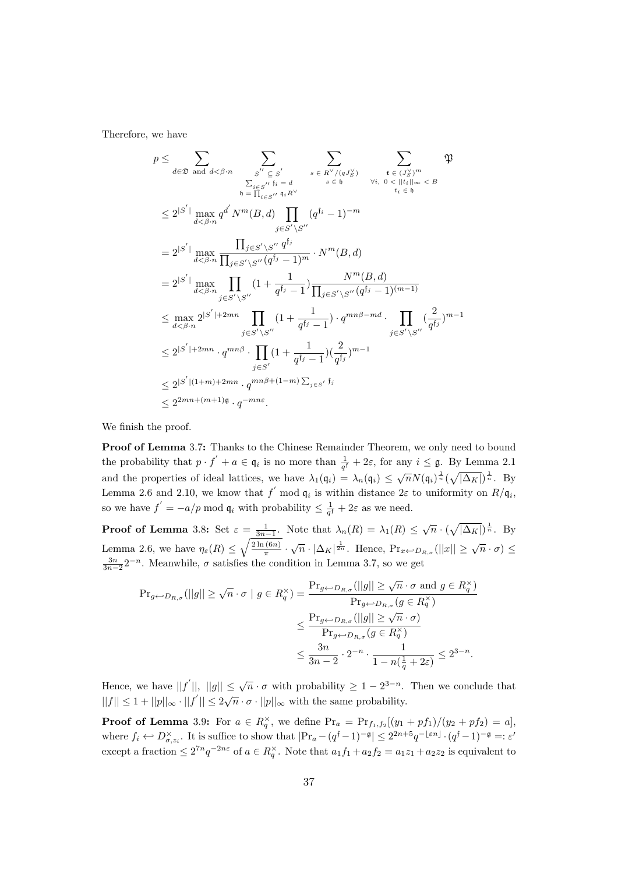Therefore, we have

$$
p \leq \sum_{d \in \mathfrak{D} \text{ and } d < \beta \cdot n} \sum_{\substack{S' \subseteq S' \\ \sum_{i \in S''} j_i = d \\ b_i = \prod_{i \in S'} j_i \notin P' \\ \sum_{i \in S''} j_i = d}} \sum_{s \in R^{\vee}/(qJ_S^{\vee})} \sum_{\substack{t \in (J_S^{\vee})^m \\ \forall i, 0 < ||t_i||_{\infty} < B \\ t_i \in b}} \mathfrak{P} \leq 2^{|S'|} \max_{d < \beta \cdot n} q^{d'} N^m(B, d) \prod_{j \in S' \setminus S''} (q^{f_i} - 1)^{-m}
$$
\n
$$
= 2^{|S'|} \max_{d < \beta \cdot n} \frac{\prod_{j \in S' \setminus S''} q^{f_j}}{\prod_{j \in S' \setminus S''} (q^{f_j} - 1)^m} \cdot N^m(B, d)
$$
\n
$$
= 2^{|S'|} \max_{d < \beta \cdot n} \prod_{j \in S' \setminus S''} (1 + \frac{1}{q^{f_j} - 1}) \frac{N^m(B, d)}{\prod_{j \in S' \setminus S''} (q^{f_j} - 1)^{(m-1)}}
$$
\n
$$
\leq \max_{d < \beta \cdot n} 2^{|S'| + 2mn} \prod_{j \in S' \setminus S''} (1 + \frac{1}{q^{f_j} - 1}) \cdot q^{mn\beta - md} \cdot \prod_{j \in S' \setminus S''} (\frac{2}{q^{f_j}})^{m-1}
$$
\n
$$
\leq 2^{|S'| + 2mn} \cdot q^{mn\beta} \cdot \prod_{j \in S'} (1 + \frac{1}{q^{f_j} - 1}) (\frac{2}{q^{f_j}})^{m-1}
$$
\n
$$
\leq 2^{|S'| + (1+m) + 2mn} \cdot q^{mn\beta + (1-m) \sum_{j \in S'} f_j}
$$
\n
$$
\leq 2^{2mn + (m+1)\mathfrak{g}} \cdot q^{-mn\varepsilon}.
$$

We finish the proof.

Proof of Lemma 3.7: Thanks to the Chinese Remainder Theorem, we only need to bound the probability that  $p \cdot f' + a \in \mathfrak{q}_i$  is no more than  $\frac{1}{q^f} + 2\varepsilon$ , for any  $i \leq \mathfrak{g}$ . By Lemma 2.1 and the properties of ideal lattices, we have  $\lambda_1(\mathfrak{q}_i) = \lambda_n(\mathfrak{q}_i) \leq \sqrt{n}N(\mathfrak{q}_i)^{\frac{1}{n}}(\sqrt{|\Delta_K|})^{\frac{1}{n}}$ . By Lemma 2.6 and 2.10, we know that  $f'$  mod  $\mathfrak{q}_i$  is within distance  $2\varepsilon$  to uniformity on  $R/\mathfrak{q}_i$ , so we have  $f' = -a/p \mod \mathfrak{q}_i$  with probability  $\leq \frac{1}{q^f} + 2\varepsilon$  as we need.

**Proof of Lemma** 3.8: Set  $\varepsilon = \frac{1}{3n-1}$ . Note that  $\lambda_n(R) = \lambda_1(R) \leq \sqrt{n} \cdot (\sqrt{|\Delta_K|})^{\frac{1}{n}}$ . By Lemma 2.6, we have  $\eta_{\varepsilon}(R) \leq \sqrt{\frac{2\ln(6n)}{\pi}}$  $\frac{\overline{P(n)}}{\pi} \cdot \sqrt{n} \cdot |\Delta_K|^{\frac{1}{2n}}$ . Hence,  $Pr_{x \leftarrow D_{R,\sigma}}(||x|| \geq \sqrt{n} \cdot \sigma) \leq$  $\frac{3n}{3n-2}2^{-n}$ . Meanwhile,  $\sigma$  satisfies the condition in Lemma 3.7, so we get

$$
\begin{aligned} \Pr_{g \leftarrow D_{R,\sigma}}(||g|| \geq \sqrt{n} \cdot \sigma \mid g \in R_q^{\times}) &= \frac{\Pr_{g \leftarrow D_{R,\sigma}}(||g|| \geq \sqrt{n} \cdot \sigma \text{ and } g \in R_q^{\times})}{\Pr_{g \leftarrow D_{R,\sigma}}(g \in R_q^{\times})} \\ &\leq \frac{\Pr_{g \leftarrow D_{R,\sigma}}(||g|| \geq \sqrt{n} \cdot \sigma)}{\Pr_{g \leftarrow D_{R,\sigma}}(g \in R_q^{\times})} \\ &\leq \frac{3n}{3n-2} \cdot 2^{-n} \cdot \frac{1}{1-n(\frac{1}{q}+2\varepsilon)} \leq 2^{3-n}. \end{aligned}
$$

Hence, we have  $||f'||, ||g|| \leq \sqrt{n} \cdot \sigma$  with probability  $\geq 1 - 2^{3-n}$ . Then we conclude that  $||f|| \leq 1 + ||p||_{\infty} \cdot ||f'|| \leq 2\sqrt{n} \cdot \sigma \cdot ||p||_{\infty}$  with the same probability.

**Proof of Lemma** 3.9: For  $a \in R_q^{\times}$ , we define  $Pr_a = Pr_{f_1, f_2}[(y_1 + pf_1)/(y_2 + pf_2) = a]$ , where  $f_i \leftrightarrow D^{\times}_{\sigma, z_i}$ . It is suffice to show that  $|\Pr_a - (q^{\{f-1\}})^{-\mathfrak{g}}| \leq 2^{2n+5}q^{-\lfloor \varepsilon n \rfloor} \cdot (q^{\{f-1\}})^{-\mathfrak{g}} =: \varepsilon'$ except a fraction  $\leq 2^{7n}q^{-2n\varepsilon}$  of  $a \in R_q^{\times}$ . Note that  $a_1f_1 + a_2f_2 = a_1z_1 + a_2z_2$  is equivalent to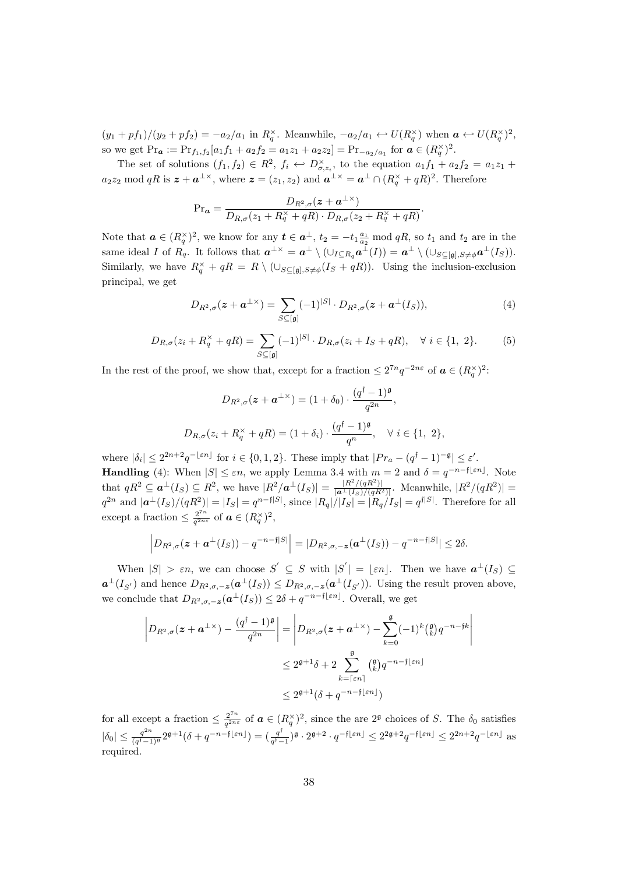$(y_1 + pf_1)/(y_2 + pf_2) = -a_2/a_1$  in  $R_q^{\times}$ . Meanwhile,  $-a_2/a_1 \leftrightarrow U(R_q^{\times})$  when  $a \leftrightarrow U(R_q^{\times})^2$ , so we get  $Pr_a := Pr_{f_1, f_2}[a_1f_1 + a_2f_2 = a_1z_1 + a_2z_2] = Pr_{-a_2/a_1}$  for  $a \in (R_q^{\times})^2$ .

The set of solutions  $(f_1, f_2) \in R^2$ ,  $f_i \leftrightarrow D^{\times}_{\sigma, z_i}$ , to the equation  $a_1 f_1 + a_2 f_2 = a_1 z_1 + a_2 z_2$  $a_2z_2 \mod qR$  is  $\boldsymbol{z} + \boldsymbol{a}^{\perp \times}$ , where  $\boldsymbol{z} = (z_1, z_2)$  and  $\boldsymbol{a}^{\perp \times} = \boldsymbol{a}^{\perp} \cap (R_q^{\times} + qR)^2$ . Therefore

$$
\mathrm{Pr}_{\mathbf{a}} = \frac{D_{R^2,\sigma}(\mathbf{z} + \mathbf{a}^{\perp \times})}{D_{R,\sigma}(z_1 + R_q^{\times} + qR) \cdot D_{R,\sigma}(z_2 + R_q^{\times} + qR)}.
$$

Note that  $a \in (R_q^{\times})^2$ , we know for any  $t \in a^{\perp}$ ,  $t_2 = -t_1 \frac{a_1}{a_2} \mod qR$ , so  $t_1$  and  $t_2$  are in the same ideal I of  $R_q$ . It follows that  $\mathbf{a}^{\perp \times} = \mathbf{a}^{\perp} \setminus (\cup_{I \subseteq R_q} \mathbf{a}^{\perp}(I)) = \mathbf{a}^{\perp} \setminus (\cup_{S \subseteq [\mathfrak{g}], S \neq \phi} \mathbf{a}^{\perp}(I_S)).$ Similarly, we have  $R_q^{\times} + qR = R \setminus (\cup_{S \subseteq [g], S \neq \phi}(I_S + qR)).$  Using the inclusion-exclusion principal, we get

$$
D_{R^2,\sigma}(z+\mathbf{a}^{\perp \times}) = \sum_{S \subseteq [\mathfrak{g}]} (-1)^{|S|} \cdot D_{R^2,\sigma}(z+\mathbf{a}^{\perp}(I_S)),\tag{4}
$$

$$
D_{R,\sigma}(z_i + R_q^{\times} + qR) = \sum_{S \subseteq [\mathfrak{g}]} (-1)^{|S|} \cdot D_{R,\sigma}(z_i + I_S + qR), \quad \forall \ i \in \{1, 2\}.
$$
 (5)

In the rest of the proof, we show that, except for a fraction  $\leq 2^{7n}q^{-2n\varepsilon}$  of  $\boldsymbol{a} \in (R_q^{\times})^2$ :

$$
D_{R^2,\sigma}(\mathbf{z} + \mathbf{a}^{\perp \times}) = (1 + \delta_0) \cdot \frac{(q^{\mathfrak{f}} - 1)^{\mathfrak{g}}}{q^{2n}},
$$
  

$$
D_{R,\sigma}(z_i + R_q^{\times} + qR) = (1 + \delta_i) \cdot \frac{(q^{\mathfrak{f}} - 1)^{\mathfrak{g}}}{q^n}, \quad \forall \ i \in \{1, 2\},
$$

where  $|\delta_i| \leq 2^{2n+2}q^{-\lfloor \varepsilon n \rfloor}$  for  $i \in \{0,1,2\}$ . These imply that  $|Pr_a - (q^{\dagger}-1)^{-\mathfrak{g}}| \leq \varepsilon'.$ **Handling** (4): When  $|S| \leq \varepsilon n$ , we apply Lemma 3.4 with  $m = 2$  and  $\delta = q^{-n-f[\varepsilon n]}$ . Note that  $qR^2 \subseteq \mathbf{a}^{\perp}(I_S) \subseteq R^2$ , we have  $|R^2/\mathbf{a}^{\perp}(I_S)| = \frac{|R^2/(qR^2)|}{|\mathbf{a}^{\perp}(I_S)/(qR^2)|}$ . Meanwhile,  $|R^2/(qR^2)| =$  $q^{2n}$  and  $|\boldsymbol{a}^{\perp}(I_S)/(qR^2)| = |I_S| = q^{n-f|S|}$ , since  $|R_q|/|I_S| = |R_q/I_S| = q^{f|S|}$ . Therefore for all except a fraction  $\leq \frac{2^{7n}}{a^{2ni}}$  $\frac{2^{n}}{q^{2n\varepsilon}}$  of  $\boldsymbol{a} \in (R_q^{\times})^2$ ,

$$
\left|D_{R^2,\sigma}(\boldsymbol{z}+\boldsymbol{a}^{\perp}(I_S)) - q^{-n-\mathfrak{f}|S|}\right| = |D_{R^2,\sigma,-\boldsymbol{z}}(\boldsymbol{a}^{\perp}(I_S)) - q^{-n-\mathfrak{f}|S|}| \leq 2\delta.
$$

When  $|S| > \varepsilon n$ , we can choose  $S' \subseteq S$  with  $|S'| = \lfloor \varepsilon n \rfloor$ . Then we have  $a^{\perp}(I_S) \subseteq$  $a^{\perp}(I_{S'})$  and hence  $D_{R^2,\sigma,-\mathbf{z}}(a^{\perp}(I_S)) \leq D_{R^2,\sigma,-\mathbf{z}}(a^{\perp}(I_{S'}))$ . Using the result proven above, we conclude that  $D_{R^2, \sigma, -\mathbf{z}}(\mathbf{a}^{\perp}(I_S)) \leq 2\delta + q^{-n-f\lfloor \varepsilon n \rfloor}$ . Overall, we get

$$
\left| D_{R^2, \sigma}(z + a^{\perp \times}) - \frac{(q^{\mathfrak{f}} - 1)^{\mathfrak{g}}}{q^{2n}} \right| = \left| D_{R^2, \sigma}(z + a^{\perp \times}) - \sum_{k=0}^{\mathfrak{g}} (-1)^k {(\mathfrak{g}) \choose k} q^{-n - \mathfrak{f} k} \right|
$$
  

$$
\leq 2^{\mathfrak{g} + 1} \delta + 2 \sum_{k= \lceil \varepsilon n \rceil}^{\mathfrak{g}} ({\mathfrak{g} \choose k} q^{-n - \mathfrak{f} \lfloor \varepsilon n \rfloor})
$$
  

$$
\leq 2^{\mathfrak{g} + 1} (\delta + q^{-n - \mathfrak{f} \lfloor \varepsilon n \rfloor})
$$

for all except a fraction  $\leq \frac{2^{7n}}{a^{2ni}}$  $\frac{2^{n}}{q^{2n\varepsilon}}$  of  $a \in (R_q^{\times})^2$ , since the are  $2^{\mathfrak{g}}$  choices of S. The  $\delta_0$  satisfies  $|\delta_0| \leq \frac{q^{2n}}{(a^{\dagger}-1)}$  $\frac{q^{2n}}{(q^{\dagger}-1)^{\mathfrak{g}}} 2^{\mathfrak{g}+1} (\delta + q^{-n-\mathfrak{f}\lfloor \varepsilon n\rfloor}) = \left(\frac{q^{\mathfrak{f}}}{q^{\mathfrak{f}}-1}\right)$  $\frac{q^f}{q^f-1}$ )<sup>g</sup> · 2<sup>g+2</sup> ·  $q^{-\mathfrak{f}\lfloor \varepsilon n\rfloor} \leq 2^{2\mathfrak{g}+2}q^{-\mathfrak{f}\lfloor \varepsilon n\rfloor} \leq 2^{2n+2}q^{-\lfloor \varepsilon n\rfloor}$  as required.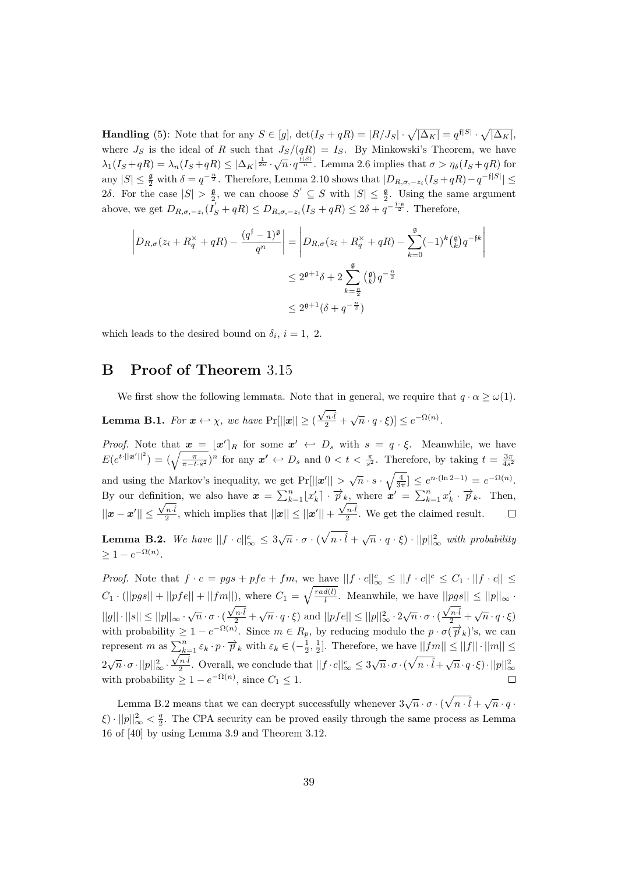**Handling** (5): Note that for any  $S \in [g]$ ,  $\det(I_S + qR) = |R/J_S| \cdot \sqrt{|\Delta_K|} = q^{\{ |S|} \cdot \sqrt{|\Delta_K|}}$ , where  $J_S$  is the ideal of R such that  $J_S/(qR) = I_S$ . By Minkowski's Theorem, we have  $\lambda_1(I_S+qR) = \lambda_n(I_S+qR) \leq |\Delta_K|^{\frac{1}{2n}} \cdot \sqrt{n} \cdot q^{\frac{f|S|}{n}}$ . Lemma 2.6 implies that  $\sigma > \eta_\delta(I_S+qR)$  for any  $|S| \leq \frac{g}{2}$  with  $\delta = q^{-\frac{n}{2}}$ . Therefore, Lemma 2.10 shows that  $|D_{R,\sigma,-z_i}(I_S+qR)-q^{-\mathfrak{f}|S|}| \leq$ 2δ. For the case  $|S| > \frac{\mathfrak{g}}{2}$ , we can choose  $S' \subseteq S$  with  $|S| \leq \frac{\mathfrak{g}}{2}$ . Using the same argument above, we get  $D_{R,\sigma,-z_i}(I'_S+qR) \leq D_{R,\sigma,-z_i}(I_S+qR) \leq 2\delta+q^{-\frac{1-q}{2}}$ . Therefore,

$$
\left| D_{R,\sigma}(z_i + R_q^{\times} + qR) - \frac{(q^{\mathfrak{f}} - 1)^{\mathfrak{g}}}{q^n} \right| = \left| D_{R,\sigma}(z_i + R_q^{\times} + qR) - \sum_{k=0}^{\mathfrak{g}} (-1)^k {(\mathfrak{g}) q^{-\mathfrak{f} k}} \right|
$$
  

$$
\leq 2^{\mathfrak{g}+1} \delta + 2 \sum_{k=\frac{\mathfrak{g}}{2}}^{\mathfrak{g}} ({\mathfrak{g}) q^{-\frac{n}{2}}}
$$
  

$$
\leq 2^{\mathfrak{g}+1} (\delta + q^{-\frac{n}{2}})
$$

which leads to the desired bound on  $\delta_i$ ,  $i = 1, 2$ .

# B Proof of Theorem 3.15

We first show the following lemmata. Note that in general, we require that  $q \cdot \alpha \geq \omega(1)$ . **Lemma B.1.** For  $x \leftrightarrow \chi$ , we have Pr $\| |x|| \geq 0$  $\frac{\sqrt{n \cdot \hat{l}}}{2} + \sqrt{n} \cdot q \cdot \xi$ )]  $\leq e^{-\Omega(n)}$ .

*Proof.* Note that  $x = \lfloor x' \rfloor_R$  for some  $x' \leftrightarrow D_s$  with  $s = q \cdot \xi$ . Meanwhile, we have  $E(e^{t\cdot||\boldsymbol{x}'||^2}) = (\sqrt{\frac{\pi}{\pi-t\cdot s^2}})^n$  for any  $\boldsymbol{x'} \leftrightarrow D_s$  and  $0 < t < \frac{\pi}{s^2}$ . Therefore, by taking  $t = \frac{3\pi}{4s^2}$ and using the Markov's inequality, we get  $Pr[||x'|| > \sqrt{n} \cdot s \cdot \sqrt{\frac{4}{3\pi}}] \leq e^{n \cdot (\ln 2 - 1)} = e^{-\Omega(n)}$ . By our definition, we also have  $\mathbf{x} = \sum_{k=1}^{n} \lfloor x'_{k} \rfloor \cdot \overrightarrow{p}_{k}$ , where  $\mathbf{x}' = \sum_{k=1}^{n} x'_{k} \cdot \overrightarrow{p}_{k}$ . Then,  $||x - x'|| \le$ fittion, we also have  $x = \sum_{k=1}^{\infty} |x_k|$ .<br> $\frac{\sqrt{n \cdot i}}{2}$ , which implies that  $||x|| \le ||x'|| +$  $\frac{\sqrt{n \cdot \hat{l}}}{2}$ . We get the claimed result.

**Lemma B.2.** We have  $||f \cdot c||_{\infty}^{c} \leq 3\sqrt{n} \cdot \sigma \cdot (\sqrt{n \cdot \hat{l}} + \sqrt{n} \cdot q \cdot \xi) \cdot ||p||_{\infty}^{2}$  with probability  $\geq 1 - e^{-\Omega(n)}.$ 

*Proof.* Note that  $f \cdot c = pgs + pfe + fm$ , we have  $||f \cdot c||_{\infty}^c \leq ||f \cdot c||^c \leq C_1 \cdot ||f \cdot c|| \leq$  $C_1 \cdot (||pgs|| + ||pfe|| + ||fm||)$ , where  $C_1 = \sqrt{\frac{rad(l)}{l}}$  $\frac{d(t)}{l}$ . Meanwhile, we have  $||pgs|| \le ||p||_{\infty}$ .  $\frac{\sqrt{n} \cdot \hat{i}}{2} + \sqrt{n} \cdot q \cdot \hat{\xi}$  and  $||pfe|| \leq ||p||_{\infty}^2 \cdot 2\sqrt{n} \cdot \sigma \cdot$  $\frac{\sqrt{n \cdot \hat{l}}}{2} + \sqrt{n} \cdot q \cdot \xi$  $||g|| \cdot ||s|| \le ||p||_{\infty} \cdot \sqrt{n} \cdot \sigma \cdot ($ with probability  $\geq 1 - e^{-\Omega(n)}$ . Since  $m \in R_p$ , by reducing modulo the  $p \cdot \sigma(\vec{p}_k)$ 's, we can represent m as  $\sum_{k=1}^{n} \varepsilon_k \cdot p \cdot \overrightarrow{p}_k$  with  $\varepsilon_k \in \left(-\frac{1}{2}, \frac{1}{2}\right]$ . Therefore, we have  $||fm|| \leq ||f|| \cdot ||m|| \leq$  $2\sqrt{n}\cdot\sigma\cdot||p||_{\infty}^2\cdot\frac{\sqrt{n\cdot\hat{l}}}{2}$ . Overall, we conclude that  $||f\cdot c||_{\infty}^c\leq 3\sqrt{n}\cdot\sigma\cdot(\sqrt{n\cdot\hat{l}}+\sqrt{n}\cdot q\cdot\xi)\cdot||p||_{\infty}^2$ with probability  $\geq 1 - e^{-\Omega(n)}$ , since  $C_1 \leq 1$ .  $\Box$ 

Lemma B.2 means that we can decrypt successfully whenever  $3\sqrt{n} \cdot \sigma \cdot (\sqrt{n \cdot \hat{l}} + \sqrt{n} \cdot q \cdot \hat{l})$  $\xi \cdot ||p||_{\infty}^2 < \frac{q}{2}$ . The CPA security can be proved easily through the same process as Lemma 16 of [40] by using Lemma 3.9 and Theorem 3.12.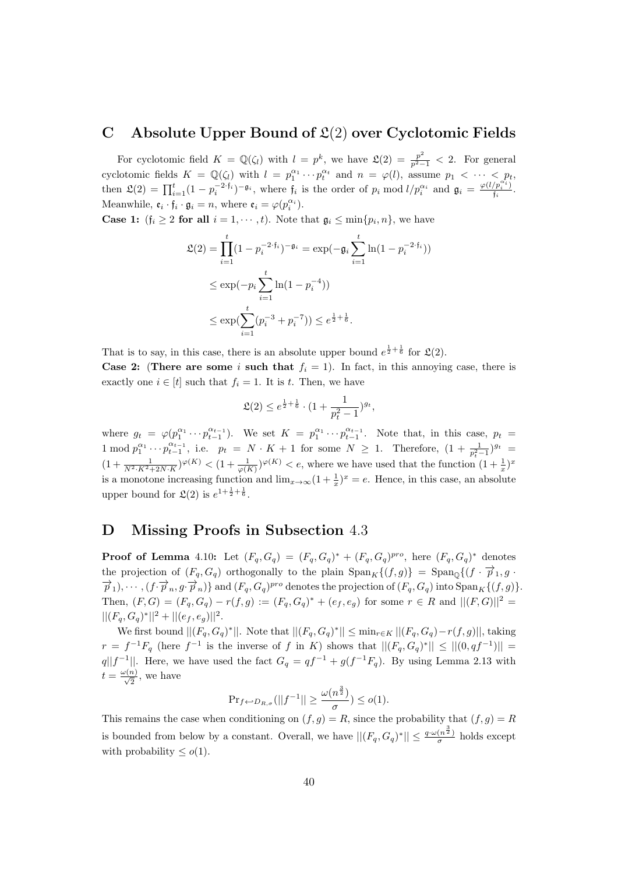### C Absolute Upper Bound of  $\mathfrak{L}(2)$  over Cyclotomic Fields

For cyclotomic field  $K = \mathbb{Q}(\zeta_l)$  with  $l = p^k$ , we have  $\mathfrak{L}(2) = \frac{p^2}{p^2-1} < 2$ . For general cyclotomic fields  $K = \mathbb{Q}(\zeta_l)$  with  $l = p_1^{\alpha_1} \cdots p_t^{\alpha_t}$  and  $n = \varphi(l)$ , assume  $p_1 < \cdots < p_t$ , then  $\mathfrak{L}(2) = \prod_{i=1}^t (1 - p_i^{-2 \cdot f_i})^{-\mathfrak{g}_i}$ , where  $f_i$  is the order of  $p_i \mod l/p_i^{\alpha_i}$  and  $\mathfrak{g}_i = \frac{\varphi(l/p_i^{\alpha_i})}{f_i}$  $\frac{\binom{p_i}{i}}{f_i}$ . Meanwhile,  $\mathfrak{e}_i \cdot \mathfrak{f}_i \cdot \mathfrak{g}_i = n$ , where  $\mathfrak{e}_i = \varphi(p_i^{\alpha_i})$ .

**Case 1:**  $(f_i \geq 2$  for all  $i = 1, \dots, t$ . Note that  $g_i \leq \min\{p_i, n\}$ , we have

$$
\mathfrak{L}(2) = \prod_{i=1}^{t} (1 - p_i^{-2 \cdot \mathfrak{f}_i})^{-\mathfrak{g}_i} = \exp(-\mathfrak{g}_i \sum_{i=1}^{t} \ln(1 - p_i^{-2 \cdot \mathfrak{f}_i}))
$$
  
\n
$$
\leq \exp(-p_i \sum_{i=1}^{t} \ln(1 - p_i^{-4}))
$$
  
\n
$$
\leq \exp(\sum_{i=1}^{t} (p_i^{-3} + p_i^{-7})) \leq e^{\frac{1}{2} + \frac{1}{6}}.
$$

That is to say, in this case, there is an absolute upper bound  $e^{\frac{1}{2}+\frac{1}{6}}$  for  $\mathfrak{L}(2)$ . **Case 2:** (There are some i such that  $f_i = 1$ ). In fact, in this annoying case, there is exactly one  $i \in [t]$  such that  $f_i = 1$ . It is t. Then, we have

$$
\mathfrak{L}(2) \leq e^{\frac{1}{2} + \frac{1}{6}} \cdot (1 + \frac{1}{p_t^2 - 1})^{g_t},
$$

where  $g_t = \varphi(p_1^{\alpha_1} \cdots p_{t-1}^{\alpha_{t-1}})$ . We set  $K = p_1^{\alpha_1} \cdots p_{t-1}^{\alpha_{t-1}}$ . Note that, in this case,  $p_t =$ 1 mod  $p_1^{\alpha_1} \cdots p_{t-1}^{\alpha_{t-1}}$ , i.e.  $p_t = N \cdot K + 1$  for some  $N \ge 1$ . Therefore,  $(1 + \frac{1}{p_t^2 - 1})^{g_t} =$  $(1+\frac{1}{N^2\cdot K^2+2N\cdot K})^{\varphi(K)} < (1+\frac{1}{\varphi(K)})^{\varphi(K)} < e$ , where we have used that the function  $(1+\frac{1}{x})^x$ is a monotone increasing function and  $\lim_{x\to\infty} (1+\frac{1}{x})^x = e$ . Hence, in this case, an absolute upper bound for  $\mathfrak{L}(2)$  is  $e^{1+\frac{1}{2}+\frac{1}{6}}$ .

# D Missing Proofs in Subsection 4.3

**Proof of Lemma** 4.10: Let  $(F_q, G_q) = (F_q, G_q)^* + (F_q, G_q)^{pro}$ , here  $(F_q, G_q)^*$  denotes the projection of  $(F_q, G_q)$  orthogonally to the plain  $\text{Span}_K\{(f,g)\} = \text{Span}_{\mathbb{Q}}\{(f \cdot \overrightarrow{p}_1, g \cdot \overrightarrow{p}_2)\}$  $\overrightarrow{p}_1, \dots, (f \cdot \overrightarrow{p}_n, g \cdot \overrightarrow{p}_n)$  and  $(F_q, G_q)$ <sup>pro</sup> denotes the projection of  $(F_q, G_q)$  into  $\text{Span}_K\{(f, g)\}.$ Then,  $(F, G) = (F_q, G_q) - r(f, g) := (F_q, G_q)^* + (e_f, e_g)$  for some  $r \in R$  and  $||(F, G)||^2 =$  $||(F_q, G_q)^*||^2 + ||(e_f, e_g)||^2.$ 

We first bound  $||(F_q, G_q)^*||$ . Note that  $||(F_q, G_q)^*|| \le \min_{r \in K} ||(F_q, G_q) - r(f, g)||$ , taking  $r = f^{-1}F_q$  (here  $f^{-1}$  is the inverse of f in K) shows that  $||(F_q, G_q)^*|| \leq ||(0, qf^{-1})|| =$ q||f<sup>-1</sup>||. Here, we have used the fact  $G_q = qf^{-1} + g(f^{-1}F_q)$ . By using Lemma 2.13 with  $t = \frac{\omega(n)}{\sqrt{2}}$ , we have

$$
\Pr_{f \leftarrow D_{R,\sigma}}(||f^{-1}|| \ge \frac{\omega(n^{\frac{3}{2}})}{\sigma}) \le o(1).
$$

This remains the case when conditioning on  $(f, g) = R$ , since the probability that  $(f, g) = R$ is bounded from below by a constant. Overall, we have  $||(F_q, G_q)^*|| \leq \frac{q \cdot \omega(n^{\frac{3}{2}})}{\sigma}$  $\frac{(n^2)}{\sigma}$  holds except with probability  $\leq o(1)$ .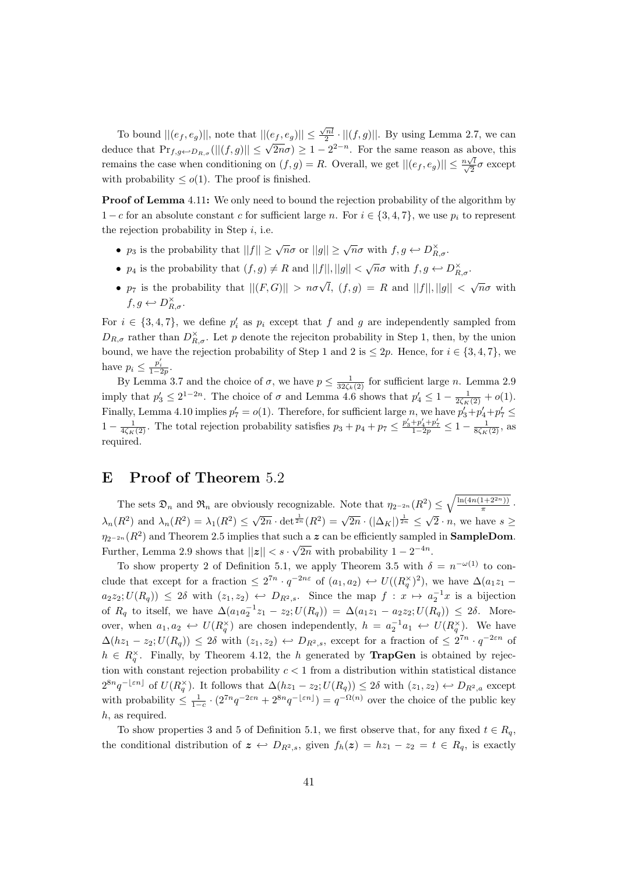To bound  $||(e_f, e_g)||$ , note that  $||(e_f, e_g)|| \leq \frac{\sqrt{n}l}{2} \cdot ||(f,g)||$ . By using Lemma 2.7, we can deduce that  $Pr_{f,g \leftarrow D_{R,\sigma}}(||(f,g)|| \leq \sqrt{2n}\sigma) \geq 1-2^{2-n}$ . For the same reason as above, this remains the case when conditioning on  $(f,g) = R$ . Overall, we get  $||(e_f, e_g)|| \leq \frac{n\sqrt{k}}{\sqrt{2}}$  $\frac{\sqrt{l}}{2}\sigma$  except with probability  $\leq o(1)$ . The proof is finished.

**Proof of Lemma** 4.11: We only need to bound the rejection probability of the algorithm by  $1 - c$  for an absolute constant c for sufficient large n. For  $i \in \{3, 4, 7\}$ , we use  $p_i$  to represent the rejection probability in Step  $i$ , i.e.

- $p_3$  is the probability that  $||f|| \ge \sqrt{n}\sigma$  or  $||g|| \ge \sqrt{n}\sigma$  with  $f, g \leftarrow D_{R,\sigma}^{\times}$ .
- $p_4$  is the probability that  $(f, g) \neq R$  and  $||f||, ||g|| < \sqrt{n}\sigma$  with  $f, g \leftarrow D_{R,\sigma}^{\times}$ .
- $p_7$  is the probability that  $||(F, G)|| > n\sigma\sqrt{l}$ ,  $(f, g) = R$  and  $||f||, ||g|| < \sqrt{n}\sigma$  with  $f, g \leftarrow D_{R,\sigma}^{\times}.$

For  $i \in \{3, 4, 7\}$ , we define  $p_i'$  as  $p_i$  except that f and g are independently sampled from  $D_{R,\sigma}$  rather than  $D_{R,\sigma}^{\times}$ . Let p denote the rejection probability in Step 1, then, by the union bound, we have the rejection probability of Step 1 and 2 is  $\leq 2p$ . Hence, for  $i \in \{3, 4, 7\}$ , we have  $p_i \leq \frac{p'_i}{1-2p}$ .

By Lemma 3.7 and the choice of  $\sigma$ , we have  $p \leq \frac{1}{32\zeta_k(2)}$  for sufficient large n. Lemma 2.9 imply that  $p'_3 \leq 2^{1-2n}$ . The choice of  $\sigma$  and Lemma 4.6 shows that  $p'_4 \leq 1 - \frac{1}{2\zeta_K(2)} + o(1)$ . Finally, Lemma 4.10 implies  $p'_7 = o(1)$ . Therefore, for sufficient large n, we have  $p'_3 + p'_4 + p'_7 \leq$  $1-\frac{1}{4\zeta_K(2)}$ . The total rejection probability satisfies  $p_3+p_4+p_7 \leq \frac{p'_3+p'_4+p'_7}{1-2p} \leq 1-\frac{1}{8\zeta_K(2)}$ , as required.

### E Proof of Theorem 5.2

The sets  $\mathfrak{D}_n$  and  $\mathfrak{R}_n$  are obviously recognizable. Note that  $\eta_{2^{-2n}}(R^2) \leq \sqrt{\frac{\ln(4n(1+2^{2n}))}{\pi}}$  $\frac{1+2^{2n}1}{\pi}$ .  $\lambda_n(R^2)$  and  $\lambda_n(R^2) = \lambda_1(R^2) \leq$ √  $\overline{2n} \cdot \det^{\frac{1}{2n}}(R^2) = \sqrt{2n} \cdot (\vert \Delta_K \vert)^{\frac{1}{2n}} \le$ √  $2 \cdot n$ , we have  $s \geq$  $\eta_{2^{-2n}}(R^2)$  and Theorem 2.5 implies that such a z can be efficiently sampled in **SampleDom**. Further, Lemma 2.9 shows that  $||z|| < s \cdot \sqrt{2n}$  with probability  $1 - 2^{-4n}$ .

To show property 2 of Definition 5.1, we apply Theorem 3.5 with  $\delta = n^{-\omega(1)}$  to conclude that except for a fraction  $\leq 2^{7n} \cdot q^{-2n\varepsilon}$  of  $(a_1, a_2) \leftrightarrow U((R_q^{\times})^2)$ , we have  $\Delta(a_1 z_1$  $a_2z_2;U(R_q)$   $\leq 2\delta$  with  $(z_1, z_2) \leftrightarrow D_{R^2,s}$ . Since the map  $f: x \mapsto a_2^{-1}x$  is a bijection of  $R_q$  to itself, we have  $\Delta(a_1a_2^{-1}z_1 - z_2; U(R_q)) = \Delta(a_1z_1 - a_2z_2; U(R_q)) \leq 2\delta$ . Moreover, when  $a_1, a_2 \leftrightarrow U(R_q^{\times})$  are chosen independently,  $h = a_2^{-1} a_1 \leftrightarrow U(R_q^{\times})$ . We have  $\Delta(hz_1 - z_2; U(R_q)) \leq 2\delta$  with  $(z_1, z_2) \leftrightarrow D_{R^2,s}$ , except for a fraction of  $\leq 2^{7n} \cdot q^{-2\epsilon n}$  of  $h \in R_q^{\times}$ . Finally, by Theorem 4.12, the h generated by **TrapGen** is obtained by rejection with constant rejection probability  $c < 1$  from a distribution within statistical distance  $2^{8n}q^{-\lfloor \varepsilon n\rfloor}$  of  $U(R_q^{\times})$ . It follows that  $\Delta(hz_1-z_2;U(R_q))\leq 2\delta$  with  $(z_1,z_2)\leftrightarrow D_{R^2,a}$  except with probability  $\leq \frac{1}{1-c} \cdot (2^{7n} q^{-2\epsilon n} + 2^{8n} q^{-\lfloor \epsilon n \rfloor}) = q^{-\Omega(n)}$  over the choice of the public key h, as required.

To show properties 3 and 5 of Definition 5.1, we first observe that, for any fixed  $t \in R_q$ , the conditional distribution of  $z \leftrightarrow D_{R^2,s}$ , given  $f_h(z) = hz_1 - z_2 = t \in R_q$ , is exactly